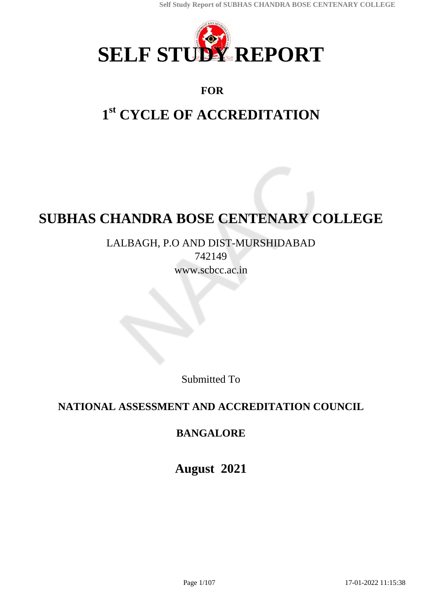

# **FOR**

# **1 st CYCLE OF ACCREDITATION**

# **SUBHAS CHANDRA BOSE CENTENARY COLLEGE**

LALBAGH, P.O AND DIST-MURSHIDABAD 742149

www.scbcc.ac.in

Submitted To

# **NATIONAL ASSESSMENT AND ACCREDITATION COUNCIL**

# **BANGALORE**

**August 2021**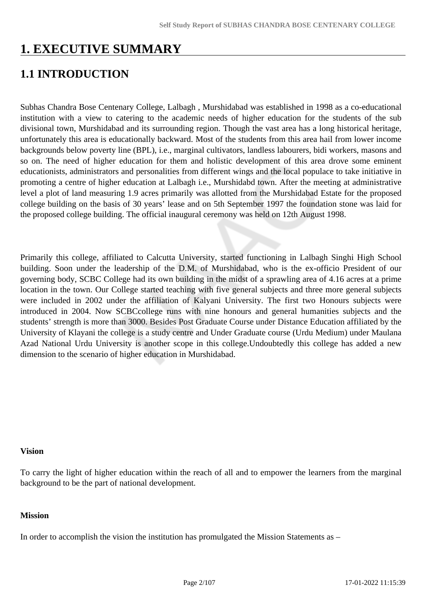# **1. EXECUTIVE SUMMARY**

# **1.1 INTRODUCTION**

Subhas Chandra Bose Centenary College, Lalbagh , Murshidabad was established in 1998 as a co-educational institution with a view to catering to the academic needs of higher education for the students of the sub divisional town, Murshidabad and its surrounding region. Though the vast area has a long historical heritage, unfortunately this area is educationally backward. Most of the students from this area hail from lower income backgrounds below poverty line (BPL), i.e., marginal cultivators, landless labourers, bidi workers, masons and so on. The need of higher education for them and holistic development of this area drove some eminent educationists, administrators and personalities from different wings and the local populace to take initiative in promoting a centre of higher education at Lalbagh i.e., Murshidabd town. After the meeting at administrative level a plot of land measuring 1.9 acres primarily was allotted from the Murshidabad Estate for the proposed college building on the basis of 30 years' lease and on 5th September 1997 the foundation stone was laid for the proposed college building. The official inaugural ceremony was held on 12th August 1998.

Primarily this college, affiliated to Calcutta University, started functioning in Lalbagh Singhi High School building. Soon under the leadership of the D.M. of Murshidabad, who is the ex-officio President of our governing body, SCBC College had its own building in the midst of a sprawling area of 4.16 acres at a prime location in the town. Our College started teaching with five general subjects and three more general subjects were included in 2002 under the affiliation of Kalyani University. The first two Honours subjects were introduced in 2004. Now SCBCcollege runs with nine honours and general humanities subjects and the students' strength is more than 3000. Besides Post Graduate Course under Distance Education affiliated by the University of Klayani the college is a study centre and Under Graduate course (Urdu Medium) under Maulana Azad National Urdu University is another scope in this college.Undoubtedly this college has added a new dimension to the scenario of higher education in Murshidabad.

#### **Vision**

To carry the light of higher education within the reach of all and to empower the learners from the marginal background to be the part of national development.

#### **Mission**

In order to accomplish the vision the institution has promulgated the Mission Statements as –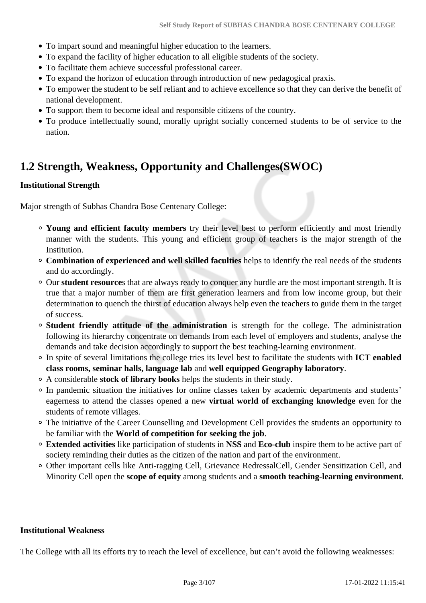- To impart sound and meaningful higher education to the learners.
- To expand the facility of higher education to all eligible students of the society.
- To facilitate them achieve successful professional career.
- To expand the horizon of education through introduction of new pedagogical praxis.
- To empower the student to be self reliant and to achieve excellence so that they can derive the benefit of national development.
- To support them to become ideal and responsible citizens of the country.
- To produce intellectually sound, morally upright socially concerned students to be of service to the nation.

# **1.2 Strength, Weakness, Opportunity and Challenges(SWOC)**

#### **Institutional Strength**

Major strength of Subhas Chandra Bose Centenary College:

- **Young and efficient faculty members** try their level best to perform efficiently and most friendly manner with the students. This young and efficient group of teachers is the major strength of the Institution.
- **Combination of experienced and well skilled faculties** helps to identify the real needs of the students and do accordingly.
- Our **student resource**s that are always ready to conquer any hurdle are the most important strength. It is true that a major number of them are first generation learners and from low income group, but their determination to quench the thirst of education always help even the teachers to guide them in the target of success.
- **Student friendly attitude of the administration** is strength for the college. The administration following its hierarchy concentrate on demands from each level of employers and students, analyse the demands and take decision accordingly to support the best teaching-learning environment.
- In spite of several limitations the college tries its level best to facilitate the students with **ICT enabled class rooms, seminar halls, language lab** and **well equipped Geography laboratory**.
- A considerable **stock of library books** helps the students in their study.
- In pandemic situation the initiatives for online classes taken by academic departments and students' eagerness to attend the classes opened a new **virtual world of exchanging knowledge** even for the students of remote villages.
- The initiative of the Career Counselling and Development Cell provides the students an opportunity to be familiar with the **World of competition for seeking the job**.
- **Extended activities** like participation of students in **NSS** and **Eco-club** inspire them to be active part of society reminding their duties as the citizen of the nation and part of the environment.
- Other important cells like Anti-ragging Cell, Grievance RedressalCell, Gender Sensitization Cell, and Minority Cell open the **scope of equity** among students and a **smooth teaching-learning environment**.

#### **Institutional Weakness**

The College with all its efforts try to reach the level of excellence, but can't avoid the following weaknesses: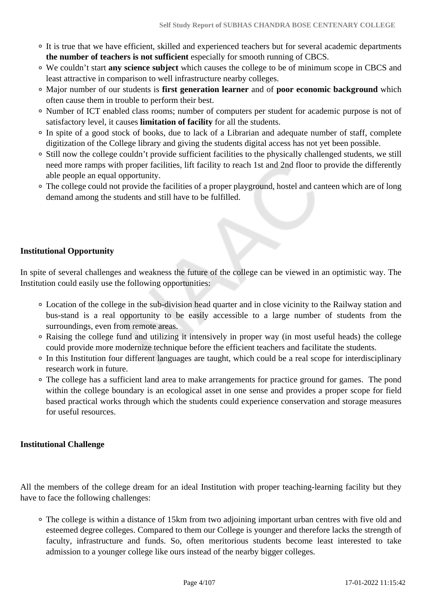- It is true that we have efficient, skilled and experienced teachers but for several academic departments **the number of teachers is not sufficient** especially for smooth running of CBCS.
- We couldn't start **any science subject** which causes the college to be of minimum scope in CBCS and least attractive in comparison to well infrastructure nearby colleges.
- Major number of our students is **first generation learner** and of **poor economic background** which often cause them in trouble to perform their best.
- Number of ICT enabled class rooms; number of computers per student for academic purpose is not of satisfactory level, it causes **limitation of facility** for all the students.
- In spite of a good stock of books, due to lack of a Librarian and adequate number of staff, complete digitization of the College library and giving the students digital access has not yet been possible.
- Still now the college couldn't provide sufficient facilities to the physically challenged students, we still need more ramps with proper facilities, lift facility to reach 1st and 2nd floor to provide the differently able people an equal opportunity.
- The college could not provide the facilities of a proper playground, hostel and canteen which are of long demand among the students and still have to be fulfilled.

# **Institutional Opportunity**

In spite of several challenges and weakness the future of the college can be viewed in an optimistic way. The Institution could easily use the following opportunities:

- Location of the college in the sub-division head quarter and in close vicinity to the Railway station and bus-stand is a real opportunity to be easily accessible to a large number of students from the surroundings, even from remote areas.
- Raising the college fund and utilizing it intensively in proper way (in most useful heads) the college could provide more modernize technique before the efficient teachers and facilitate the students.
- In this Institution four different languages are taught, which could be a real scope for interdisciplinary research work in future.
- The college has a sufficient land area to make arrangements for practice ground for games. The pond within the college boundary is an ecological asset in one sense and provides a proper scope for field based practical works through which the students could experience conservation and storage measures for useful resources.

## **Institutional Challenge**

All the members of the college dream for an ideal Institution with proper teaching-learning facility but they have to face the following challenges:

The college is within a distance of 15km from two adjoining important urban centres with five old and esteemed degree colleges. Compared to them our College is younger and therefore lacks the strength of faculty, infrastructure and funds. So, often meritorious students become least interested to take admission to a younger college like ours instead of the nearby bigger colleges.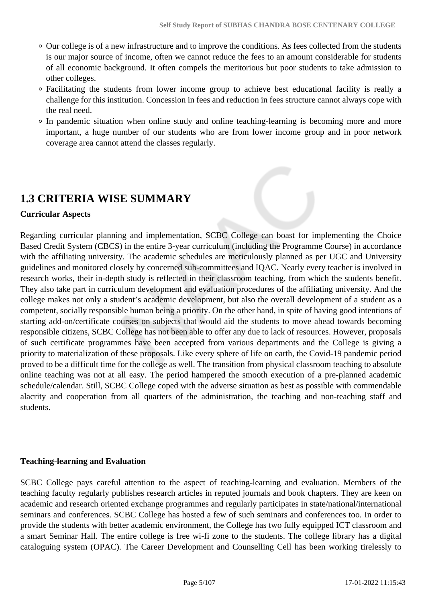- Our college is of a new infrastructure and to improve the conditions. As fees collected from the students is our major source of income, often we cannot reduce the fees to an amount considerable for students of all economic background. It often compels the meritorious but poor students to take admission to other colleges.
- Facilitating the students from lower income group to achieve best educational facility is really a challenge for this institution. Concession in fees and reduction in fees structure cannot always cope with the real need.
- In pandemic situation when online study and online teaching-learning is becoming more and more important, a huge number of our students who are from lower income group and in poor network coverage area cannot attend the classes regularly.

# **1.3 CRITERIA WISE SUMMARY**

#### **Curricular Aspects**

Regarding curricular planning and implementation, SCBC College can boast for implementing the Choice Based Credit System (CBCS) in the entire 3-year curriculum (including the Programme Course) in accordance with the affiliating university. The academic schedules are meticulously planned as per UGC and University guidelines and monitored closely by concerned sub-committees and IQAC. Nearly every teacher is involved in research works, their in-depth study is reflected in their classroom teaching, from which the students benefit. They also take part in curriculum development and evaluation procedures of the affiliating university. And the college makes not only a student's academic development, but also the overall development of a student as a competent, socially responsible human being a priority. On the other hand, in spite of having good intentions of starting add-on/certificate courses on subjects that would aid the students to move ahead towards becoming responsible citizens, SCBC College has not been able to offer any due to lack of resources. However, proposals of such certificate programmes have been accepted from various departments and the College is giving a priority to materialization of these proposals. Like every sphere of life on earth, the Covid-19 pandemic period proved to be a difficult time for the college as well. The transition from physical classroom teaching to absolute online teaching was not at all easy. The period hampered the smooth execution of a pre-planned academic schedule/calendar. Still, SCBC College coped with the adverse situation as best as possible with commendable alacrity and cooperation from all quarters of the administration, the teaching and non-teaching staff and students.

#### **Teaching-learning and Evaluation**

SCBC College pays careful attention to the aspect of teaching-learning and evaluation. Members of the teaching faculty regularly publishes research articles in reputed journals and book chapters. They are keen on academic and research oriented exchange programmes and regularly participates in state/national/international seminars and conferences. SCBC College has hosted a few of such seminars and conferences too. In order to provide the students with better academic environment, the College has two fully equipped ICT classroom and a smart Seminar Hall. The entire college is free wi-fi zone to the students. The college library has a digital cataloguing system (OPAC). The Career Development and Counselling Cell has been working tirelessly to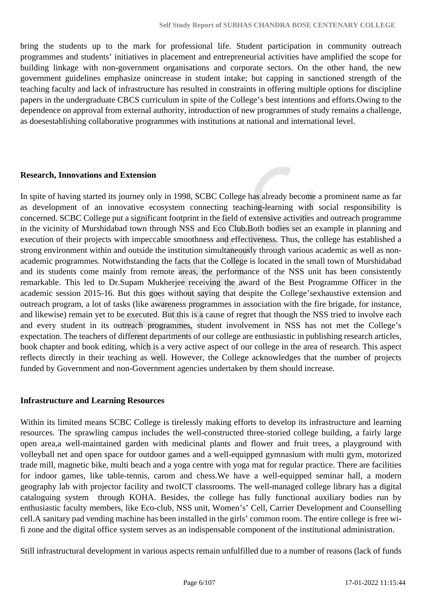bring the students up to the mark for professional life. Student participation in community outreach programmes and students' initiatives in placement and entrepreneurial activities have amplified the scope for building linkage with non-government organisations and corporate sectors. On the other hand, the new government guidelines emphasize onincrease in student intake; but capping in sanctioned strength of the teaching faculty and lack of infrastructure has resulted in constraints in offering multiple options for discipline papers in the undergraduate CBCS curriculum in spite of the College's best intentions and efforts.Owing to the dependence on approval from external authority, introduction of new programmes of study remains a challenge, as doesestablishing collaborative programmes with institutions at national and international level.

#### **Research, Innovations and Extension**

In spite of having started its journey only in 1998, SCBC College has already become a prominent name as far as development of an innovative ecosystem connecting teaching-learning with social responsibility is concerned. SCBC College put a significant footprint in the field of extensive activities and outreach programme in the vicinity of Murshidabad town through NSS and Eco Club.Both bodies set an example in planning and execution of their projects with impeccable smoothness and effectiveness. Thus, the college has established a strong environment within and outside the institution simultaneously through various academic as well as nonacademic programmes. Notwithstanding the facts that the College is located in the small town of Murshidabad and its students come mainly from remote areas, the performance of the NSS unit has been consistently remarkable. This led to Dr.Supam Mukherjee receiving the award of the Best Programme Officer in the academic session 2015-16. But this goes without saying that despite the College'sexhaustive extension and outreach program, a lot of tasks (like awareness programmes in association with the fire brigade, for instance, and likewise) remain yet to be executed. But this is a cause of regret that though the NSS tried to involve each and every student in its outreach programmes, student involvement in NSS has not met the College's expectation. The teachers of different departments of our college are enthusiastic in publishing research articles, book chapter and book editing, which is a very active aspect of our college in the area of research. This aspect reflects directly in their teaching as well. However, the College acknowledges that the number of projects funded by Government and non-Government agencies undertaken by them should increase.

#### **Infrastructure and Learning Resources**

Within its limited means SCBC College is tirelessly making efforts to develop its infrastructure and learning resources. The sprawling campus includes the well-constructed three-storied college building, a fairly large open area,a well-maintained garden with medicinal plants and flower and fruit trees, a playground with volleyball net and open space for outdoor games and a well-equipped gymnasium with multi gym, motorized trade mill, magnetic bike, multi beach and a yoga centre with yoga mat for regular practice. There are facilities for indoor games, like table-tennis, carom and chess.We have a well-equipped seminar hall, a modern geography lab with projector facility and twoICT classrooms. The well-managed college library has a digital cataloguing system through KOHA. Besides, the college has fully functional auxiliary bodies run by enthusiastic faculty members, like Eco-club, NSS unit, Women's' Cell, Carrier Development and Counselling cell.A sanitary pad vending machine has been installed in the girls' common room. The entire college is free wifi zone and the digital office system serves as an indispensable component of the institutional administration.

Still infrastructural development in various aspects remain unfulfilled due to a number of reasons (lack of funds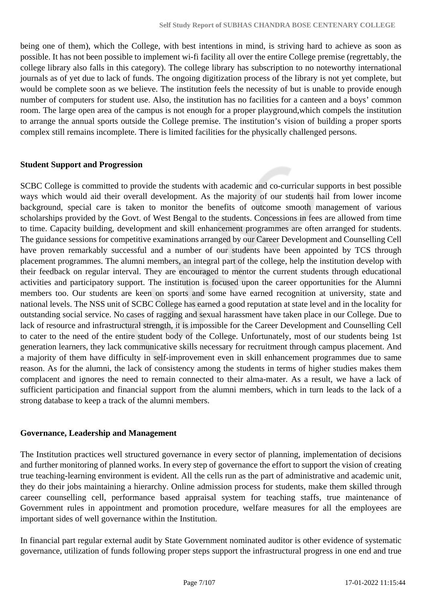being one of them), which the College, with best intentions in mind, is striving hard to achieve as soon as possible. It has not been possible to implement wi-fi facility all over the entire College premise (regrettably, the college library also falls in this category). The college library has subscription to no noteworthy international journals as of yet due to lack of funds. The ongoing digitization process of the library is not yet complete, but would be complete soon as we believe. The institution feels the necessity of but is unable to provide enough number of computers for student use. Also, the institution has no facilities for a canteen and a boys' common room. The large open area of the campus is not enough for a proper playground,which compels the institution to arrange the annual sports outside the College premise. The institution's vision of building a proper sports complex still remains incomplete. There is limited facilities for the physically challenged persons.

#### **Student Support and Progression**

SCBC College is committed to provide the students with academic and co-curricular supports in best possible ways which would aid their overall development. As the majority of our students hail from lower income background, special care is taken to monitor the benefits of outcome smooth management of various scholarships provided by the Govt. of West Bengal to the students. Concessions in fees are allowed from time to time. Capacity building, development and skill enhancement programmes are often arranged for students. The guidance sessions for competitive examinations arranged by our Career Development and Counselling Cell have proven remarkably successful and a number of our students have been appointed by TCS through placement programmes. The alumni members, an integral part of the college, help the institution develop with their feedback on regular interval. They are encouraged to mentor the current students through educational activities and participatory support. The institution is focused upon the career opportunities for the Alumni members too. Our students are keen on sports and some have earned recognition at university, state and national levels. The NSS unit of SCBC College has earned a good reputation at state level and in the locality for outstanding social service. No cases of ragging and sexual harassment have taken place in our College. Due to lack of resource and infrastructural strength, it is impossible for the Career Development and Counselling Cell to cater to the need of the entire student body of the College. Unfortunately, most of our students being 1st generation learners, they lack communicative skills necessary for recruitment through campus placement. And a majority of them have difficulty in self-improvement even in skill enhancement programmes due to same reason. As for the alumni, the lack of consistency among the students in terms of higher studies makes them complacent and ignores the need to remain connected to their alma-mater. As a result, we have a lack of sufficient participation and financial support from the alumni members, which in turn leads to the lack of a strong database to keep a track of the alumni members.

#### **Governance, Leadership and Management**

The Institution practices well structured governance in every sector of planning, implementation of decisions and further monitoring of planned works. In every step of governance the effort to support the vision of creating true teaching-learning environment is evident. All the cells run as the part of administrative and academic unit, they do their jobs maintaining a hierarchy. Online admission process for students, make them skilled through career counselling cell, performance based appraisal system for teaching staffs, true maintenance of Government rules in appointment and promotion procedure, welfare measures for all the employees are important sides of well governance within the Institution.

In financial part regular external audit by State Government nominated auditor is other evidence of systematic governance, utilization of funds following proper steps support the infrastructural progress in one end and true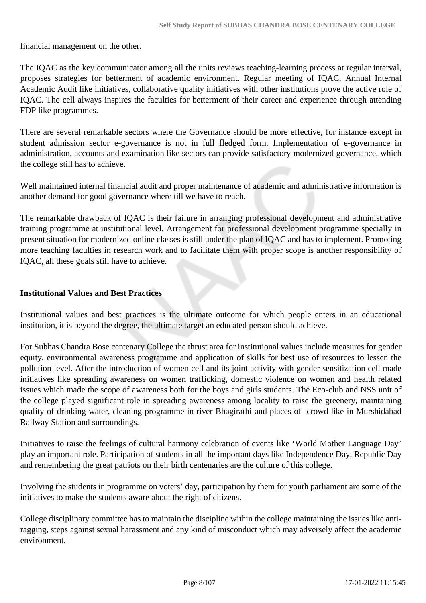financial management on the other.

The IQAC as the key communicator among all the units reviews teaching-learning process at regular interval, proposes strategies for betterment of academic environment. Regular meeting of IQAC, Annual Internal Academic Audit like initiatives, collaborative quality initiatives with other institutions prove the active role of IQAC. The cell always inspires the faculties for betterment of their career and experience through attending FDP like programmes.

There are several remarkable sectors where the Governance should be more effective, for instance except in student admission sector e-governance is not in full fledged form. Implementation of e-governance in administration, accounts and examination like sectors can provide satisfactory modernized governance, which the college still has to achieve.

Well maintained internal financial audit and proper maintenance of academic and administrative information is another demand for good governance where till we have to reach.

The remarkable drawback of IQAC is their failure in arranging professional development and administrative training programme at institutional level. Arrangement for professional development programme specially in present situation for modernized online classes is still under the plan of IQAC and has to implement. Promoting more teaching faculties in research work and to facilitate them with proper scope is another responsibility of IQAC, all these goals still have to achieve.

#### **Institutional Values and Best Practices**

Institutional values and best practices is the ultimate outcome for which people enters in an educational institution, it is beyond the degree, the ultimate target an educated person should achieve.

For Subhas Chandra Bose centenary College the thrust area for institutional values include measures for gender equity, environmental awareness programme and application of skills for best use of resources to lessen the pollution level. After the introduction of women cell and its joint activity with gender sensitization cell made initiatives like spreading awareness on women trafficking, domestic violence on women and health related issues which made the scope of awareness both for the boys and girls students. The Eco-club and NSS unit of the college played significant role in spreading awareness among locality to raise the greenery, maintaining quality of drinking water, cleaning programme in river Bhagirathi and places of crowd like in Murshidabad Railway Station and surroundings.

Initiatives to raise the feelings of cultural harmony celebration of events like 'World Mother Language Day' play an important role. Participation of students in all the important days like Independence Day, Republic Day and remembering the great patriots on their birth centenaries are the culture of this college.

Involving the students in programme on voters' day, participation by them for youth parliament are some of the initiatives to make the students aware about the right of citizens.

College disciplinary committee has to maintain the discipline within the college maintaining the issues like antiragging, steps against sexual harassment and any kind of misconduct which may adversely affect the academic environment.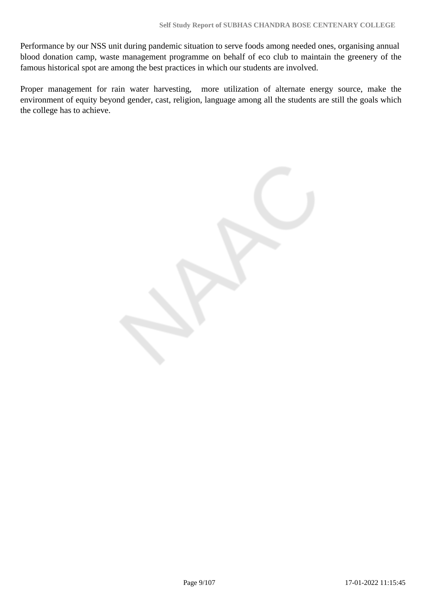Performance by our NSS unit during pandemic situation to serve foods among needed ones, organising annual blood donation camp, waste management programme on behalf of eco club to maintain the greenery of the famous historical spot are among the best practices in which our students are involved.

Proper management for rain water harvesting, more utilization of alternate energy source, make the environment of equity beyond gender, cast, religion, language among all the students are still the goals which the college has to achieve.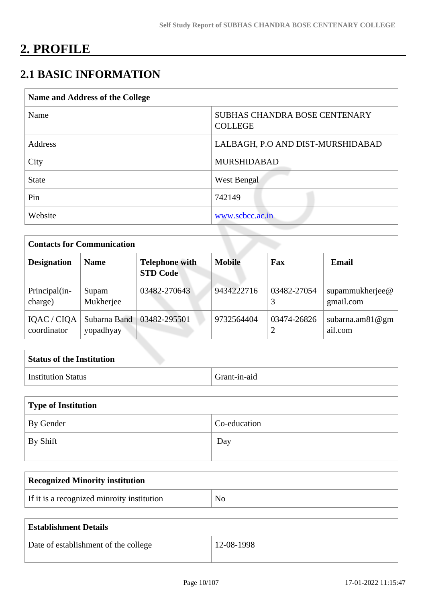# **2. PROFILE**

# **2.1 BASIC INFORMATION**

| Name and Address of the College |                                                        |  |
|---------------------------------|--------------------------------------------------------|--|
| Name                            | <b>SUBHAS CHANDRA BOSE CENTENARY</b><br><b>COLLEGE</b> |  |
| Address                         | LALBAGH, P.O AND DIST-MURSHIDABAD                      |  |
| City                            | <b>MURSHIDABAD</b>                                     |  |
| <b>State</b>                    | West Bengal                                            |  |
| Pin                             | 742149                                                 |  |
| Website                         | www.scbcc.ac.in                                        |  |

| <b>Contacts for Communication</b> |                           |                                          |               |             |                               |
|-----------------------------------|---------------------------|------------------------------------------|---------------|-------------|-------------------------------|
| <b>Designation</b>                | <b>Name</b>               | <b>Telephone with</b><br><b>STD Code</b> | <b>Mobile</b> | Fax         | <b>Email</b>                  |
| Principal(in-<br>charge)          | Supam<br>Mukherjee        | 03482-270643                             | 9434222716    | 03482-27054 | supammukherjee@<br>gmail.com  |
| IQAC / CIQA<br>coordinator        | Subarna Band<br>yopadhyay | 03482-295501                             | 9732564404    | 03474-26826 | subarna.am $81@gm$<br>ail.com |

| <b>Status of the Institution</b> |              |
|----------------------------------|--------------|
| <b>Institution Status</b>        | Grant-in-aid |

| Type of Institution |              |
|---------------------|--------------|
| By Gender           | Co-education |
| By Shift            | Day          |

| <b>Recognized Minority institution</b>     |  |
|--------------------------------------------|--|
| If it is a recognized minroity institution |  |

| <b>Establishment Details</b>         |            |
|--------------------------------------|------------|
| Date of establishment of the college | 12-08-1998 |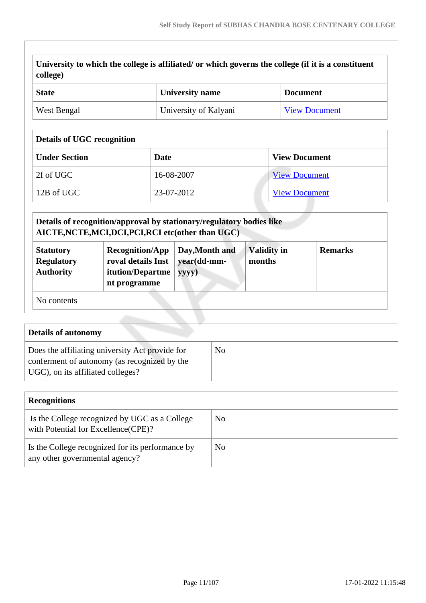| college) | University to which the college is affiliated/ or which governs the college (if it is a constituent |  |
|----------|-----------------------------------------------------------------------------------------------------|--|
|          |                                                                                                     |  |

| <sup>'</sup> State | <b>University name</b> | <b>Document</b>      |
|--------------------|------------------------|----------------------|
| West Bengal        | University of Kalyani  | <b>View Document</b> |

# **Details of UGC recognition**

| <b>Under Section</b> | Date       | <b>View Document</b> |
|----------------------|------------|----------------------|
| 2f of UGC            | 16-08-2007 | <b>View Document</b> |
| $12B$ of UGC         | 23-07-2012 | <b>View Document</b> |

|                                                           | Details of recognition/approval by stationary/regulatory bodies like<br>AICTE, NCTE, MCI, DCI, PCI, RCI etc (other than UGC) |                                        |                              |                |
|-----------------------------------------------------------|------------------------------------------------------------------------------------------------------------------------------|----------------------------------------|------------------------------|----------------|
| <b>Statutory</b><br><b>Regulatory</b><br><b>Authority</b> | <b>Recognition/App</b><br>roval details Inst<br>itution/Departme<br>nt programme                                             | Day, Month and<br>year(dd-mm-<br>yyyy) | <b>Validity in</b><br>months | <b>Remarks</b> |
| No contents                                               |                                                                                                                              |                                        |                              |                |

| <b>Details of autonomy</b>                                                                                                           |    |
|--------------------------------------------------------------------------------------------------------------------------------------|----|
| Does the affiliating university Act provide for<br>conferment of autonomy (as recognized by the<br>UGC), on its affiliated colleges? | No |

| <b>Recognitions</b>                                                                  |    |
|--------------------------------------------------------------------------------------|----|
| Is the College recognized by UGC as a College<br>with Potential for Excellence(CPE)? | No |
| Is the College recognized for its performance by<br>any other governmental agency?   | No |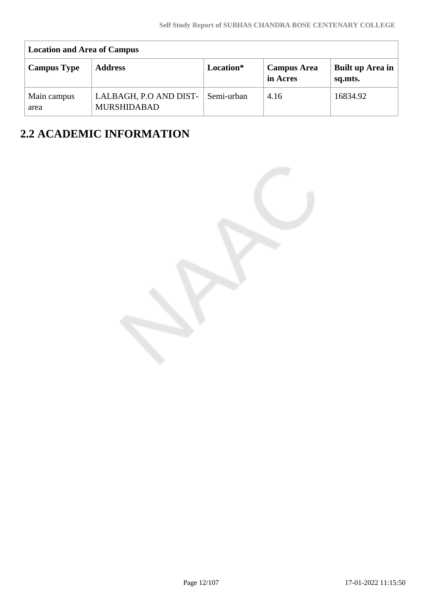| <b>Location and Area of Campus</b> |                                              |            |                                |                             |  |  |  |  |  |  |
|------------------------------------|----------------------------------------------|------------|--------------------------------|-----------------------------|--|--|--|--|--|--|
| <b>Campus Type</b>                 | <b>Address</b>                               | Location*  | <b>Campus Area</b><br>in Acres | Built up Area in<br>sq.mts. |  |  |  |  |  |  |
| Main campus<br>area                | LALBAGH, P.O AND DIST-<br><b>MURSHIDABAD</b> | Semi-urban | 4.16                           | 16834.92                    |  |  |  |  |  |  |

# **2.2 ACADEMIC INFORMATION**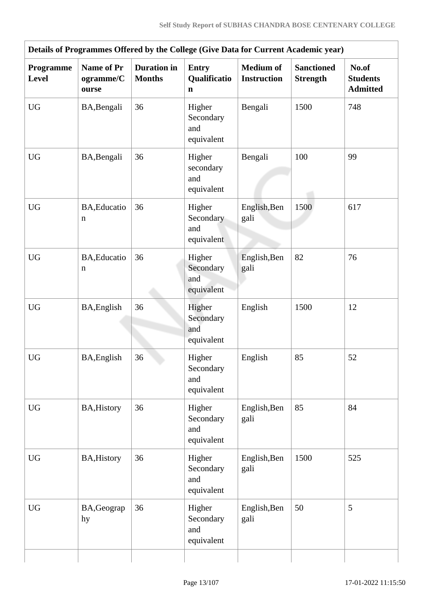| Details of Programmes Offered by the College (Give Data for Current Academic year) |                                         |                                     |                                             |                                        |                                      |                                             |  |  |  |  |
|------------------------------------------------------------------------------------|-----------------------------------------|-------------------------------------|---------------------------------------------|----------------------------------------|--------------------------------------|---------------------------------------------|--|--|--|--|
| Programme<br><b>Level</b>                                                          | <b>Name of Pr</b><br>ogramme/C<br>ourse | <b>Duration</b> in<br><b>Months</b> | <b>Entry</b><br>Qualificatio<br>$\mathbf n$ | <b>Medium of</b><br><b>Instruction</b> | <b>Sanctioned</b><br><b>Strength</b> | No.of<br><b>Students</b><br><b>Admitted</b> |  |  |  |  |
| $\rm U G$                                                                          | BA, Bengali                             | 36                                  | Higher<br>Secondary<br>and<br>equivalent    | Bengali                                | 1500                                 | 748                                         |  |  |  |  |
| <b>UG</b>                                                                          | BA, Bengali                             | 36                                  | Higher<br>secondary<br>and<br>equivalent    | Bengali                                | 100                                  | 99                                          |  |  |  |  |
| UG                                                                                 | BA, Educatio<br>n                       | 36                                  | Higher<br>Secondary<br>and<br>equivalent    | English, Ben<br>gali                   | 1500                                 | 617                                         |  |  |  |  |
| <b>UG</b>                                                                          | BA, Educatio<br>n                       | 36                                  | Higher<br>Secondary<br>and<br>equivalent    | English, Ben<br>gali                   | 82                                   | 76                                          |  |  |  |  |
| <b>UG</b>                                                                          | BA, English                             | 36                                  | Higher<br>Secondary<br>and<br>equivalent    | English                                | 1500                                 | 12                                          |  |  |  |  |
| ${\rm U}{\rm G}$                                                                   | BA, English                             | 36                                  | Higher<br>Secondary<br>and<br>equivalent    | English                                | 85                                   | 52                                          |  |  |  |  |
| $\rm U G$                                                                          | <b>BA, History</b>                      | 36                                  | Higher<br>Secondary<br>and<br>equivalent    | English, Ben<br>gali                   | 85                                   | 84                                          |  |  |  |  |
| <b>UG</b>                                                                          | <b>BA, History</b>                      | 36                                  | Higher<br>Secondary<br>and<br>equivalent    | English, Ben<br>gali                   | 1500                                 | 525                                         |  |  |  |  |
| <b>UG</b>                                                                          | BA, Geograp<br>hy                       | 36                                  | Higher<br>Secondary<br>and<br>equivalent    | English, Ben<br>gali                   | 50                                   | 5                                           |  |  |  |  |
|                                                                                    |                                         |                                     |                                             |                                        |                                      |                                             |  |  |  |  |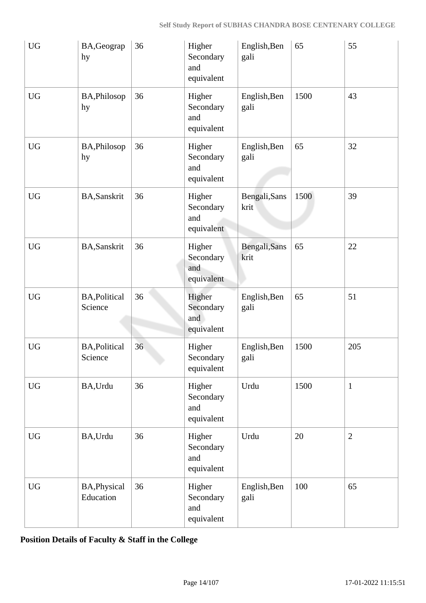| ${\rm U}{\rm G}$ | BA, Geograp<br>hy                | 36 | Higher<br>Secondary<br>and<br>equivalent | English, Ben<br>gali  | 65   | 55             |
|------------------|----------------------------------|----|------------------------------------------|-----------------------|------|----------------|
| <b>UG</b>        | BA, Philosop<br>hy               | 36 | Higher<br>Secondary<br>and<br>equivalent | English, Ben<br>gali  | 1500 | 43             |
| <b>UG</b>        | BA, Philosop<br>hy               | 36 | Higher<br>Secondary<br>and<br>equivalent | English, Ben<br>gali  | 65   | 32             |
| <b>UG</b>        | <b>BA,Sanskrit</b>               | 36 | Higher<br>Secondary<br>and<br>equivalent | Bengali, Sans<br>krit | 1500 | 39             |
| <b>UG</b>        | BA, Sanskrit                     | 36 | Higher<br>Secondary<br>and<br>equivalent | Bengali, Sans<br>krit | 65   | 22             |
| <b>UG</b>        | <b>BA, Political</b><br>Science  | 36 | Higher<br>Secondary<br>and<br>equivalent | English, Ben<br>gali  | 65   | 51             |
| <b>UG</b>        | <b>BA, Political</b><br>Science  | 36 | Higher<br>Secondary<br>equivalent        | English, Ben<br>gali  | 1500 | 205            |
| <b>UG</b>        | BA, Urdu                         | 36 | Higher<br>Secondary<br>and<br>equivalent | Urdu                  | 1500 | $\mathbf{1}$   |
| ${\rm U}{\rm G}$ | BA, Urdu                         | 36 | Higher<br>Secondary<br>and<br>equivalent | Urdu                  | 20   | $\overline{2}$ |
| <b>UG</b>        | <b>BA, Physical</b><br>Education | 36 | Higher<br>Secondary<br>and<br>equivalent | English, Ben<br>gali  | 100  | 65             |

**Position Details of Faculty & Staff in the College**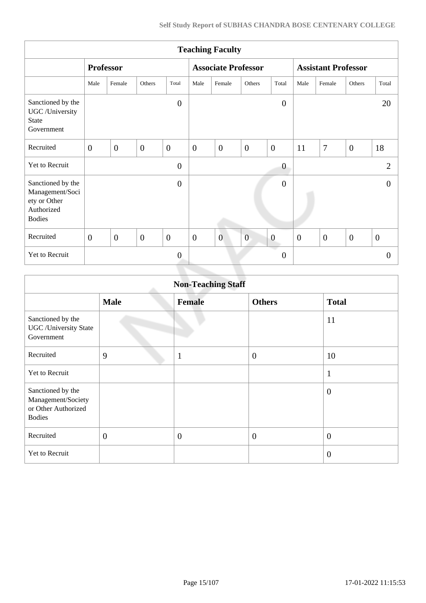| <b>Teaching Faculty</b>                                                             |                  |                  |                |                |                  |                            |                |                  |                |                            |                |                |
|-------------------------------------------------------------------------------------|------------------|------------------|----------------|----------------|------------------|----------------------------|----------------|------------------|----------------|----------------------------|----------------|----------------|
|                                                                                     |                  | <b>Professor</b> |                |                |                  | <b>Associate Professor</b> |                |                  |                | <b>Assistant Professor</b> |                |                |
|                                                                                     | Male             | Female           | Others         | Total          | Male             | Female                     | Others         | Total            | Male           | Female                     | Others         | Total          |
| Sanctioned by the<br>UGC /University<br>State<br>Government                         |                  |                  |                | $\overline{0}$ |                  |                            |                | $\overline{0}$   |                |                            |                | 20             |
| Recruited                                                                           | $\overline{0}$   | $\overline{0}$   | $\overline{0}$ | $\overline{0}$ | $\boldsymbol{0}$ | $\overline{0}$             | $\mathbf{0}$   | $\overline{0}$   | 11             | $\boldsymbol{7}$           | $\overline{0}$ | 18             |
| Yet to Recruit                                                                      |                  |                  |                | $\overline{0}$ |                  |                            |                | $\boldsymbol{0}$ |                |                            |                | $\overline{2}$ |
| Sanctioned by the<br>Management/Soci<br>ety or Other<br>Authorized<br><b>Bodies</b> |                  |                  |                | $\overline{0}$ |                  |                            |                | $\overline{0}$   |                |                            |                | $\overline{0}$ |
| Recruited                                                                           | $\boldsymbol{0}$ | $\overline{0}$   | $\mathbf{0}$   | $\mathbf{0}$   | $\mathbf{0}$     | $\overline{0}$             | $\overline{0}$ | $\boldsymbol{0}$ | $\overline{0}$ | $\overline{0}$             | $\overline{0}$ | $\overline{0}$ |
| Yet to Recruit                                                                      |                  |                  |                | $\overline{0}$ |                  |                            |                | $\overline{0}$   |                |                            |                | $\theta$       |

|                                                                                 | <b>Non-Teaching Staff</b> |                |                |                  |  |  |  |  |  |  |  |
|---------------------------------------------------------------------------------|---------------------------|----------------|----------------|------------------|--|--|--|--|--|--|--|
|                                                                                 | <b>Male</b>               | <b>Female</b>  | <b>Others</b>  | <b>Total</b>     |  |  |  |  |  |  |  |
| Sanctioned by the<br><b>UGC</b> / University State<br>Government                |                           |                |                | 11               |  |  |  |  |  |  |  |
| Recruited                                                                       | 9                         | $\mathbf{1}$   | $\overline{0}$ | 10               |  |  |  |  |  |  |  |
| Yet to Recruit                                                                  |                           |                |                | $\mathbf{1}$     |  |  |  |  |  |  |  |
| Sanctioned by the<br>Management/Society<br>or Other Authorized<br><b>Bodies</b> |                           |                |                | $\theta$         |  |  |  |  |  |  |  |
| Recruited                                                                       | $\overline{0}$            | $\overline{0}$ | $\theta$       | $\boldsymbol{0}$ |  |  |  |  |  |  |  |
| Yet to Recruit                                                                  |                           |                |                | $\overline{0}$   |  |  |  |  |  |  |  |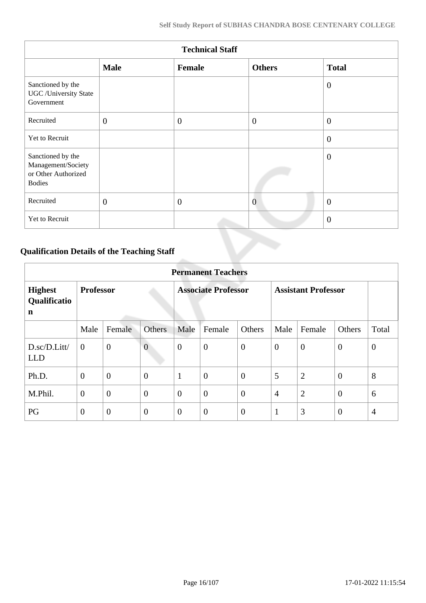| <b>Technical Staff</b>                                                          |              |              |                |                |  |  |  |  |  |  |
|---------------------------------------------------------------------------------|--------------|--------------|----------------|----------------|--|--|--|--|--|--|
|                                                                                 | <b>Male</b>  | Female       | <b>Others</b>  | <b>Total</b>   |  |  |  |  |  |  |
| Sanctioned by the<br><b>UGC</b> / University State<br>Government                |              |              |                | $\overline{0}$ |  |  |  |  |  |  |
| Recruited                                                                       | $\mathbf{0}$ | $\mathbf{0}$ | $\overline{0}$ | $\overline{0}$ |  |  |  |  |  |  |
| Yet to Recruit                                                                  |              |              |                | $\overline{0}$ |  |  |  |  |  |  |
| Sanctioned by the<br>Management/Society<br>or Other Authorized<br><b>Bodies</b> |              |              |                | $\theta$       |  |  |  |  |  |  |
| Recruited                                                                       | $\mathbf{0}$ | $\mathbf{0}$ | $\overline{0}$ | $\theta$       |  |  |  |  |  |  |
| Yet to Recruit                                                                  |              |              |                | $\overline{0}$ |  |  |  |  |  |  |

# **Qualification Details of the Teaching Staff**

|                                     | <b>Permanent Teachers</b> |                  |                |                            |                  |                  |                            |                |                |                |  |
|-------------------------------------|---------------------------|------------------|----------------|----------------------------|------------------|------------------|----------------------------|----------------|----------------|----------------|--|
| <b>Highest</b><br>Qualificatio<br>n | <b>Professor</b>          |                  |                | <b>Associate Professor</b> |                  |                  | <b>Assistant Professor</b> |                |                |                |  |
|                                     | Male                      | Female           | <b>Others</b>  | Male                       | Female           | Others           | Male                       | Female         | Others         | Total          |  |
| D.sc/D.Litt/<br><b>LLD</b>          | $\overline{0}$            | $\boldsymbol{0}$ | $\overline{0}$ | $\overline{0}$             | $\mathbf{0}$     | $\overline{0}$   | $\theta$                   | $\theta$       | $\overline{0}$ | $\theta$       |  |
| Ph.D.                               | $\overline{0}$            | $\mathbf{0}$     | $\overline{0}$ | $\mathbf{1}$               | $\overline{0}$   | $\overline{0}$   | 5                          | $\overline{2}$ | $\theta$       | 8              |  |
| M.Phil.                             | $\boldsymbol{0}$          | $\overline{0}$   | $\overline{0}$ | $\overline{0}$             | $\boldsymbol{0}$ | $\boldsymbol{0}$ | $\overline{4}$             | $\overline{2}$ | $\overline{0}$ | 6              |  |
| PG                                  | $\boldsymbol{0}$          | $\boldsymbol{0}$ | $\overline{0}$ | $\overline{0}$             | $\boldsymbol{0}$ | $\overline{0}$   | $\mathbf{1}$               | 3              | $\overline{0}$ | $\overline{4}$ |  |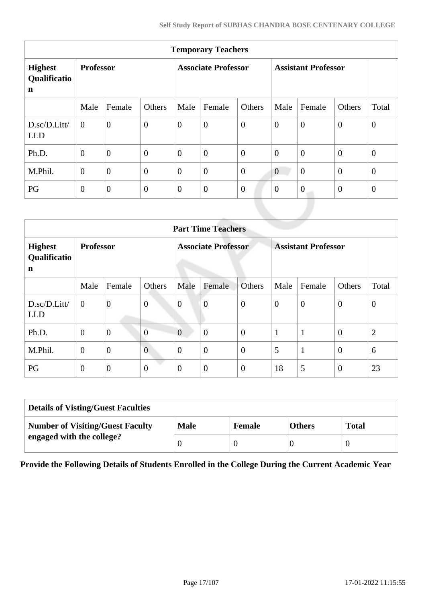| <b>Temporary Teachers</b>                     |                  |                |                |                  |                            |                  |                  |                            |              |                |  |
|-----------------------------------------------|------------------|----------------|----------------|------------------|----------------------------|------------------|------------------|----------------------------|--------------|----------------|--|
| <b>Highest</b><br>Qualificatio<br>$\mathbf n$ | <b>Professor</b> |                |                |                  | <b>Associate Professor</b> |                  |                  | <b>Assistant Professor</b> |              |                |  |
|                                               | Male             | Female         | Others         | Male             | Female                     | Others           | Male             | Female                     | Others       | Total          |  |
| D.sc/D.Litt/<br><b>LLD</b>                    | $\theta$         | $\overline{0}$ | $\overline{0}$ | $\overline{0}$   | $\boldsymbol{0}$           | $\overline{0}$   | $\overline{0}$   | $\overline{0}$             | $\mathbf{0}$ | $\mathbf{0}$   |  |
| Ph.D.                                         | $\overline{0}$   | $\overline{0}$ | $\overline{0}$ | $\overline{0}$   | $\overline{0}$             | $\boldsymbol{0}$ | $\overline{0}$   | $\boldsymbol{0}$           | $\mathbf{0}$ | $\overline{0}$ |  |
| M.Phil.                                       | $\overline{0}$   | $\overline{0}$ | $\overline{0}$ | $\boldsymbol{0}$ | $\boldsymbol{0}$           | $\overline{0}$   | $\overline{0}$   | $\overline{0}$             | $\mathbf{0}$ | $\overline{0}$ |  |
| PG                                            | $\mathbf{0}$     | $\overline{0}$ | $\overline{0}$ | $\overline{0}$   | $\boldsymbol{0}$           | $\boldsymbol{0}$ | $\boldsymbol{0}$ | $\boldsymbol{0}$           | $\mathbf{0}$ | $\overline{0}$ |  |
|                                               |                  |                |                |                  |                            |                  |                  |                            |              |                |  |

|                                     | <b>Part Time Teachers</b> |                  |                  |                |                            |                  |                |                            |                  |                |  |
|-------------------------------------|---------------------------|------------------|------------------|----------------|----------------------------|------------------|----------------|----------------------------|------------------|----------------|--|
| <b>Highest</b><br>Qualificatio<br>n | <b>Professor</b>          |                  |                  |                | <b>Associate Professor</b> |                  |                | <b>Assistant Professor</b> |                  |                |  |
|                                     | Male                      | Female           | Others           | Male           | Female                     | <b>Others</b>    | Male           | Female                     | Others           | Total          |  |
| D.sc/D.Litt/<br><b>LLD</b>          | $\overline{0}$            | $\mathbf{0}$     | $\boldsymbol{0}$ | $\overline{0}$ | $\overline{0}$             | $\overline{0}$   | $\overline{0}$ | $\overline{0}$             | $\theta$         | $\theta$       |  |
| Ph.D.                               | $\boldsymbol{0}$          | $\boldsymbol{0}$ | $\overline{0}$   | $\overline{0}$ | $\overline{0}$             | $\overline{0}$   | 1              | $\mathbf{1}$               | $\overline{0}$   | $\overline{2}$ |  |
| M.Phil.                             | $\mathbf{0}$              | $\overline{0}$   | $\overline{0}$   | $\overline{0}$ | $\boldsymbol{0}$           | $\boldsymbol{0}$ | 5              | $\mathbf{1}$               | $\theta$         | 6              |  |
| PG                                  | $\mathbf{0}$              | $\mathbf{0}$     | $\boldsymbol{0}$ | $\overline{0}$ | $\boldsymbol{0}$           | $\boldsymbol{0}$ | 18             | 5                          | $\boldsymbol{0}$ | 23             |  |

| <b>Details of Visting/Guest Faculties</b> |             |               |               |              |  |  |  |  |
|-------------------------------------------|-------------|---------------|---------------|--------------|--|--|--|--|
| <b>Number of Visiting/Guest Faculty</b>   | <b>Male</b> | <b>Female</b> | <b>Others</b> | <b>Total</b> |  |  |  |  |
| engaged with the college?                 |             |               |               |              |  |  |  |  |

**Provide the Following Details of Students Enrolled in the College During the Current Academic Year**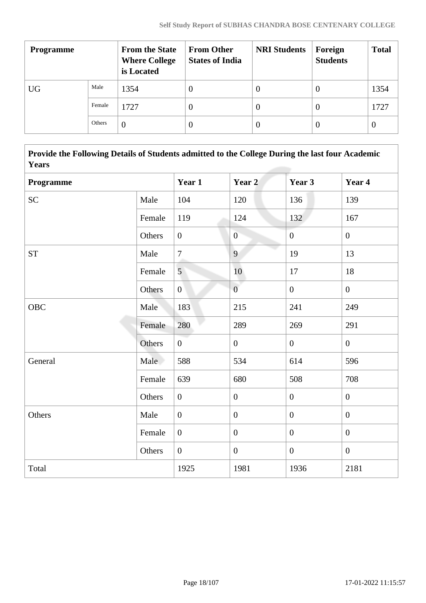| <b>Programme</b> |        | <b>From the State</b><br><b>Where College</b><br>is Located | <b>From Other</b><br><b>States of India</b> | <b>NRI Students</b> | Foreign<br><b>Students</b> | <b>Total</b>     |
|------------------|--------|-------------------------------------------------------------|---------------------------------------------|---------------------|----------------------------|------------------|
| <b>UG</b>        | Male   | 1354                                                        | 0                                           | O                   | 0                          | 1354             |
|                  | Female | 1727                                                        | 0                                           | $\cup$              | 0                          | 1727             |
|                  | Others | $\theta$                                                    |                                             | $\theta$            | 0                          | $\boldsymbol{0}$ |

 **Provide the Following Details of Students admitted to the College During the last four Academic Years**

| Programme |        | Year 1           | Year 2           | Year 3           | Year 4           |
|-----------|--------|------------------|------------------|------------------|------------------|
| <b>SC</b> | Male   | 104              | 120              | 136              | 139              |
|           | Female | 119              | 124              | 132              | 167              |
|           | Others | $\overline{0}$   | $\overline{0}$   | $\mathbf{0}$     | $\overline{0}$   |
| <b>ST</b> | Male   | $\tau$           | $\overline{9}$   | 19               | 13               |
|           | Female | 5 <sup>1</sup>   | 10               | 17               | 18               |
|           | Others | $\boldsymbol{0}$ | $\overline{0}$   | $\overline{0}$   | $\mathbf{0}$     |
| OBC       | Male   | 183              | 215              | 241              | 249              |
|           | Female | 280              | 289              | 269              | 291              |
|           | Others | $\overline{0}$   | $\overline{0}$   | $\overline{0}$   | $\overline{0}$   |
| General   | Male   | 588              | 534              | 614              | 596              |
|           | Female | 639              | 680              | 508              | 708              |
|           | Others | $\boldsymbol{0}$ | $\boldsymbol{0}$ | $\boldsymbol{0}$ | $\boldsymbol{0}$ |
| Others    | Male   | $\mathbf{0}$     | $\boldsymbol{0}$ | $\overline{0}$   | $\overline{0}$   |
|           | Female | $\boldsymbol{0}$ | $\mathbf{0}$     | $\overline{0}$   | $\overline{0}$   |
|           | Others | $\boldsymbol{0}$ | $\boldsymbol{0}$ | $\overline{0}$   | $\overline{0}$   |
| Total     |        | 1925             | 1981             | 1936             | 2181             |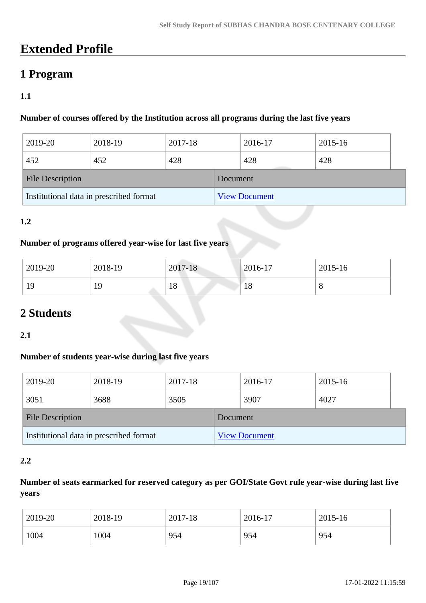# **Extended Profile**

# **1 Program**

# **1.1**

# **Number of courses offered by the Institution across all programs during the last five years**

| 2019-20                 | 2018-19                                 | 2017-18 |          | 2016-17              | 2015-16 |  |
|-------------------------|-----------------------------------------|---------|----------|----------------------|---------|--|
| 452                     | 452                                     | 428     |          | 428                  | 428     |  |
| <b>File Description</b> |                                         |         | Document |                      |         |  |
|                         | Institutional data in prescribed format |         |          | <b>View Document</b> |         |  |

## **1.2**

#### **Number of programs offered year-wise for last five years**

| 2019-20 | 2018-19    | 2017-18 | 2016-17   | 2015-16 |
|---------|------------|---------|-----------|---------|
| 19      | 1 Q<br>* * | 18      | - 0<br>18 | U       |

# **2 Students**

#### **2.1**

#### **Number of students year-wise during last five years**

| 2019-20                                 | 2018-19 | 2017-18  |                      | 2016-17 | 2015-16 |  |
|-----------------------------------------|---------|----------|----------------------|---------|---------|--|
| 3051                                    | 3688    | 3505     |                      | 3907    | 4027    |  |
| <b>File Description</b>                 |         | Document |                      |         |         |  |
| Institutional data in prescribed format |         |          | <b>View Document</b> |         |         |  |

#### **2.2**

# **Number of seats earmarked for reserved category as per GOI/State Govt rule year-wise during last five years**

| 2019-20 | 2018-19 | 2017-18 | 2016-17 | 2015-16 |
|---------|---------|---------|---------|---------|
| 1004    | 004     | 954     | 954     | 954     |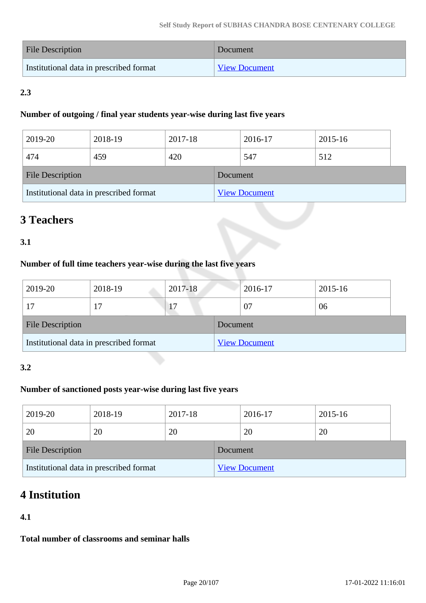| <b>File Description</b>                 | Document             |
|-----------------------------------------|----------------------|
| Institutional data in prescribed format | <b>View Document</b> |

# **2.3**

#### **Number of outgoing / final year students year-wise during last five years**

| 2019-20                                 | 2018-19 | 2017-18  |                      | 2016-17 | 2015-16 |  |
|-----------------------------------------|---------|----------|----------------------|---------|---------|--|
| 474                                     | 459     | 420      |                      | 547     | 512     |  |
| <b>File Description</b>                 |         | Document |                      |         |         |  |
| Institutional data in prescribed format |         |          | <b>View Document</b> |         |         |  |

# **3 Teachers**

# **3.1**

# **Number of full time teachers year-wise during the last five years**

| 2019-20                                 | 2018-19 | 2017-18  |                      | 2016-17 | 2015-16 |
|-----------------------------------------|---------|----------|----------------------|---------|---------|
| 17                                      |         |          |                      | 07      | 06      |
| <b>File Description</b>                 |         | Document |                      |         |         |
| Institutional data in prescribed format |         |          | <b>View Document</b> |         |         |

## **3.2**

# **Number of sanctioned posts year-wise during last five years**

| 2019-20                                 | 2018-19 | 2017-18  |                      | 2016-17 | 2015-16 |  |
|-----------------------------------------|---------|----------|----------------------|---------|---------|--|
| 20                                      | 20      | 20       |                      | 20      | 20      |  |
| <b>File Description</b>                 |         | Document |                      |         |         |  |
| Institutional data in prescribed format |         |          | <b>View Document</b> |         |         |  |

# **4 Institution**

## **4.1**

**Total number of classrooms and seminar halls**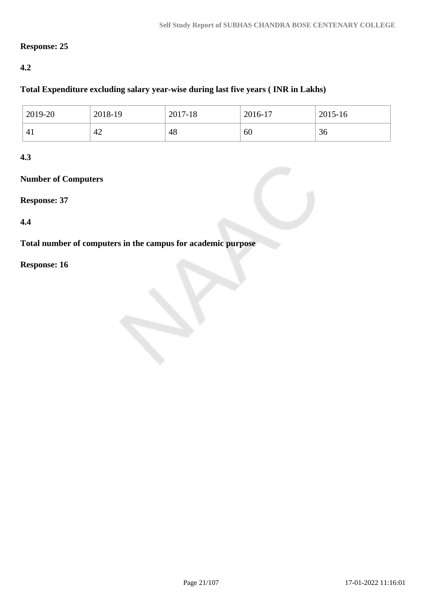## **Response: 25**

## **4.2**

### **Total Expenditure excluding salary year-wise during last five years ( INR in Lakhs)**

| 2019-20 | 2018-19 | 2017-18 | 2016-17 | 2015-16 |
|---------|---------|---------|---------|---------|
| 41      | 42      | 48      | 60      | 36      |

### **4.3**

# **Number of Computers**

#### **Response: 37**

#### **4.4**

**Total number of computers in the campus for academic purpose**

## **Response: 16**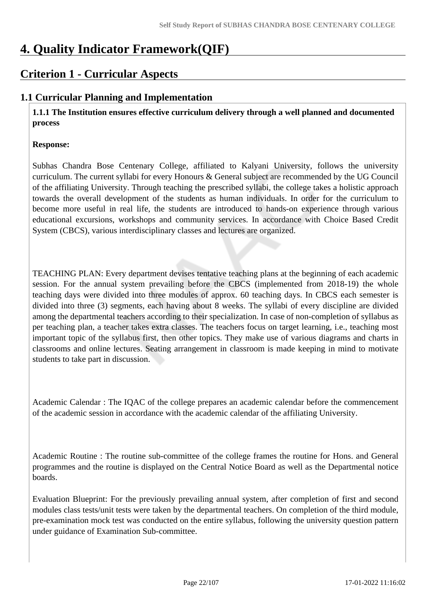# **4. Quality Indicator Framework(QIF)**

# **Criterion 1 - Curricular Aspects**

# **1.1 Curricular Planning and Implementation**

 **1.1.1 The Institution ensures effective curriculum delivery through a well planned and documented process**

### **Response:**

Subhas Chandra Bose Centenary College, affiliated to Kalyani University, follows the university curriculum. The current syllabi for every Honours & General subject are recommended by the UG Council of the affiliating University. Through teaching the prescribed syllabi, the college takes a holistic approach towards the overall development of the students as human individuals. In order for the curriculum to become more useful in real life, the students are introduced to hands-on experience through various educational excursions, workshops and community services. In accordance with Choice Based Credit System (CBCS), various interdisciplinary classes and lectures are organized.

TEACHING PLAN: Every department devises tentative teaching plans at the beginning of each academic session. For the annual system prevailing before the CBCS (implemented from 2018-19) the whole teaching days were divided into three modules of approx. 60 teaching days. In CBCS each semester is divided into three (3) segments, each having about 8 weeks. The syllabi of every discipline are divided among the departmental teachers according to their specialization. In case of non-completion of syllabus as per teaching plan, a teacher takes extra classes. The teachers focus on target learning, i.e., teaching most important topic of the syllabus first, then other topics. They make use of various diagrams and charts in classrooms and online lectures. Seating arrangement in classroom is made keeping in mind to motivate students to take part in discussion.

Academic Calendar : The IQAC of the college prepares an academic calendar before the commencement of the academic session in accordance with the academic calendar of the affiliating University.

Academic Routine : The routine sub-committee of the college frames the routine for Hons. and General programmes and the routine is displayed on the Central Notice Board as well as the Departmental notice boards.

Evaluation Blueprint: For the previously prevailing annual system, after completion of first and second modules class tests/unit tests were taken by the departmental teachers. On completion of the third module, pre-examination mock test was conducted on the entire syllabus, following the university question pattern under guidance of Examination Sub-committee.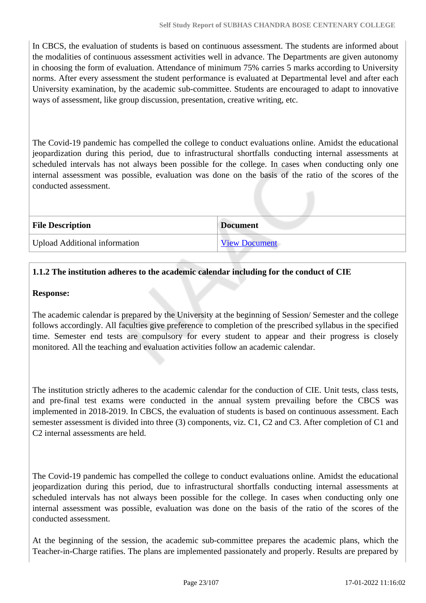In CBCS, the evaluation of students is based on continuous assessment. The students are informed about the modalities of continuous assessment activities well in advance. The Departments are given autonomy in choosing the form of evaluation. Attendance of minimum 75% carries 5 marks according to University norms. After every assessment the student performance is evaluated at Departmental level and after each University examination, by the academic sub-committee. Students are encouraged to adapt to innovative ways of assessment, like group discussion, presentation, creative writing, etc.

The Covid-19 pandemic has compelled the college to conduct evaluations online. Amidst the educational jeopardization during this period, due to infrastructural shortfalls conducting internal assessments at scheduled intervals has not always been possible for the college. In cases when conducting only one internal assessment was possible, evaluation was done on the basis of the ratio of the scores of the conducted assessment.

| <b>File Description</b>              | <b>Document</b>      |
|--------------------------------------|----------------------|
| <b>Upload Additional information</b> | <b>View Document</b> |

# **1.1.2 The institution adheres to the academic calendar including for the conduct of CIE**

#### **Response:**

The academic calendar is prepared by the University at the beginning of Session/ Semester and the college follows accordingly. All faculties give preference to completion of the prescribed syllabus in the specified time. Semester end tests are compulsory for every student to appear and their progress is closely monitored. All the teaching and evaluation activities follow an academic calendar.

The institution strictly adheres to the academic calendar for the conduction of CIE. Unit tests, class tests, and pre-final test exams were conducted in the annual system prevailing before the CBCS was implemented in 2018-2019. In CBCS, the evaluation of students is based on continuous assessment. Each semester assessment is divided into three (3) components, viz. C1, C2 and C3. After completion of C1 and C2 internal assessments are held.

The Covid-19 pandemic has compelled the college to conduct evaluations online. Amidst the educational jeopardization during this period, due to infrastructural shortfalls conducting internal assessments at scheduled intervals has not always been possible for the college. In cases when conducting only one internal assessment was possible, evaluation was done on the basis of the ratio of the scores of the conducted assessment.

At the beginning of the session, the academic sub-committee prepares the academic plans, which the Teacher-in-Charge ratifies. The plans are implemented passionately and properly. Results are prepared by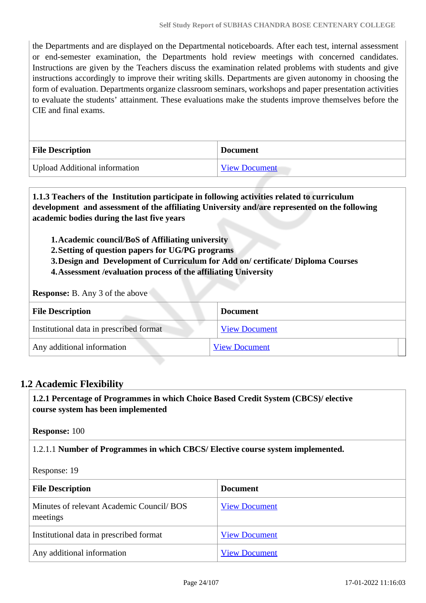the Departments and are displayed on the Departmental noticeboards. After each test, internal assessment or end-semester examination, the Departments hold review meetings with concerned candidates. Instructions are given by the Teachers discuss the examination related problems with students and give instructions accordingly to improve their writing skills. Departments are given autonomy in choosing the form of evaluation. Departments organize classroom seminars, workshops and paper presentation activities to evaluate the students' attainment. These evaluations make the students improve themselves before the CIE and final exams.

| <b>File Description</b>       | <b>Document</b>      |
|-------------------------------|----------------------|
| Upload Additional information | <b>View Document</b> |

 **1.1.3 Teachers of the Institution participate in following activities related to curriculum development and assessment of the affiliating University and/are represented on the following academic bodies during the last five years** 

**1.Academic council/BoS of Affiliating university**

**2.Setting of question papers for UG/PG programs** 

**3.Design and Development of Curriculum for Add on/ certificate/ Diploma Courses** 

**4.Assessment /evaluation process of the affiliating University**

**Response:** B. Any 3 of the above

| <b>File Description</b>                 | <b>Document</b>      |
|-----------------------------------------|----------------------|
| Institutional data in prescribed format | <b>View Document</b> |
| Any additional information              | <b>View Document</b> |

#### **1.2 Academic Flexibility**

 **1.2.1 Percentage of Programmes in which Choice Based Credit System (CBCS)/ elective course system has been implemented** 

**Response:** 100

1.2.1.1 **Number of Programmes in which CBCS/ Elective course system implemented.**

Response: 19

| <b>File Description</b>                               | <b>Document</b>      |
|-------------------------------------------------------|----------------------|
| Minutes of relevant Academic Council/ BOS<br>meetings | <b>View Document</b> |
| Institutional data in prescribed format               | <b>View Document</b> |
| Any additional information                            | <b>View Document</b> |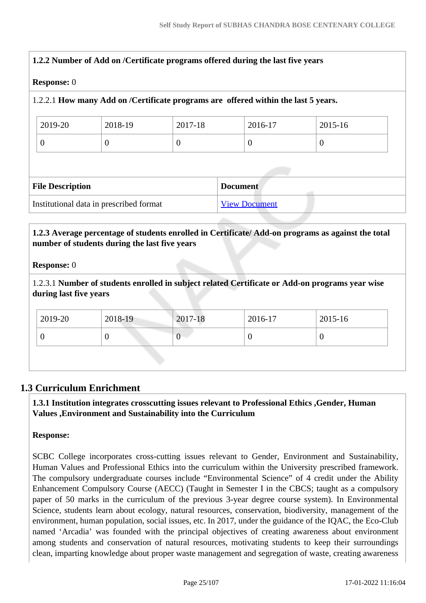| <b>Response: 0</b>      |                                         |                |                                                                                    |                |
|-------------------------|-----------------------------------------|----------------|------------------------------------------------------------------------------------|----------------|
|                         |                                         |                | 1.2.2.1 How many Add on /Certificate programs are offered within the last 5 years. |                |
| 2019-20                 | 2018-19                                 | 2017-18        | 2016-17                                                                            | $2015 - 16$    |
| $\Omega$                | $\theta$                                | $\overline{0}$ | $\overline{0}$                                                                     | $\overline{0}$ |
|                         |                                         |                |                                                                                    |                |
|                         |                                         |                |                                                                                    |                |
|                         |                                         |                |                                                                                    |                |
| <b>File Description</b> |                                         |                | <b>Document</b>                                                                    |                |
|                         | Institutional data in prescribed format |                | <b>View Document</b>                                                               |                |

# **1.2.3 Average percentage of students enrolled in Certificate/ Add-on programs as against the total number of students during the last five years**

#### **Response:** 0

1.2.3.1 **Number of students enrolled in subject related Certificate or Add-on programs year wise during last five years**

| 2019-20 | 2018-19 | 2017-18 | 2016-17 | 2015-16 |  |
|---------|---------|---------|---------|---------|--|
| v       |         | ν       | ν       |         |  |
|         |         |         |         |         |  |

# **1.3 Curriculum Enrichment**

 **1.3.1 Institution integrates crosscutting issues relevant to Professional Ethics ,Gender, Human Values ,Environment and Sustainability into the Curriculum**

#### **Response:**

SCBC College incorporates cross-cutting issues relevant to Gender, Environment and Sustainability, Human Values and Professional Ethics into the curriculum within the University prescribed framework. The compulsory undergraduate courses include "Environmental Science" of 4 credit under the Ability Enhancement Compulsory Course (AECC) (Taught in Semester I in the CBCS; taught as a compulsory paper of 50 marks in the curriculum of the previous 3-year degree course system). In Environmental Science, students learn about ecology, natural resources, conservation, biodiversity, management of the environment, human population, social issues, etc. In 2017, under the guidance of the IQAC, the Eco-Club named 'Arcadia' was founded with the principal objectives of creating awareness about environment among students and conservation of natural resources, motivating students to keep their surroundings clean, imparting knowledge about proper waste management and segregation of waste, creating awareness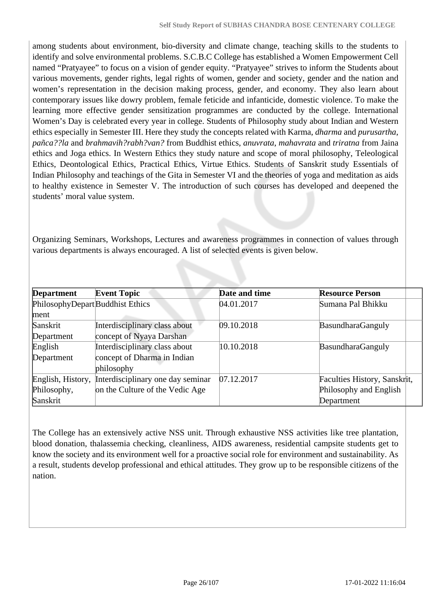among students about environment, bio-diversity and climate change, teaching skills to the students to identify and solve environmental problems. S.C.B.C College has established a Women Empowerment Cell named "Pratyayee" to focus on a vision of gender equity. "Pratyayee" strives to inform the Students about various movements, gender rights, legal rights of women, gender and society, gender and the nation and women's representation in the decision making process, gender, and economy. They also learn about contemporary issues like dowry problem, female feticide and infanticide, domestic violence. To make the learning more effective gender sensitization programmes are conducted by the college. International Women's Day is celebrated every year in college. Students of Philosophy study about Indian and Western ethics especially in Semester III. Here they study the concepts related with Karma, *dharma* and *purusartha*, *pañca??la* and *brahmavih?rabh?van?* from Buddhist ethics, *anuvrata*, *mahavrata* and *triratna* from Jaina ethics and Joga ethics. In Western Ethics they study nature and scope of moral philosophy, Teleological Ethics, Deontological Ethics, Practical Ethics, Virtue Ethics. Students of Sanskrit study Essentials of Indian Philosophy and teachings of the Gita in Semester VI and the theories of yoga and meditation as aids to healthy existence in Semester V. The introduction of such courses has developed and deepened the students' moral value system.

Organizing Seminars, Workshops, Lectures and awareness programmes in connection of values through various departments is always encouraged. A list of selected events is given below.

| <b>Department</b>                | <b>Event Topic</b>                | Date and time | <b>Resource Person</b>       |  |
|----------------------------------|-----------------------------------|---------------|------------------------------|--|
| PhilosophyDepart Buddhist Ethics |                                   | 04.01.2017    | Sumana Pal Bhikku            |  |
| ment                             |                                   |               |                              |  |
| Sanskrit                         | Interdisciplinary class about     | 09.10.2018    | BasundharaGanguly            |  |
| Department                       | concept of Nyaya Darshan          |               |                              |  |
| English                          | Interdisciplinary class about     | 10.10.2018    | BasundharaGanguly            |  |
| Department                       | concept of Dharma in Indian       |               |                              |  |
|                                  | philosophy                        |               |                              |  |
| English, History,                | Interdisciplinary one day seminar | 07.12.2017    | Faculties History, Sanskrit, |  |
| Philosophy,                      | on the Culture of the Vedic Age   |               | Philosophy and English       |  |
| Sanskrit                         |                                   |               | Department                   |  |

The College has an extensively active NSS unit. Through exhaustive NSS activities like tree plantation, blood donation, thalassemia checking, cleanliness, AIDS awareness, residential campsite students get to know the society and its environment well for a proactive social role for environment and sustainability. As a result, students develop professional and ethical attitudes. They grow up to be responsible citizens of the nation.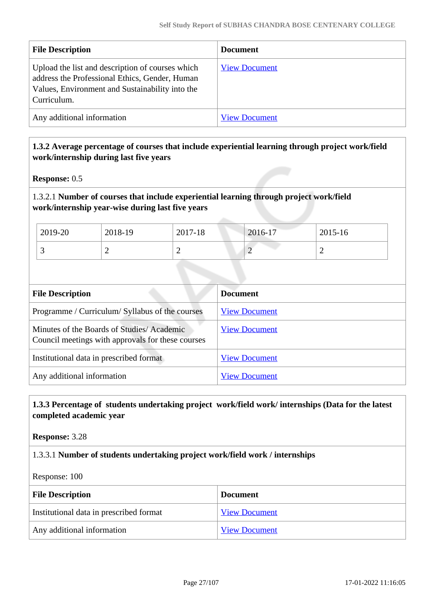| <b>File Description</b>                                                                                                                                              | <b>Document</b>      |
|----------------------------------------------------------------------------------------------------------------------------------------------------------------------|----------------------|
| Upload the list and description of courses which<br>address the Professional Ethics, Gender, Human<br>Values, Environment and Sustainability into the<br>Curriculum. | <b>View Document</b> |
| Any additional information                                                                                                                                           | <b>View Document</b> |

## **1.3.2 Average percentage of courses that include experiential learning through project work/field work/internship during last five years**

**Response:** 0.5

## 1.3.2.1 **Number of courses that include experiential learning through project work/field work/internship year-wise during last five years**

| 2019-20  | 2018-19 | 2017-18 | 2016-17 | 2015-16 |
|----------|---------|---------|---------|---------|
| <u>ب</u> | ∼       | ∸       | -       | ∼       |

| <b>File Description</b>                                                                        | <b>Document</b>      |
|------------------------------------------------------------------------------------------------|----------------------|
| Programme / Curriculum/ Syllabus of the courses                                                | <b>View Document</b> |
| Minutes of the Boards of Studies/Academic<br>Council meetings with approvals for these courses | <b>View Document</b> |
| Institutional data in prescribed format                                                        | <b>View Document</b> |
| Any additional information                                                                     | <b>View Document</b> |

## **1.3.3 Percentage of students undertaking project work/field work/ internships (Data for the latest completed academic year**

**Response:** 3.28

## 1.3.3.1 **Number of students undertaking project work/field work / internships**

Response: 100

| <b>File Description</b>                 | <b>Document</b>      |
|-----------------------------------------|----------------------|
| Institutional data in prescribed format | <b>View Document</b> |
| Any additional information              | <b>View Document</b> |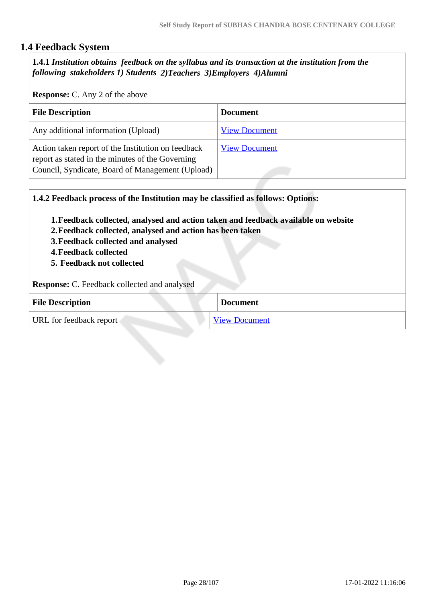# **1.4 Feedback System**

 **1.4.1** *Institution obtains feedback on the syllabus and its transaction at the institution from the following stakeholders 1) Students 2)Teachers 3)Employers 4)Alumni* 

**Response:** C. Any 2 of the above

| <b>File Description</b>                                                                                                                                    | <b>Document</b>      |
|------------------------------------------------------------------------------------------------------------------------------------------------------------|----------------------|
| Any additional information (Upload)                                                                                                                        | <b>View Document</b> |
| Action taken report of the Institution on feedback<br>report as stated in the minutes of the Governing<br>Council, Syndicate, Board of Management (Upload) | <b>View Document</b> |

| 1.4.2 Feedback process of the Institution may be classified as follows: Options:                                                                                                                                                                   |                      |
|----------------------------------------------------------------------------------------------------------------------------------------------------------------------------------------------------------------------------------------------------|----------------------|
| 1. Feedback collected, analysed and action taken and feedback available on website<br>2. Feedback collected, analysed and action has been taken<br>3. Feedback collected and analysed<br><b>4. Feedback collected</b><br>5. Feedback not collected |                      |
| <b>Response:</b> C. Feedback collected and analysed                                                                                                                                                                                                |                      |
| <b>File Description</b>                                                                                                                                                                                                                            | <b>Document</b>      |
| URL for feedback report                                                                                                                                                                                                                            | <b>View Document</b> |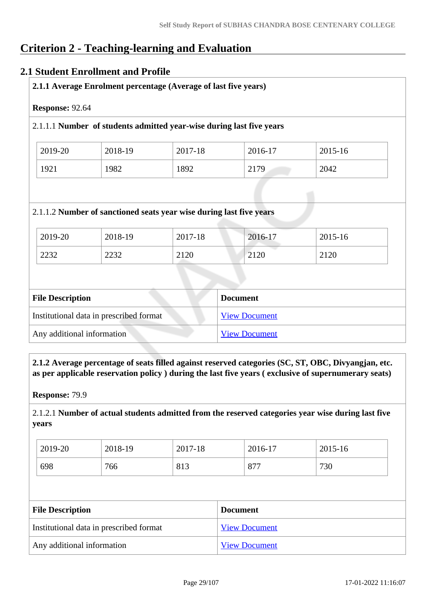# **Criterion 2 - Teaching-learning and Evaluation**

# **2.1 Student Enrollment and Profile**

| Response: 92.64 |         |                                                                                |         |         |
|-----------------|---------|--------------------------------------------------------------------------------|---------|---------|
|                 |         | 2.1.1.1 Number of students admitted year-wise during last five years           |         |         |
| 2019-20         | 2018-19 | 2017-18                                                                        | 2016-17 | 2015-16 |
| 1921            | 1982    |                                                                                |         |         |
|                 |         | 1892                                                                           | 2179    | 2042    |
| 2019-20         | 2018-19 | 2.1.1.2 Number of sanctioned seats year wise during last five years<br>2017-18 | 2016-17 | 2015-16 |

| <b>File Description</b>                 | <b>Document</b>      |
|-----------------------------------------|----------------------|
| Institutional data in prescribed format | <b>View Document</b> |
| Any additional information              | <b>View Document</b> |

 **2.1.2 Average percentage of seats filled against reserved categories (SC, ST, OBC, Divyangjan, etc. as per applicable reservation policy ) during the last five years ( exclusive of supernumerary seats)**

**Response:** 79.9

2.1.2.1 **Number of actual students admitted from the reserved categories year wise during last five years**

| 2019-20 | 2018-19 | 2017-18 | 2016-17 | 2015-16 |
|---------|---------|---------|---------|---------|
| 698     | 766     | 813     | 877     | 730     |

| <b>File Description</b>                 | <b>Document</b>      |
|-----------------------------------------|----------------------|
| Institutional data in prescribed format | <b>View Document</b> |
| Any additional information              | <b>View Document</b> |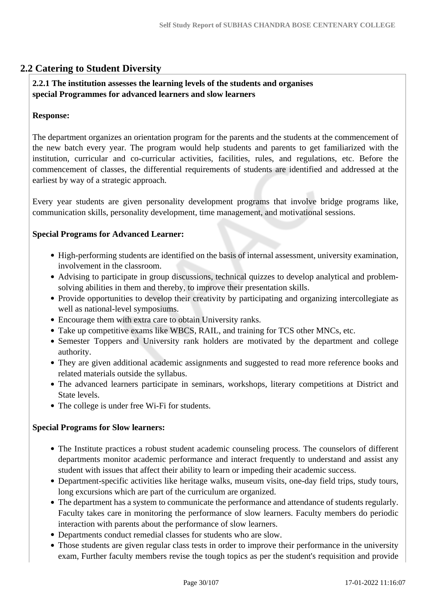# **2.2 Catering to Student Diversity**

#### **2.2.1 The institution assesses the learning levels of the students and organises special Programmes for advanced learners and slow learners**

#### **Response:**

The department organizes an orientation program for the parents and the students at the commencement of the new batch every year. The program would help students and parents to get familiarized with the institution, curricular and co-curricular activities, facilities, rules, and regulations, etc. Before the commencement of classes, the differential requirements of students are identified and addressed at the earliest by way of a strategic approach.

Every year students are given personality development programs that involve bridge programs like, communication skills, personality development, time management, and motivational sessions.

#### **Special Programs for Advanced Learner:**

- High-performing students are identified on the basis of internal assessment, university examination, involvement in the classroom.
- Advising to participate in group discussions, technical quizzes to develop analytical and problemsolving abilities in them and thereby, to improve their presentation skills.
- Provide opportunities to develop their creativity by participating and organizing intercollegiate as well as national-level symposiums.
- Encourage them with extra care to obtain University ranks.
- Take up competitive exams like WBCS, RAIL, and training for TCS other MNCs, etc.
- Semester Toppers and University rank holders are motivated by the department and college authority.
- They are given additional academic assignments and suggested to read more reference books and related materials outside the syllabus.
- The advanced learners participate in seminars, workshops, literary competitions at District and State levels.
- The college is under free Wi-Fi for students.

#### **Special Programs for Slow learners:**

- The Institute practices a robust student academic counseling process. The counselors of different departments monitor academic performance and interact frequently to understand and assist any student with issues that affect their ability to learn or impeding their academic success.
- Department-specific activities like heritage walks, museum visits, one-day field trips, study tours, long excursions which are part of the curriculum are organized.
- The department has a system to communicate the performance and attendance of students regularly. Faculty takes care in monitoring the performance of slow learners. Faculty members do periodic interaction with parents about the performance of slow learners.
- Departments conduct remedial classes for students who are slow.
- Those students are given regular class tests in order to improve their performance in the university exam, Further faculty members revise the tough topics as per the student's requisition and provide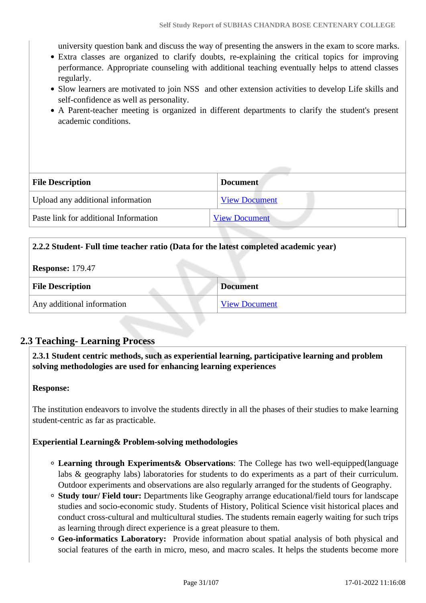university question bank and discuss the way of presenting the answers in the exam to score marks.

- Extra classes are organized to clarify doubts, re-explaining the critical topics for improving performance. Appropriate counseling with additional teaching eventually helps to attend classes regularly.
- Slow learners are motivated to join NSS and other extension activities to develop Life skills and self-confidence as well as personality.
- A Parent-teacher meeting is organized in different departments to clarify the student's present academic conditions.

| <b>File Description</b>               | <b>Document</b>      |
|---------------------------------------|----------------------|
| Upload any additional information     | <b>View Document</b> |
| Paste link for additional Information | <b>View Document</b> |

#### **2.2.2 Student- Full time teacher ratio (Data for the latest completed academic year)**

**Response:** 179.47

| <b>File Description</b>    | <b>Document</b>      |
|----------------------------|----------------------|
| Any additional information | <b>View Document</b> |

## **2.3 Teaching- Learning Process**

 **2.3.1 Student centric methods, such as experiential learning, participative learning and problem solving methodologies are used for enhancing learning experiences**

#### **Response:**

The institution endeavors to involve the students directly in all the phases of their studies to make learning student-centric as far as practicable.

#### **Experiential Learning& Problem-solving methodologies**

- **Learning through Experiments& Observations**: The College has two well-equipped(language labs & geography labs) laboratories for students to do experiments as a part of their curriculum. Outdoor experiments and observations are also regularly arranged for the students of Geography.
- **Study tour/ Field tour:** Departments like Geography arrange educational/field tours for landscape studies and socio-economic study. Students of History, Political Science visit historical places and conduct cross-cultural and multicultural studies. The students remain eagerly waiting for such trips as learning through direct experience is a great pleasure to them.
- **Geo-informatics Laboratory:** Provide information about spatial analysis of both physical and social features of the earth in micro, meso, and macro scales. It helps the students become more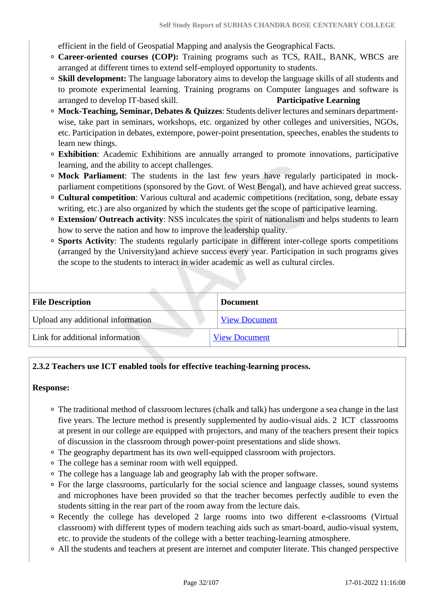efficient in the field of Geospatial Mapping and analysis the Geographical Facts.

- **Career-oriented courses (COP):** Training programs such as TCS, RAIL, BANK, WBCS are arranged at different times to extend self-employed opportunity to students.
- **Skill development:** The language laboratory aims to develop the language skills of all students and to promote experimental learning. Training programs on Computer languages and software is arranged to develop IT-based skill. **Participative Learning**
- **Mock-Teaching, Seminar, Debates & Quizzes**: Students deliver lectures and seminars departmentwise, take part in seminars, workshops, etc. organized by other colleges and universities, NGOs, etc. Participation in debates, extempore, power-point presentation, speeches, enables the students to learn new things.
- **Exhibition**: Academic Exhibitions are annually arranged to promote innovations, participative learning, and the ability to accept challenges.
- **Mock Parliament**: The students in the last few years have regularly participated in mockparliament competitions (sponsored by the Govt. of West Bengal), and have achieved great success.
- **Cultural competition**: Various cultural and academic competitions (recitation, song, debate essay writing, etc.) are also organized by which the students get the scope of participative learning.
- **Extension/ Outreach activity**: NSS inculcates the spirit of nationalism and helps students to learn how to serve the nation and how to improve the leadership quality.
- **Sports Activity**: The students regularly participate in different inter-college sports competitions (arranged by the University)and achieve success every year. Participation in such programs gives the scope to the students to interact in wider academic as well as cultural circles.

| <b>File Description</b>           | <b>Document</b>      |
|-----------------------------------|----------------------|
| Upload any additional information | <b>View Document</b> |
| Link for additional information   | <b>View Document</b> |

# **2.3.2 Teachers use ICT enabled tools for effective teaching-learning process.**

## **Response:**

- The traditional method of classroom lectures (chalk and talk) has undergone a sea change in the last five years. The lecture method is presently supplemented by audio-visual aids. 2 ICT classrooms at present in our college are equipped with projectors, and many of the teachers present their topics of discussion in the classroom through power-point presentations and slide shows.
- The geography department has its own well-equipped classroom with projectors.
- The college has a seminar room with well equipped.
- The college has a language lab and geography lab with the proper software.
- For the large classrooms, particularly for the social science and language classes, sound systems and microphones have been provided so that the teacher becomes perfectly audible to even the students sitting in the rear part of the room away from the lecture dais.
- Recently the college has developed 2 large rooms into two different e-classrooms (Virtual classroom) with different types of modern teaching aids such as smart-board, audio-visual system, etc. to provide the students of the college with a better teaching-learning atmosphere.
- All the students and teachers at present are internet and computer literate. This changed perspective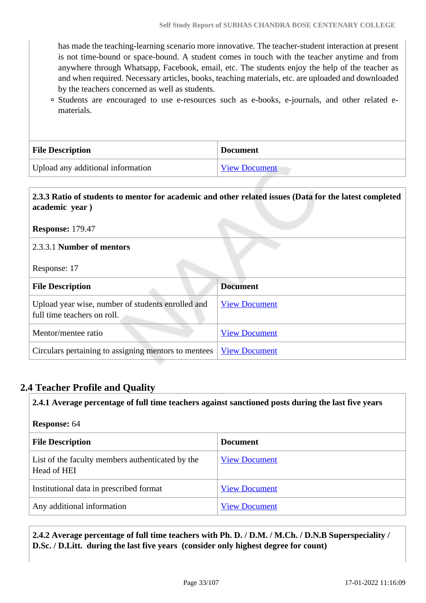has made the teaching-learning scenario more innovative. The teacher-student interaction at present is not time-bound or space-bound. A student comes in touch with the teacher anytime and from anywhere through Whatsapp, Facebook, email, etc. The students enjoy the help of the teacher as and when required. Necessary articles, books, teaching materials, etc. are uploaded and downloaded by the teachers concerned as well as students.

Students are encouraged to use e-resources such as e-books, e-journals, and other related ematerials.

| <b>File Description</b>           | <b>Document</b>      |
|-----------------------------------|----------------------|
| Upload any additional information | <b>View Document</b> |

# **2.3.3 Ratio of students to mentor for academic and other related issues (Data for the latest completed academic year )**

**Response:** 179.47

2.3.3.1 **Number of mentors**

Response: 17

| <b>File Description</b>                                                          | <b>Document</b>      |
|----------------------------------------------------------------------------------|----------------------|
| Upload year wise, number of students enrolled and<br>full time teachers on roll. | <b>View Document</b> |
| Mentor/mentee ratio                                                              | <b>View Document</b> |
| Circulars pertaining to assigning mentors to mentees                             | <b>View Document</b> |

# **2.4 Teacher Profile and Quality**

**2.4.1 Average percentage of full time teachers against sanctioned posts during the last five years**

| <b>Response: 64</b>                                             |                      |  |
|-----------------------------------------------------------------|----------------------|--|
| <b>File Description</b>                                         | <b>Document</b>      |  |
| List of the faculty members authenticated by the<br>Head of HEI | <b>View Document</b> |  |
| Institutional data in prescribed format                         | <b>View Document</b> |  |
| Any additional information                                      | <b>View Document</b> |  |

 **2.4.2 Average percentage of full time teachers with Ph. D. / D.M. / M.Ch. / D.N.B Superspeciality / D.Sc. / D.Litt. during the last five years (consider only highest degree for count)**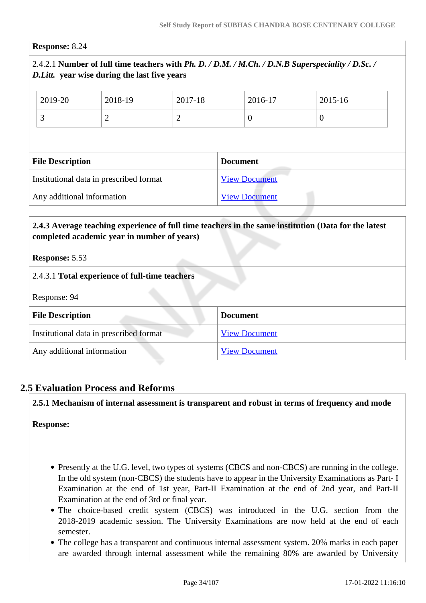#### **Response:** 8.24

## 2.4.2.1 **Number of full time teachers with** *Ph. D. / D.M. / M.Ch. / D.N.B Superspeciality / D.Sc. / D.Litt.* **year wise during the last five years**

|                                         | 2019-20 | 2018-19              | 2017-18              |  | 2016-17        | 2015-16  |  |
|-----------------------------------------|---------|----------------------|----------------------|--|----------------|----------|--|
|                                         | 3       | $\overline{2}$       | $\overline{2}$       |  | $\overline{0}$ | $\theta$ |  |
|                                         |         |                      |                      |  |                |          |  |
| <b>File Description</b>                 |         |                      | <b>Document</b>      |  |                |          |  |
| Institutional data in prescribed format |         | <b>View Document</b> |                      |  |                |          |  |
| Any additional information              |         |                      | <b>View Document</b> |  |                |          |  |

#### **2.4.3 Average teaching experience of full time teachers in the same institution (Data for the latest completed academic year in number of years)**

**Response:** 5.53

| 2.4.3.1 Total experience of full-time teachers |  |
|------------------------------------------------|--|
|------------------------------------------------|--|

Response: 94

| <b>File Description</b>                 | <b>Document</b>      |
|-----------------------------------------|----------------------|
| Institutional data in prescribed format | <b>View Document</b> |
| Any additional information              | <b>View Document</b> |

## **2.5 Evaluation Process and Reforms**

**2.5.1 Mechanism of internal assessment is transparent and robust in terms of frequency and mode**

**Response:** 

- Presently at the U.G. level, two types of systems (CBCS and non-CBCS) are running in the college. In the old system (non-CBCS) the students have to appear in the University Examinations as Part- I Examination at the end of 1st year, Part-II Examination at the end of 2nd year, and Part-II Examination at the end of 3rd or final year.
- The choice-based credit system (CBCS) was introduced in the U.G. section from the 2018-2019 academic session. The University Examinations are now held at the end of each semester.
- The college has a transparent and continuous internal assessment system. 20% marks in each paper are awarded through internal assessment while the remaining 80% are awarded by University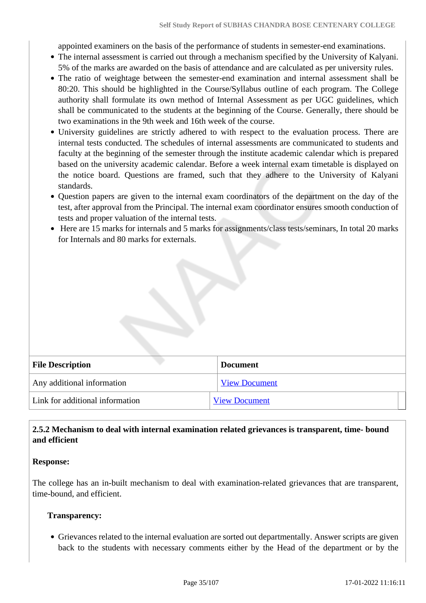appointed examiners on the basis of the performance of students in semester-end examinations.

- The internal assessment is carried out through a mechanism specified by the University of Kalyani. 5% of the marks are awarded on the basis of attendance and are calculated as per university rules.
- The ratio of weightage between the semester-end examination and internal assessment shall be 80:20. This should be highlighted in the Course/Syllabus outline of each program. The College authority shall formulate its own method of Internal Assessment as per UGC guidelines, which shall be communicated to the students at the beginning of the Course. Generally, there should be two examinations in the 9th week and 16th week of the course.
- University guidelines are strictly adhered to with respect to the evaluation process. There are internal tests conducted. The schedules of internal assessments are communicated to students and faculty at the beginning of the semester through the institute academic calendar which is prepared based on the university academic calendar. Before a week internal exam timetable is displayed on the notice board. Questions are framed, such that they adhere to the University of Kalyani standards.
- Question papers are given to the internal exam coordinators of the department on the day of the test, after approval from the Principal. The internal exam coordinator ensures smooth conduction of tests and proper valuation of the internal tests.
- Here are 15 marks for internals and 5 marks for assignments/class tests/seminars, In total 20 marks for Internals and 80 marks for externals.

| <b>File Description</b>         | <b>Document</b>      |
|---------------------------------|----------------------|
| Any additional information      | <b>View Document</b> |
| Link for additional information | <b>View Document</b> |

#### **2.5.2 Mechanism to deal with internal examination related grievances is transparent, time- bound and efficient**

#### **Response:**

The college has an in-built mechanism to deal with examination-related grievances that are transparent, time-bound, and efficient.

#### **Transparency:**

Grievances related to the internal evaluation are sorted out departmentally. Answer scripts are given back to the students with necessary comments either by the Head of the department or by the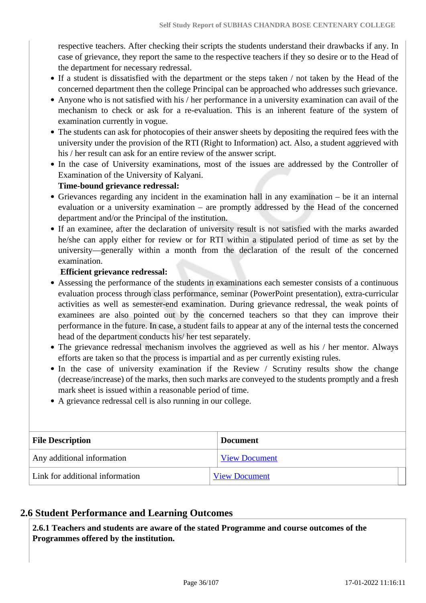respective teachers. After checking their scripts the students understand their drawbacks if any. In case of grievance, they report the same to the respective teachers if they so desire or to the Head of the department for necessary redressal.

- If a student is dissatisfied with the department or the steps taken / not taken by the Head of the concerned department then the college Principal can be approached who addresses such grievance.
- Anyone who is not satisfied with his / her performance in a university examination can avail of the mechanism to check or ask for a re-evaluation. This is an inherent feature of the system of examination currently in vogue.
- The students can ask for photocopies of their answer sheets by depositing the required fees with the university under the provision of the RTI (Right to Information) act. Also, a student aggrieved with his / her result can ask for an entire review of the answer script.
- In the case of University examinations, most of the issues are addressed by the Controller of Examination of the University of Kalyani.

#### **Time-bound grievance redressal:**

- Grievances regarding any incident in the examination hall in any examination be it an internal evaluation or a university examination – are promptly addressed by the Head of the concerned department and/or the Principal of the institution.
- If an examinee, after the declaration of university result is not satisfied with the marks awarded he/she can apply either for review or for RTI within a stipulated period of time as set by the university—generally within a month from the declaration of the result of the concerned examination.

#### **Efficient grievance redressal:**

- Assessing the performance of the students in examinations each semester consists of a continuous evaluation process through class performance, seminar (PowerPoint presentation), extra-curricular activities as well as semester-end examination. During grievance redressal, the weak points of examinees are also pointed out by the concerned teachers so that they can improve their performance in the future. In case, a student fails to appear at any of the internal tests the concerned head of the department conducts his/ her test separately.
- The grievance redressal mechanism involves the aggrieved as well as his / her mentor. Always efforts are taken so that the process is impartial and as per currently existing rules.
- In the case of university examination if the Review / Scrutiny results show the change (decrease/increase) of the marks, then such marks are conveyed to the students promptly and a fresh mark sheet is issued within a reasonable period of time.
- A grievance redressal cell is also running in our college.

| <b>File Description</b>         | <b>Document</b>      |
|---------------------------------|----------------------|
| Any additional information      | <b>View Document</b> |
| Link for additional information | <b>View Document</b> |

## **2.6 Student Performance and Learning Outcomes**

 **2.6.1 Teachers and students are aware of the stated Programme and course outcomes of the Programmes offered by the institution.**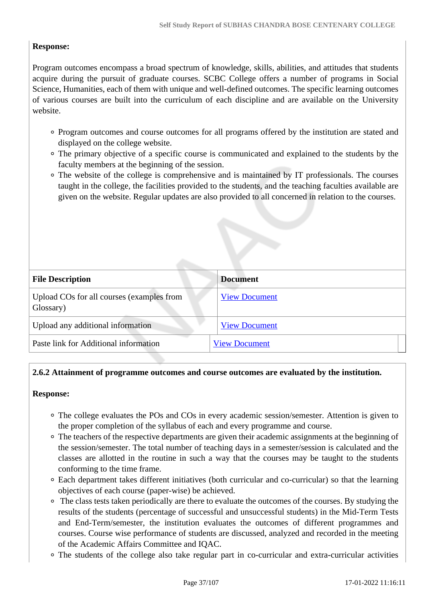### **Response:**

Program outcomes encompass a broad spectrum of knowledge, skills, abilities, and attitudes that students acquire during the pursuit of graduate courses. SCBC College offers a number of programs in Social Science, Humanities, each of them with unique and well-defined outcomes. The specific learning outcomes of various courses are built into the curriculum of each discipline and are available on the University website.

- Program outcomes and course outcomes for all programs offered by the institution are stated and displayed on the college website.
- The primary objective of a specific course is communicated and explained to the students by the faculty members at the beginning of the session.
- The website of the college is comprehensive and is maintained by IT professionals. The courses taught in the college, the facilities provided to the students, and the teaching faculties available are given on the website. Regular updates are also provided to all concerned in relation to the courses.

| <b>File Description</b>                                | <b>Document</b>      |
|--------------------------------------------------------|----------------------|
| Upload COs for all courses (examples from<br>Glossary) | <b>View Document</b> |
| Upload any additional information                      | <b>View Document</b> |
| Paste link for Additional information                  | <b>View Document</b> |

### **2.6.2 Attainment of programme outcomes and course outcomes are evaluated by the institution.**

### **Response:**

- The college evaluates the POs and COs in every academic session/semester. Attention is given to the proper completion of the syllabus of each and every programme and course.
- The teachers of the respective departments are given their academic assignments at the beginning of the session/semester. The total number of teaching days in a semester/session is calculated and the classes are allotted in the routine in such a way that the courses may be taught to the students conforming to the time frame.
- Each department takes different initiatives (both curricular and co-curricular) so that the learning objectives of each course (paper-wise) be achieved.
- The class tests taken periodically are there to evaluate the outcomes of the courses. By studying the results of the students (percentage of successful and unsuccessful students) in the Mid-Term Tests and End-Term/semester, the institution evaluates the outcomes of different programmes and courses. Course wise performance of students are discussed, analyzed and recorded in the meeting of the Academic Affairs Committee and IQAC.
- The students of the college also take regular part in co-curricular and extra-curricular activities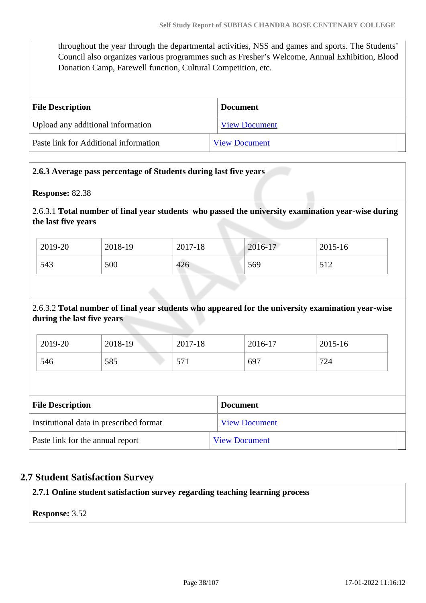throughout the year through the departmental activities, NSS and games and sports. The Students' Council also organizes various programmes such as Fresher's Welcome, Annual Exhibition, Blood Donation Camp, Farewell function, Cultural Competition, etc.

| <b>File Description</b>               | Document             |
|---------------------------------------|----------------------|
| Upload any additional information     | <b>View Document</b> |
| Paste link for Additional information | <b>View Document</b> |

### **2.6.3 Average pass percentage of Students during last five years**

**Response:** 82.38

2.6.3.1 **Total number of final year students who passed the university examination year-wise during the last five years**

| 2019-20 | 2018-19 | 2017-18 | 2016-17 | 2015-16     |
|---------|---------|---------|---------|-------------|
| 543     | 500     | 426     | 569     | 51 J<br>ے د |

### 2.6.3.2 **Total number of final year students who appeared for the university examination year-wise during the last five years**

| 2019-20 | 2018-19 | 2017-18             | 2016-17 | 2015-16 |
|---------|---------|---------------------|---------|---------|
| 546     | 585     | $\epsilon$<br>J I 1 | 697     | 724     |

| <b>File Description</b>                 | <b>Document</b>      |
|-----------------------------------------|----------------------|
| Institutional data in prescribed format | <b>View Document</b> |
| Paste link for the annual report        | <b>View Document</b> |

### **2.7 Student Satisfaction Survey**

**2.7.1 Online student satisfaction survey regarding teaching learning process**

**Response:** 3.52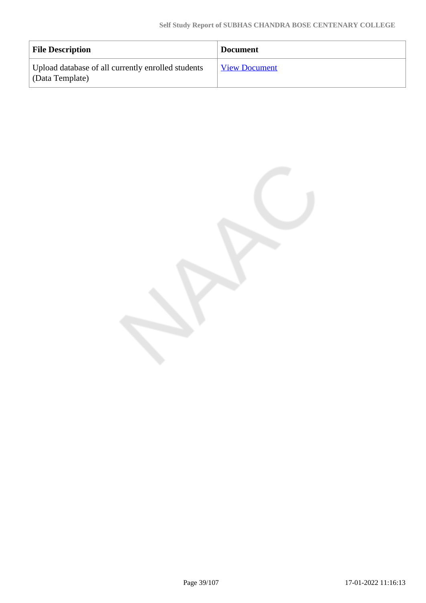| <b>File Description</b>                                               | <b>Document</b>      |
|-----------------------------------------------------------------------|----------------------|
| Upload database of all currently enrolled students<br>(Data Template) | <b>View Document</b> |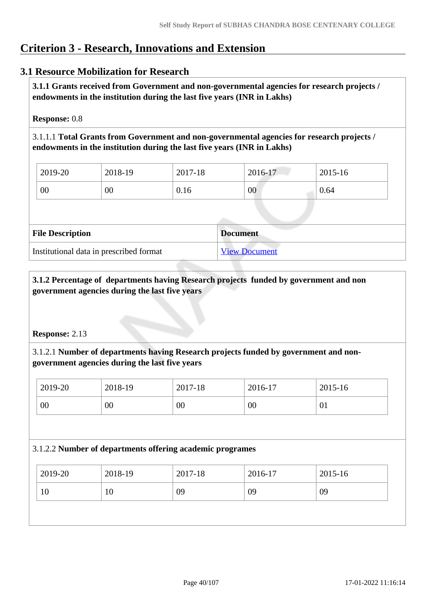# **Criterion 3 - Research, Innovations and Extension**

### **3.1 Resource Mobilization for Research**

 **3.1.1 Grants received from Government and non-governmental agencies for research projects / endowments in the institution during the last five years (INR in Lakhs)** 

**Response:** 0.8

3.1.1.1 **Total Grants from Government and non-governmental agencies for research projects / endowments in the institution during the last five years (INR in Lakhs)**

| 2019-20 | 2018-19 | 2017-18 | 2016-17 | 2015-16 |  |
|---------|---------|---------|---------|---------|--|
| 00      | $00\,$  | 0.16    | 00      | 0.64    |  |

| <b>File Description</b>                 | <b>Document</b>      |
|-----------------------------------------|----------------------|
| Institutional data in prescribed format | <b>View Document</b> |

 **3.1.2 Percentage of departments having Research projects funded by government and non government agencies during the last five years**

### **Response:** 2.13

3.1.2.1 **Number of departments having Research projects funded by government and nongovernment agencies during the last five years**

| 2019-20 | 2018-19 | 2017-18 | 2016-17 | 2015-16 |
|---------|---------|---------|---------|---------|
| 00      | 00      | 00      | $00\,$  | 01      |

### 3.1.2.2 **Number of departments offering academic programes**

| 2019-20 | 2018-19 | 2017-18 | 2016-17 | 2015-16 |
|---------|---------|---------|---------|---------|
| 10      | 10      | 09      | 09      | 09      |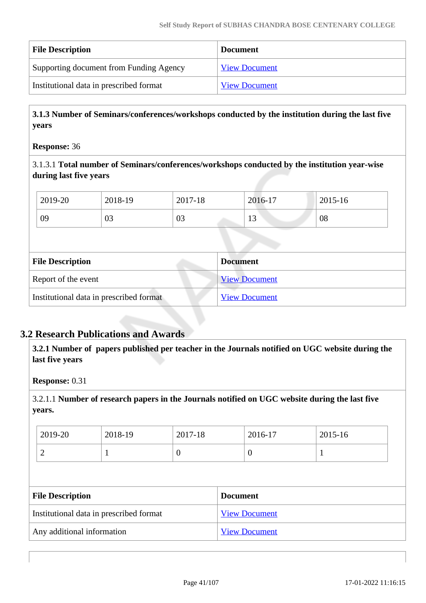| <b>File Description</b>                 | <b>Document</b>      |
|-----------------------------------------|----------------------|
| Supporting document from Funding Agency | <b>View Document</b> |
| Institutional data in prescribed format | <b>View Document</b> |

 **3.1.3 Number of Seminars/conferences/workshops conducted by the institution during the last five years**

#### **Response:** 36

3.1.3.1 **Total number of Seminars/conferences/workshops conducted by the institution year-wise during last five years** 

| 2019-20 | 2018-19 | 2017-18 | 2016-17 | 2015-16 |
|---------|---------|---------|---------|---------|
| 09      | 03      | 03      | $\sim$  | 08      |

| <b>File Description</b>                 | <b>Document</b>      |
|-----------------------------------------|----------------------|
| Report of the event                     | <b>View Document</b> |
| Institutional data in prescribed format | <b>View Document</b> |

# **3.2 Research Publications and Awards**

 **3.2.1 Number of papers published per teacher in the Journals notified on UGC website during the last five years** 

**Response:** 0.31

3.2.1.1 **Number of research papers in the Journals notified on UGC website during the last five years.**

| 2019-20 | 2018-19 | 2017-18 | 2016-17       | 2015-16 |
|---------|---------|---------|---------------|---------|
| ∽       |         | ິ       | $\mathcal{L}$ |         |

| <b>File Description</b>                 | <b>Document</b>      |
|-----------------------------------------|----------------------|
| Institutional data in prescribed format | <b>View Document</b> |
| Any additional information              | <b>View Document</b> |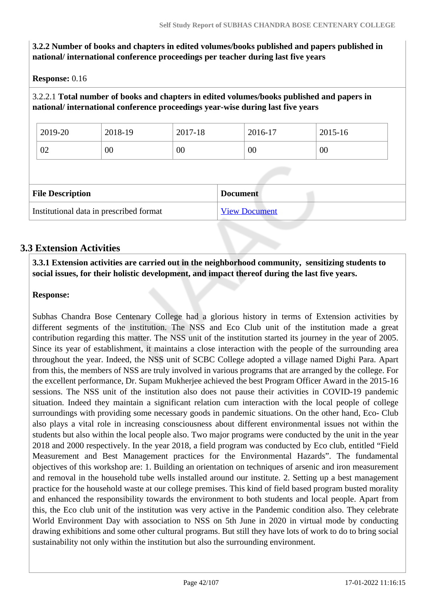**3.2.2 Number of books and chapters in edited volumes/books published and papers published in national/ international conference proceedings per teacher during last five years**

**Response:** 0.16

3.2.2.1 **Total number of books and chapters in edited volumes/books published and papers in national/ international conference proceedings year-wise during last five years**

| 2019-20                 | 2018-19 | 2017-18 | 2016-17         | 2015-16 |
|-------------------------|---------|---------|-----------------|---------|
| 02                      | 00      | 00      | 00              | 00      |
|                         |         |         |                 |         |
|                         |         |         |                 |         |
| <b>File Description</b> |         |         | <b>Document</b> |         |

# **3.3 Extension Activities**

 **3.3.1 Extension activities are carried out in the neighborhood community, sensitizing students to social issues, for their holistic development, and impact thereof during the last five years.**

### **Response:**

Subhas Chandra Bose Centenary College had a glorious history in terms of Extension activities by different segments of the institution. The NSS and Eco Club unit of the institution made a great contribution regarding this matter. The NSS unit of the institution started its journey in the year of 2005. Since its year of establishment, it maintains a close interaction with the people of the surrounding area throughout the year. Indeed, the NSS unit of SCBC College adopted a village named Dighi Para. Apart from this, the members of NSS are truly involved in various programs that are arranged by the college. For the excellent performance, Dr. Supam Mukherjee achieved the best Program Officer Award in the 2015-16 sessions. The NSS unit of the institution also does not pause their activities in COVID-19 pandemic situation. Indeed they maintain a significant relation cum interaction with the local people of college surroundings with providing some necessary goods in pandemic situations. On the other hand, Eco- Club also plays a vital role in increasing consciousness about different environmental issues not within the students but also within the local people also. Two major programs were conducted by the unit in the year 2018 and 2000 respectively. In the year 2018, a field program was conducted by Eco club, entitled "Field Measurement and Best Management practices for the Environmental Hazards". The fundamental objectives of this workshop are: 1. Building an orientation on techniques of arsenic and iron measurement and removal in the household tube wells installed around our institute. 2. Setting up a best management practice for the household waste at our college premises. This kind of field based program busted morality and enhanced the responsibility towards the environment to both students and local people. Apart from this, the Eco club unit of the institution was very active in the Pandemic condition also. They celebrate World Environment Day with association to NSS on 5th June in 2020 in virtual mode by conducting drawing exhibitions and some other cultural programs. But still they have lots of work to do to bring social sustainability not only within the institution but also the surrounding environment.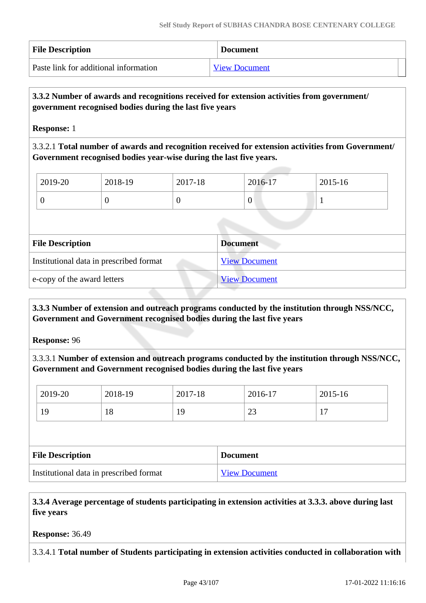| <b>File Description</b>               | <b>Document</b>      |
|---------------------------------------|----------------------|
| Paste link for additional information | <b>View Document</b> |

### **3.3.2 Number of awards and recognitions received for extension activities from government/ government recognised bodies during the last five years**

**Response:** 1

3.3.2.1 **Total number of awards and recognition received for extension activities from Government/ Government recognised bodies year-wise during the last five years.**

| 2019-20 | 2018-19 | 2017-18 | 2016-17 | 2015-16 |
|---------|---------|---------|---------|---------|
|         | ν       |         | v       | -       |

| <b>File Description</b>                 | <b>Document</b>      |
|-----------------------------------------|----------------------|
| Institutional data in prescribed format | <b>View Document</b> |
| e-copy of the award letters             | <b>View Document</b> |

### **3.3.3 Number of extension and outreach programs conducted by the institution through NSS/NCC, Government and Government recognised bodies during the last five years**

**Response:** 96

3.3.3.1 **Number of extension and outreach programs conducted by the institution through NSS/NCC, Government and Government recognised bodies during the last five years**

| 2019-20                 | 2018-19 | 2017-18 |                 | 2016-17 | 2015-16 |
|-------------------------|---------|---------|-----------------|---------|---------|
| 19                      | 18      | 19      |                 | 23      | 17      |
|                         |         |         |                 |         |         |
|                         |         |         |                 |         |         |
| <b>File Description</b> |         |         | <b>Document</b> |         |         |

 **3.3.4 Average percentage of students participating in extension activities at 3.3.3. above during last five years**

**Response:** 36.49

3.3.4.1 **Total number of Students participating in extension activities conducted in collaboration with**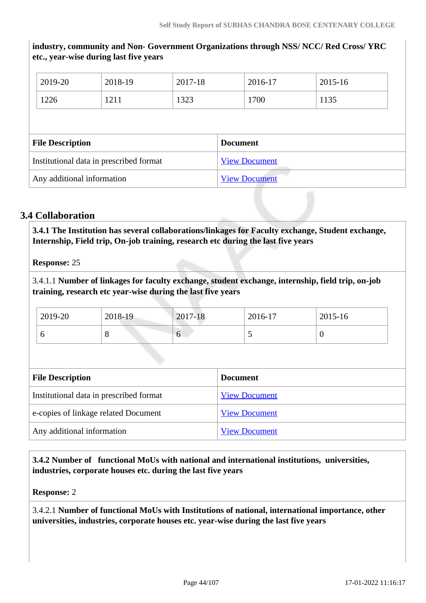**industry, community and Non- Government Organizations through NSS/ NCC/ Red Cross/ YRC etc., year-wise during last five years** 2019-20 2018-19 2017-18 2016-17 2015-16 1226 | 1211 | 1323 | 1700 | 1135 **File Description Document** Institutional data in prescribed format [View Document](https://assessmentonline.naac.gov.in/storage/app/hei/SSR/103261/3.3.4_1626692342_6549.xls) Any additional information [View Document](https://assessmentonline.naac.gov.in/storage/app/hei/SSR/103261/3.3.4_1626692373_6549.pdf)

# **3.4 Collaboration**

 **3.4.1 The Institution has several collaborations/linkages for Faculty exchange, Student exchange, Internship, Field trip, On-job training, research etc during the last five years** 

**Response:** 25

3.4.1.1 **Number of linkages for faculty exchange, student exchange, internship, field trip, on-job training, research etc year-wise during the last five years**

| 2019-20 | 2018-19 | 2017-18 | 2016-17 | 2015-16 |
|---------|---------|---------|---------|---------|
|         | ັ       | U       |         |         |

| <b>File Description</b>                 | <b>Document</b>      |
|-----------------------------------------|----------------------|
| Institutional data in prescribed format | <b>View Document</b> |
| e-copies of linkage related Document    | <b>View Document</b> |
| Any additional information              | <b>View Document</b> |

 **3.4.2 Number of functional MoUs with national and international institutions, universities, industries, corporate houses etc. during the last five years**

**Response:** 2

3.4.2.1 **Number of functional MoUs with Institutions of national, international importance, other universities, industries, corporate houses etc. year-wise during the last five years**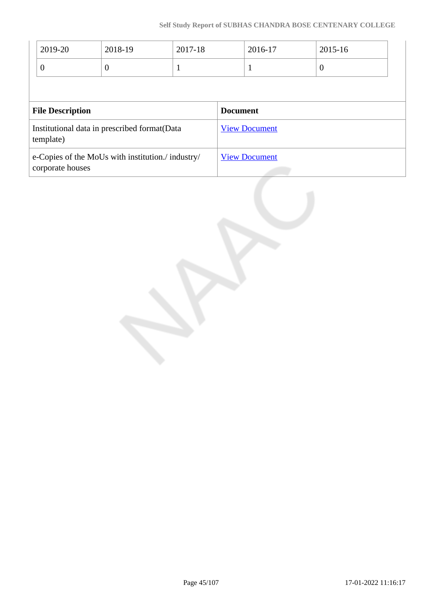| 2019-20                                                               | 2018-19  | 2017-18 |                      | 2016-17 | 2015-16          |
|-----------------------------------------------------------------------|----------|---------|----------------------|---------|------------------|
| $\overline{0}$                                                        | $\theta$ | л       |                      |         | $\boldsymbol{0}$ |
|                                                                       |          |         |                      |         |                  |
| <b>File Description</b>                                               |          |         | <b>Document</b>      |         |                  |
| Institutional data in prescribed format(Data<br>template)             |          |         | <b>View Document</b> |         |                  |
| e-Copies of the MoUs with institution./ industry/<br>corporate houses |          |         | <b>View Document</b> |         |                  |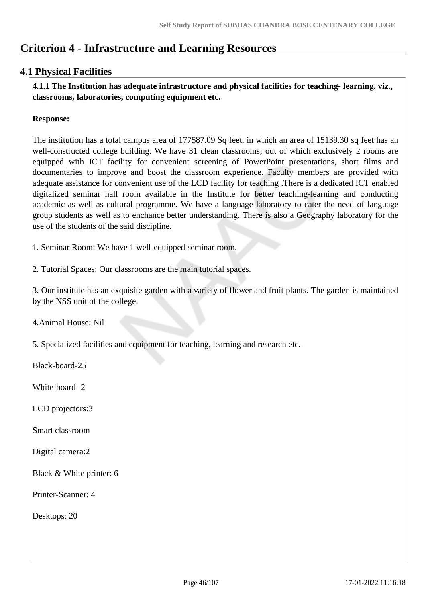# **Criterion 4 - Infrastructure and Learning Resources**

# **4.1 Physical Facilities**

 **4.1.1 The Institution has adequate infrastructure and physical facilities for teaching- learning. viz., classrooms, laboratories, computing equipment etc.** 

### **Response:**

The institution has a total campus area of 177587.09 Sq feet. in which an area of 15139.30 sq feet has an well-constructed college building. We have 31 clean classrooms; out of which exclusively 2 rooms are equipped with ICT facility for convenient screening of PowerPoint presentations, short films and documentaries to improve and boost the classroom experience. Faculty members are provided with adequate assistance for convenient use of the LCD facility for teaching .There is a dedicated ICT enabled digitalized seminar hall room available in the Institute for better teaching-learning and conducting academic as well as cultural programme. We have a language laboratory to cater the need of language group students as well as to enchance better understanding. There is also a Geography laboratory for the use of the students of the said discipline.

1. Seminar Room: We have 1 well-equipped seminar room.

2. Tutorial Spaces: Our classrooms are the main tutorial spaces.

3. Our institute has an exquisite garden with a variety of flower and fruit plants. The garden is maintained by the NSS unit of the college.

4.Animal House: Nil

5. Specialized facilities and equipment for teaching, learning and research etc.-

Black-board-25

White-board- 2

LCD projectors:3

Smart classroom

Digital camera:2

Black & White printer: 6

Printer-Scanner: 4

Desktops: 20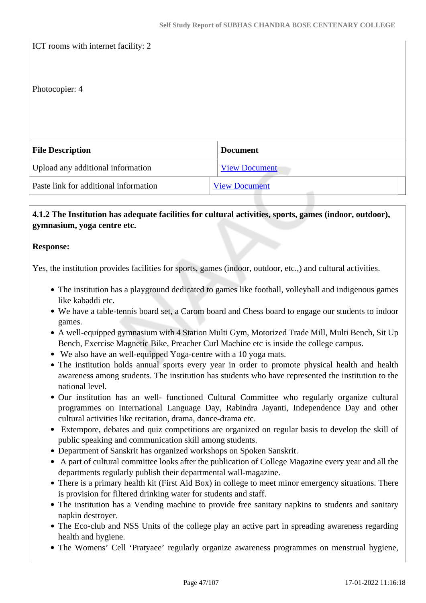ICT rooms with internet facility: 2

#### Photocopier: 4

| <b>File Description</b>               | <b>Document</b>      |
|---------------------------------------|----------------------|
| Upload any additional information     | <b>View Document</b> |
| Paste link for additional information | <b>View Document</b> |

### **4.1.2 The Institution has adequate facilities for cultural activities, sports, games (indoor, outdoor), gymnasium, yoga centre etc.**

#### **Response:**

Yes, the institution provides facilities for sports, games (indoor, outdoor, etc.,) and cultural activities.

- The institution has a playground dedicated to games like football, volleyball and indigenous games like kabaddi etc.
- We have a table-tennis board set, a Carom board and Chess board to engage our students to indoor games.
- A well-equipped gymnasium with 4 Station Multi Gym, Motorized Trade Mill, Multi Bench, Sit Up Bench, Exercise Magnetic Bike, Preacher Curl Machine etc is inside the college campus.
- We also have an well-equipped Yoga-centre with a 10 yoga mats.
- The institution holds annual sports every year in order to promote physical health and health awareness among students. The institution has students who have represented the institution to the national level.
- Our institution has an well- functioned Cultural Committee who regularly organize cultural programmes on International Language Day, Rabindra Jayanti, Independence Day and other cultural activities like recitation, drama, dance-drama etc.
- Extempore, debates and quiz competitions are organized on regular basis to develop the skill of public speaking and communication skill among students.
- Department of Sanskrit has organized workshops on Spoken Sanskrit.
- A part of cultural committee looks after the publication of College Magazine every year and all the departments regularly publish their departmental wall-magazine.
- There is a primary health kit (First Aid Box) in college to meet minor emergency situations. There is provision for filtered drinking water for students and staff.
- The institution has a Vending machine to provide free sanitary napkins to students and sanitary napkin destroyer.
- The Eco-club and NSS Units of the college play an active part in spreading awareness regarding health and hygiene.
- The Womens' Cell 'Pratyaee' regularly organize awareness programmes on menstrual hygiene,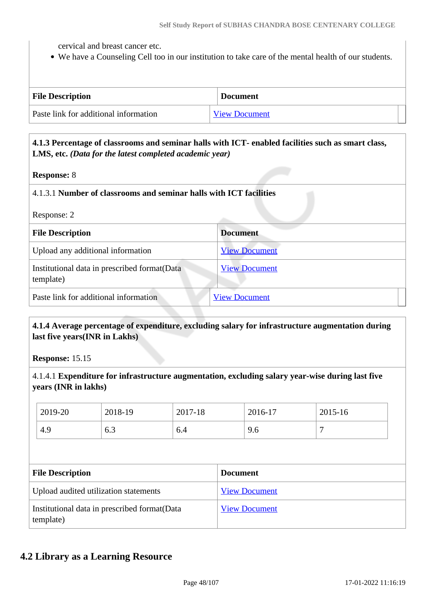cervical and breast cancer etc.

We have a Counseling Cell too in our institution to take care of the mental health of our students.

| <b>File Description</b>               | <b>Document</b>      |
|---------------------------------------|----------------------|
| Paste link for additional information | <b>View Document</b> |

### **4.1.3 Percentage of classrooms and seminar halls with ICT- enabled facilities such as smart class, LMS, etc.** *(Data for the latest completed academic year)*

**Response:** 8

#### 4.1.3.1 **Number of classrooms and seminar halls with ICT facilities**

Response: 2

| <b>File Description</b>                                    | <b>Document</b>      |
|------------------------------------------------------------|----------------------|
| Upload any additional information                          | <b>View Document</b> |
| Institutional data in prescribed format (Data<br>template) | <b>View Document</b> |
| Paste link for additional information                      | <b>View Document</b> |

### **4.1.4 Average percentage of expenditure, excluding salary for infrastructure augmentation during last five years(INR in Lakhs)**

**Response:** 15.15

4.1.4.1 **Expenditure for infrastructure augmentation, excluding salary year-wise during last five years (INR in lakhs)**

| 2019-20                 | 2018-19                               | 2017-18 |                 | 2016-17              | 2015-16 |  |
|-------------------------|---------------------------------------|---------|-----------------|----------------------|---------|--|
| 4.9                     | 6.3                                   | 6.4     |                 | 9.6                  | 7       |  |
|                         |                                       |         |                 |                      |         |  |
|                         |                                       |         |                 |                      |         |  |
| <b>File Description</b> |                                       |         | <b>Document</b> |                      |         |  |
|                         | Upload audited utilization statements |         |                 | <b>View Document</b> |         |  |

### **4.2 Library as a Learning Resource**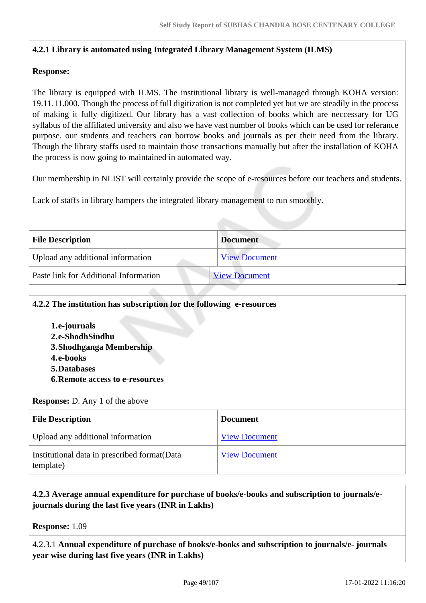### **4.2.1 Library is automated using Integrated Library Management System (ILMS)**

### **Response:**

The library is equipped with ILMS. The institutional library is well-managed through KOHA version: 19.11.11.000. Though the process of full digitization is not completed yet but we are steadily in the process of making it fully digitized. Our library has a vast collection of books which are neccessary for UG syllabus of the affiliated university and also we have vast number of books which can be used for referance purpose. our students and teachers can borrow books and journals as per their need from the library. Though the library staffs used to maintain those transactions manually but after the installation of KOHA the process is now going to maintained in automated way.

Our membership in NLIST will certainly provide the scope of e-resources before our teachers and students.

Lack of staffs in library hampers the integrated library management to run smoothly.

| <b>File Description</b>               | <b>Document</b>      |
|---------------------------------------|----------------------|
| Upload any additional information     | <b>View Document</b> |
| Paste link for Additional Information | <b>View Document</b> |

### **4.2.2 The institution has subscription for the following e-resources**

**1.e-journals 2.e-ShodhSindhu 3.Shodhganga Membership 4.e-books 5.Databases 6.Remote access to e-resources**

#### **Response:** D. Any 1 of the above

| <b>File Description</b>                                    | <b>Document</b>      |
|------------------------------------------------------------|----------------------|
| Upload any additional information                          | <b>View Document</b> |
| Institutional data in prescribed format (Data<br>template) | <b>View Document</b> |

### **4.2.3 Average annual expenditure for purchase of books/e-books and subscription to journals/ejournals during the last five years (INR in Lakhs)**

**Response:** 1.09

4.2.3.1 **Annual expenditure of purchase of books/e-books and subscription to journals/e- journals year wise during last five years (INR in Lakhs)**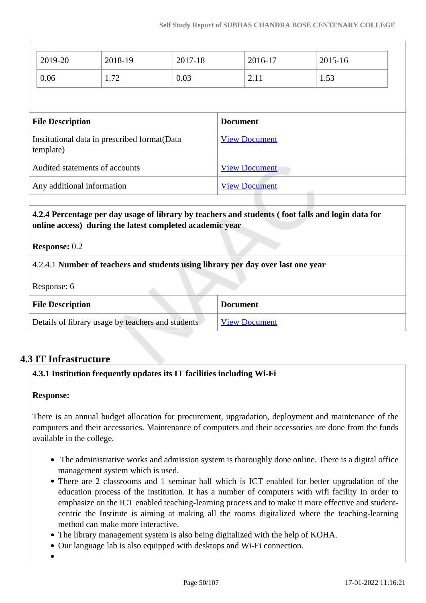|                                                            | 2019-20 | 2018-19 | 2017-18              |                      | 2016-17                  | 2015-16 |  |
|------------------------------------------------------------|---------|---------|----------------------|----------------------|--------------------------|---------|--|
|                                                            | 0.06    | 1.72    | 0.03                 |                      | 2.11                     | 1.53    |  |
|                                                            |         |         |                      |                      |                          |         |  |
| <b>File Description</b>                                    |         |         | <b>Document</b>      |                      |                          |         |  |
| Institutional data in prescribed format (Data<br>template) |         |         | <b>View Document</b> |                      |                          |         |  |
| Audited statements of accounts                             |         |         |                      | <b>View Document</b> |                          |         |  |
| Any additional information                                 |         |         |                      | <b>View Document</b> | <b>Contract Contract</b> |         |  |

 **4.2.4 Percentage per day usage of library by teachers and students ( foot falls and login data for online access) during the latest completed academic year**

**Response:** 0.2

4.2.4.1 **Number of teachers and students using library per day over last one year**

Response: 6

| <b>File Description</b>                           | <b>Document</b>      |
|---------------------------------------------------|----------------------|
| Details of library usage by teachers and students | <b>View Document</b> |

# **4.3 IT Infrastructure**

### **4.3.1 Institution frequently updates its IT facilities including Wi-Fi**

### **Response:**

There is an annual budget allocation for procurement, upgradation, deployment and maintenance of the computers and their accessories. Maintenance of computers and their accessories are done from the funds available in the college.

- The administrative works and admission system is thoroughly done online. There is a digital office management system which is used.
- There are 2 classrooms and 1 seminar hall which is ICT enabled for better upgradation of the education process of the institution. It has a number of computers with wifi facility In order to emphasize on the ICT enabled teaching-learning process and to make it more effective and studentcentric the Institute is aiming at making all the rooms digitalized where the teaching-learning method can make more interactive.
- The library management system is also being digitalized with the help of KOHA.
- Our language lab is also equipped with desktops and Wi-Fi connection.
-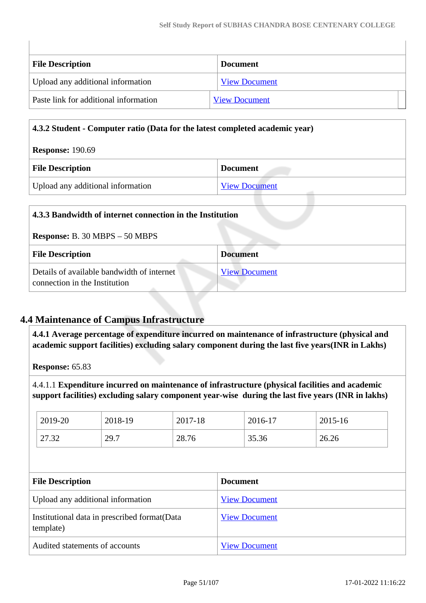| <b>File Description</b>               | <b>Document</b>      |
|---------------------------------------|----------------------|
| Upload any additional information     | <b>View Document</b> |
| Paste link for additional information | <b>View Document</b> |

### **4.3.2 Student - Computer ratio (Data for the latest completed academic year)**

| <b>Response: 190.69</b>           |                      |  |
|-----------------------------------|----------------------|--|
| <b>File Description</b>           | <b>Document</b>      |  |
| Upload any additional information | <b>View Document</b> |  |

| 4.3.3 Bandwidth of internet connection in the Institution                   |                      |  |
|-----------------------------------------------------------------------------|----------------------|--|
| <b>Response:</b> B. 30 MBPS $-50$ MBPS                                      |                      |  |
| <b>File Description</b>                                                     | <b>Document</b>      |  |
| Details of available bandwidth of internet<br>connection in the Institution | <b>View Document</b> |  |

## **4.4 Maintenance of Campus Infrastructure**

 **4.4.1 Average percentage of expenditure incurred on maintenance of infrastructure (physical and academic support facilities) excluding salary component during the last five years(INR in Lakhs)**

**Response:** 65.83

 $\begin{array}{c} \hline \end{array}$ 

4.4.1.1 **Expenditure incurred on maintenance of infrastructure (physical facilities and academic support facilities) excluding salary component year-wise during the last five years (INR in lakhs)**

| 2019-20 | 2018-19 | 2017-18 | 2016-17 | 2015-16 |
|---------|---------|---------|---------|---------|
| 27.32   | 29.7    | 28.76   | 35.36   | 26.26   |

| <b>File Description</b>                                    | <b>Document</b>      |
|------------------------------------------------------------|----------------------|
| Upload any additional information                          | <b>View Document</b> |
| Institutional data in prescribed format (Data<br>template) | <b>View Document</b> |
| Audited statements of accounts                             | <b>View Document</b> |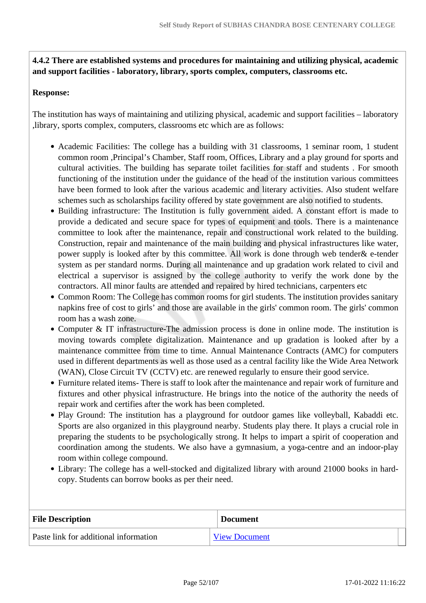**4.4.2 There are established systems and procedures for maintaining and utilizing physical, academic and support facilities - laboratory, library, sports complex, computers, classrooms etc.**

#### **Response:**

The institution has ways of maintaining and utilizing physical, academic and support facilities – laboratory ,library, sports complex, computers, classrooms etc which are as follows:

- Academic Facilities: The college has a building with 31 classrooms, 1 seminar room, 1 student common room ,Principal's Chamber, Staff room, Offices, Library and a play ground for sports and cultural activities. The building has separate toilet facilities for staff and students . For smooth functioning of the institution under the guidance of the head of the institution various committees have been formed to look after the various academic and literary activities. Also student welfare schemes such as scholarships facility offered by state government are also notified to students.
- Building infrastructure: The Institution is fully government aided. A constant effort is made to provide a dedicated and secure space for types of equipment and tools. There is a maintenance committee to look after the maintenance, repair and constructional work related to the building. Construction, repair and maintenance of the main building and physical infrastructures like water, power supply is looked after by this committee. All work is done through web tender& e-tender system as per standard norms. During all maintenance and up gradation work related to civil and electrical a supervisor is assigned by the college authority to verify the work done by the contractors. All minor faults are attended and repaired by hired technicians, carpenters etc
- Common Room: The College has common rooms for girl students. The institution provides sanitary napkins free of cost to girls' and those are available in the girls' common room. The girls' common room has a wash zone.
- Computer & IT infrastructure-The admission process is done in online mode. The institution is moving towards complete digitalization. Maintenance and up gradation is looked after by a maintenance committee from time to time. Annual Maintenance Contracts (AMC) for computers used in different departments as well as those used as a central facility like the Wide Area Network (WAN), Close Circuit TV (CCTV) etc. are renewed regularly to ensure their good service.
- Furniture related items- There is staff to look after the maintenance and repair work of furniture and fixtures and other physical infrastructure. He brings into the notice of the authority the needs of repair work and certifies after the work has been completed.
- Play Ground: The institution has a playground for outdoor games like volleyball, Kabaddi etc. Sports are also organized in this playground nearby. Students play there. It plays a crucial role in preparing the students to be psychologically strong. It helps to impart a spirit of cooperation and coordination among the students. We also have a gymnasium, a yoga-centre and an indoor-play room within college compound.
- Library: The college has a well-stocked and digitalized library with around 21000 books in hardcopy. Students can borrow books as per their need.

| <b>File Description</b>               | <b>Document</b>      |
|---------------------------------------|----------------------|
| Paste link for additional information | <b>View Document</b> |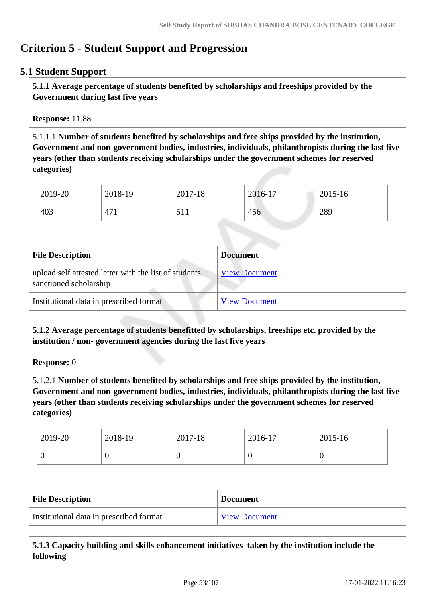# **Criterion 5 - Student Support and Progression**

### **5.1 Student Support**

 **5.1.1 Average percentage of students benefited by scholarships and freeships provided by the Government during last five years** 

**Response:** 11.88

5.1.1.1 **Number of students benefited by scholarships and free ships provided by the institution, Government and non-government bodies, industries, individuals, philanthropists during the last five years (other than students receiving scholarships under the government schemes for reserved categories)** 

| 2019-20 | 2018-19 | 2017-18 | 2016-17 | 2015-16 |
|---------|---------|---------|---------|---------|
| 403     | 471     | 511     | 456     | 289     |

| <b>File Description</b>                                                         | <b>Document</b>      |
|---------------------------------------------------------------------------------|----------------------|
| upload self attested letter with the list of students<br>sanctioned scholarship | <b>View Document</b> |
| Institutional data in prescribed format                                         | <b>View Document</b> |

 **5.1.2 Average percentage of students benefitted by scholarships, freeships etc. provided by the institution / non- government agencies during the last five years**

**Response:** 0

5.1.2.1 **Number of students benefited by scholarships and free ships provided by the institution, Government and non-government bodies, industries, individuals, philanthropists during the last five years (other than students receiving scholarships under the government schemes for reserved categories)** 

| 2019-20 | 2018-19 | 2017-18 | 2016-17 | 2015-16 |
|---------|---------|---------|---------|---------|
|         | ν       |         |         |         |

| <b>File Description</b>                 | <b>Document</b>      |
|-----------------------------------------|----------------------|
| Institutional data in prescribed format | <b>View Document</b> |

 **5.1.3 Capacity building and skills enhancement initiatives taken by the institution include the following**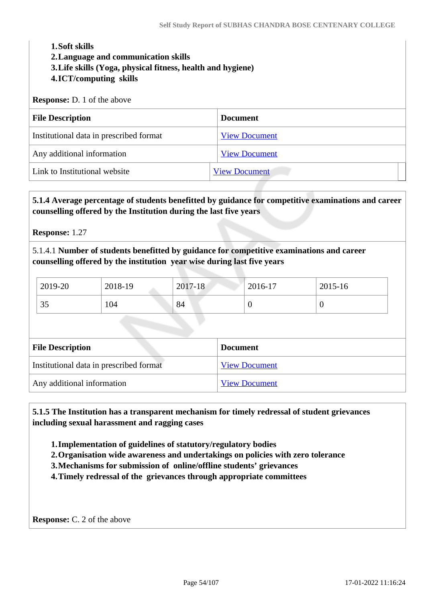# **1.Soft skills 2.Language and communication skills 3.Life skills (Yoga, physical fitness, health and hygiene) 4.ICT/computing skills Response:** D. 1 of the above **File Description Document** Institutional data in prescribed format [View Document](https://assessmentonline.naac.gov.in/storage/app/hei/SSR/103261/5.1.3_1626541505_6549.xls) Any additional information [View Document](https://assessmentonline.naac.gov.in/storage/app/hei/SSR/103261/5.1.3_1627813311_6549.pdf) Link to Institutional website [View Document](http://www.scbcc.ac.in/career_counselling.php)

 **5.1.4 Average percentage of students benefitted by guidance for competitive examinations and career counselling offered by the Institution during the last five years**

**Response:** 1.27

5.1.4.1 **Number of students benefitted by guidance for competitive examinations and career counselling offered by the institution year wise during last five years**

| 2019-20 | 2018-19 | 2017-18 | 2016-17 | $2015-16$ |
|---------|---------|---------|---------|-----------|
| 35      | 104     | 84      |         |           |

| <b>File Description</b>                 | <b>Document</b>      |
|-----------------------------------------|----------------------|
| Institutional data in prescribed format | <b>View Document</b> |
| Any additional information              | <b>View Document</b> |

 **5.1.5 The Institution has a transparent mechanism for timely redressal of student grievances including sexual harassment and ragging cases**

**1.Implementation of guidelines of statutory/regulatory bodies**

**2.Organisation wide awareness and undertakings on policies with zero tolerance**

**3.Mechanisms for submission of online/offline students' grievances**

**4.Timely redressal of the grievances through appropriate committees**

**Response:** C. 2 of the above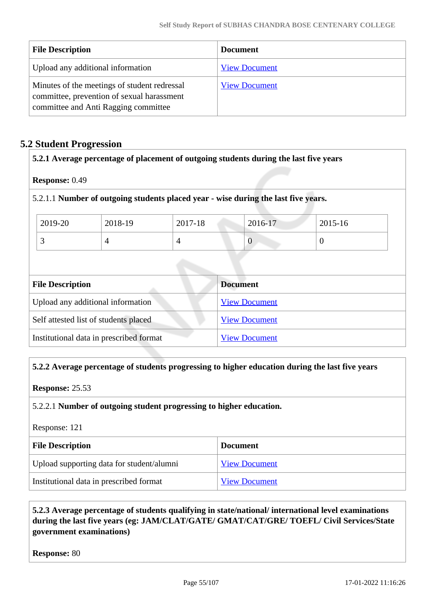| <b>File Description</b>                                                                                                            | <b>Document</b>      |
|------------------------------------------------------------------------------------------------------------------------------------|----------------------|
| Upload any additional information                                                                                                  | <b>View Document</b> |
| Minutes of the meetings of student redressal<br>committee, prevention of sexual harassment<br>committee and Anti Ragging committee | <b>View Document</b> |

### **5.2 Student Progression**

|                         |                                         |         | 5.2.1 Average percentage of placement of outgoing students during the last five years |                |
|-------------------------|-----------------------------------------|---------|---------------------------------------------------------------------------------------|----------------|
| Response: 0.49          |                                         |         |                                                                                       |                |
|                         |                                         |         | 5.2.1.1 Number of outgoing students placed year - wise during the last five years.    |                |
| 2019-20                 | 2018-19                                 | 2017-18 | 2016-17                                                                               | 2015-16        |
| 3                       | $\overline{4}$                          | 4       | $\overline{0}$                                                                        | $\overline{0}$ |
|                         |                                         |         |                                                                                       |                |
| <b>File Description</b> |                                         |         | <b>Document</b>                                                                       |                |
|                         | Upload any additional information       |         | <b>View Document</b>                                                                  |                |
|                         | Self attested list of students placed   |         | <b>View Document</b>                                                                  |                |
|                         | Institutional data in prescribed format |         | <b>View Document</b>                                                                  |                |

### **5.2.2 Average percentage of students progressing to higher education during the last five years**

### **Response:** 25.53

### 5.2.2.1 **Number of outgoing student progressing to higher education.**

### Response: 121

| <b>File Description</b>                   | <b>Document</b>      |
|-------------------------------------------|----------------------|
| Upload supporting data for student/alumni | <b>View Document</b> |
| Institutional data in prescribed format   | <b>View Document</b> |

### **5.2.3 Average percentage of students qualifying in state/national/ international level examinations during the last five years (eg: JAM/CLAT/GATE/ GMAT/CAT/GRE/ TOEFL/ Civil Services/State government examinations)**

**Response:** 80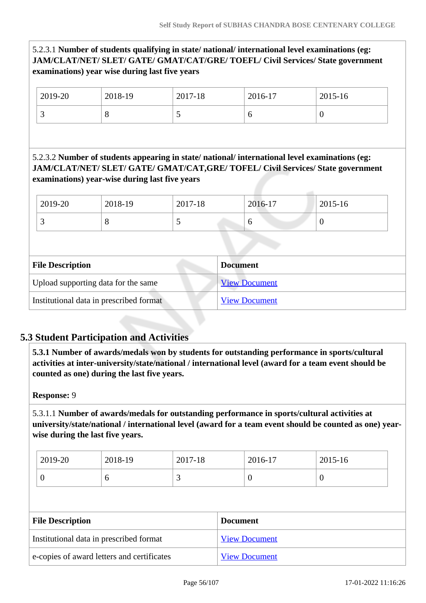### 5.2.3.1 **Number of students qualifying in state/ national/ international level examinations (eg: JAM/CLAT/NET/ SLET/ GATE/ GMAT/CAT/GRE/ TOEFL/ Civil Services/ State government examinations) year wise during last five years**

| 2019-20 | 2018-19 | 2017-18 | 2016-17 | 2015-16          |
|---------|---------|---------|---------|------------------|
|         | ັ       | ັ       |         | $\boldsymbol{0}$ |

5.2.3.2 **Number of students appearing in state/ national/ international level examinations (eg: JAM/CLAT/NET/ SLET/ GATE/ GMAT/CAT,GRE/ TOFEL/ Civil Services/ State government examinations) year-wise during last five years**

| 2019-20 | 2018-19 | 2017-18 | 2016-17 | 2015-16 |
|---------|---------|---------|---------|---------|
| ັ       |         | ັ       | υ       | ◡       |

| <b>File Description</b>                 | <b>Document</b>      |  |
|-----------------------------------------|----------------------|--|
| Upload supporting data for the same     | <b>View Document</b> |  |
| Institutional data in prescribed format | <b>View Document</b> |  |

# **5.3 Student Participation and Activities**

 **5.3.1 Number of awards/medals won by students for outstanding performance in sports/cultural activities at inter-university/state/national / international level (award for a team event should be counted as one) during the last five years.**

### **Response:** 9

5.3.1.1 **Number of awards/medals for outstanding performance in sports/cultural activities at university/state/national / international level (award for a team event should be counted as one) yearwise during the last five years.**

| 2019-20 | 2018-19 | 2017-18 | 2016-17 | 2015-16 |
|---------|---------|---------|---------|---------|
|         | ◡       | ັ       | ν       | ν       |

| <b>File Description</b>                    | <b>Document</b>      |  |
|--------------------------------------------|----------------------|--|
| Institutional data in prescribed format    | <b>View Document</b> |  |
| e-copies of award letters and certificates | <b>View Document</b> |  |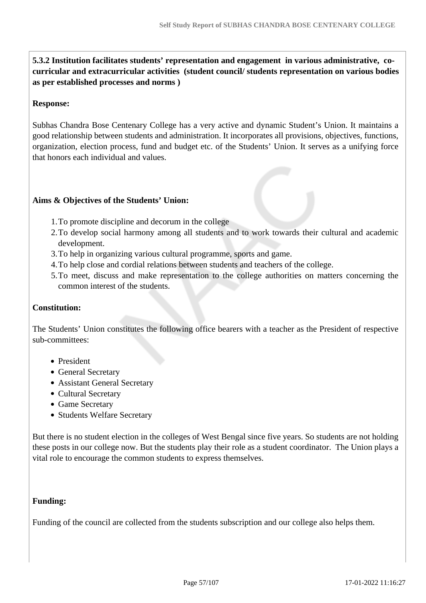**5.3.2 Institution facilitates students' representation and engagement in various administrative, cocurricular and extracurricular activities (student council/ students representation on various bodies as per established processes and norms )**

### **Response:**

Subhas Chandra Bose Centenary College has a very active and dynamic Student's Union. It maintains a good relationship between students and administration. It incorporates all provisions, objectives, functions, organization, election process, fund and budget etc. of the Students' Union. It serves as a unifying force that honors each individual and values.

### **Aims & Objectives of the Students' Union:**

- 1.To promote discipline and decorum in the college
- 2.To develop social harmony among all students and to work towards their cultural and academic development.
- 3.To help in organizing various cultural programme, sports and game.
- 4.To help close and cordial relations between students and teachers of the college.
- 5.To meet, discuss and make representation to the college authorities on matters concerning the common interest of the students.

#### **Constitution:**

The Students' Union constitutes the following office bearers with a teacher as the President of respective sub-committees:

- President
- General Secretary
- Assistant General Secretary
- Cultural Secretary
- Game Secretary
- Students Welfare Secretary

But there is no student election in the colleges of West Bengal since five years. So students are not holding these posts in our college now. But the students play their role as a student coordinator. The Union plays a vital role to encourage the common students to express themselves.

#### **Funding:**

Funding of the council are collected from the students subscription and our college also helps them.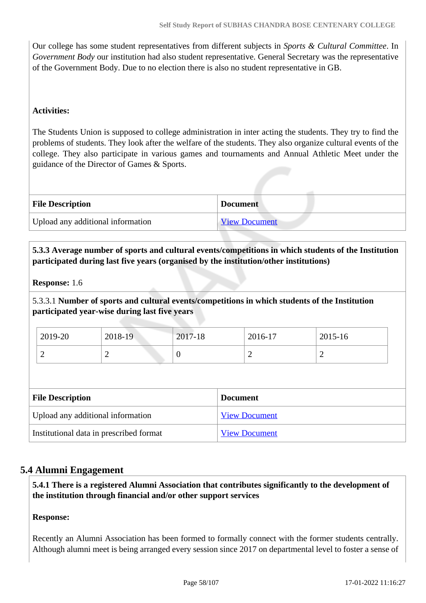Our college has some student representatives from different subjects in *Sports & Cultural Committee*. In *Government Body* our institution had also student representative. General Secretary was the representative of the Government Body. Due to no election there is also no student representative in GB.

### **Activities:**

The Students Union is supposed to college administration in inter acting the students. They try to find the problems of students. They look after the welfare of the students. They also organize cultural events of the college. They also participate in various games and tournaments and Annual Athletic Meet under the guidance of the Director of Games & Sports.

| <b>File Description</b>           | <b>Document</b>      |
|-----------------------------------|----------------------|
| Upload any additional information | <b>View Document</b> |

 **5.3.3 Average number of sports and cultural events/competitions in which students of the Institution participated during last five years (organised by the institution/other institutions)**

### **Response:** 1.6

5.3.3.1 **Number of sports and cultural events/competitions in which students of the Institution participated year-wise during last five years**

| 2019-20 | 2018-19 | $2017-18$ | 2016-17 | 2015-16 |
|---------|---------|-----------|---------|---------|
|         | ∸       | ິ         |         | -       |

| <b>File Description</b>                 | <b>Document</b>      |
|-----------------------------------------|----------------------|
| Upload any additional information       | <b>View Document</b> |
| Institutional data in prescribed format | <b>View Document</b> |

### **5.4 Alumni Engagement**

 **5.4.1 There is a registered Alumni Association that contributes significantly to the development of the institution through financial and/or other support services**

### **Response:**

Recently an Alumni Association has been formed to formally connect with the former students centrally. Although alumni meet is being arranged every session since 2017 on departmental level to foster a sense of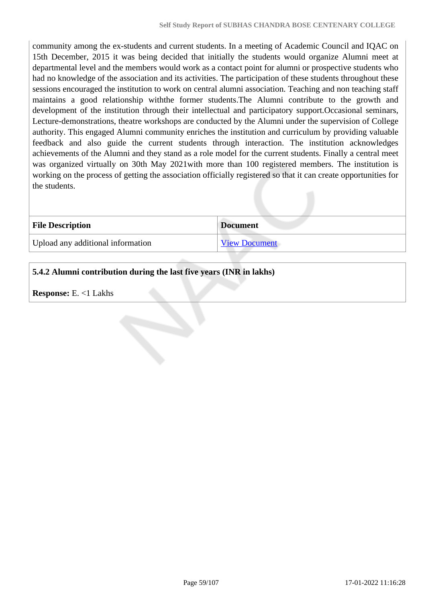community among the ex-students and current students. In a meeting of Academic Council and IQAC on 15th December, 2015 it was being decided that initially the students would organize Alumni meet at departmental level and the members would work as a contact point for alumni or prospective students who had no knowledge of the association and its activities. The participation of these students throughout these sessions encouraged the institution to work on central alumni association. Teaching and non teaching staff maintains a good relationship withthe former students.The Alumni contribute to the growth and development of the institution through their intellectual and participatory support.Occasional seminars, Lecture-demonstrations, theatre workshops are conducted by the Alumni under the supervision of College authority. This engaged Alumni community enriches the institution and curriculum by providing valuable feedback and also guide the current students through interaction. The institution acknowledges achievements of the Alumni and they stand as a role model for the current students. Finally a central meet was organized virtually on 30th May 2021with more than 100 registered members. The institution is working on the process of getting the association officially registered so that it can create opportunities for the students.

| <b>File Description</b>           | <b>Document</b>      |
|-----------------------------------|----------------------|
| Upload any additional information | <b>View Document</b> |

### **5.4.2 Alumni contribution during the last five years (INR in lakhs)**

**Response:** E. <1 Lakhs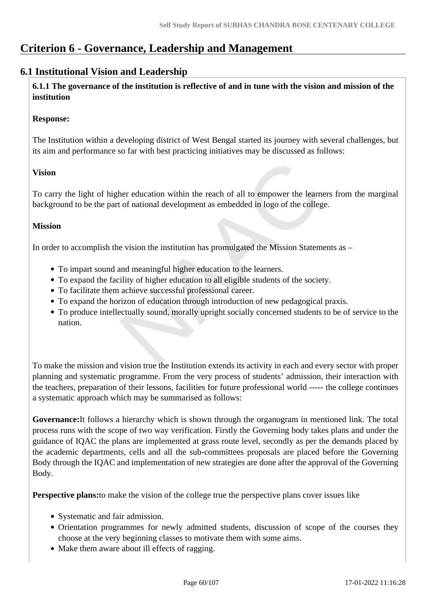# **Criterion 6 - Governance, Leadership and Management**

## **6.1 Institutional Vision and Leadership**

 **6.1.1 The governance of the institution is reflective of and in tune with the vision and mission of the institution**

### **Response:**

The Institution within a developing district of West Bengal started its journey with several challenges, but its aim and performance so far with best practicing initiatives may be discussed as follows:

### **Vision**

To carry the light of higher education within the reach of all to empower the learners from the marginal background to be the part of national development as embedded in logo of the college.

### **Mission**

In order to accomplish the vision the institution has promulgated the Mission Statements as –

- To impart sound and meaningful higher education to the learners.
- To expand the facility of higher education to all eligible students of the society.
- To facilitate them achieve successful professional career.
- To expand the horizon of education through introduction of new pedagogical praxis.
- To produce intellectually sound, morally upright socially concerned students to be of service to the nation.

To make the mission and vision true the Institution extends its activity in each and every sector with proper planning and systematic programme. From the very process of students' admission, their interaction with the teachers, preparation of their lessons, facilities for future professional world ----- the college continues a systematic approach which may be summarised as follows:

**Governance:**It follows a hierarchy which is shown through the organogram in mentioned link. The total process runs with the scope of two way verification. Firstly the Governing body takes plans and under the guidance of IQAC the plans are implemented at grass route level, secondly as per the demands placed by the academic departments, cells and all the sub-committees proposals are placed before the Governing Body through the IQAC and implementation of new strategies are done after the approval of the Governing Body.

**Perspective plans:**to make the vision of the college true the perspective plans cover issues like

- Systematic and fair admission.
- Orientation programmes for newly admitted students, discussion of scope of the courses they choose at the very beginning classes to motivate them with some aims.
- Make them aware about ill effects of ragging.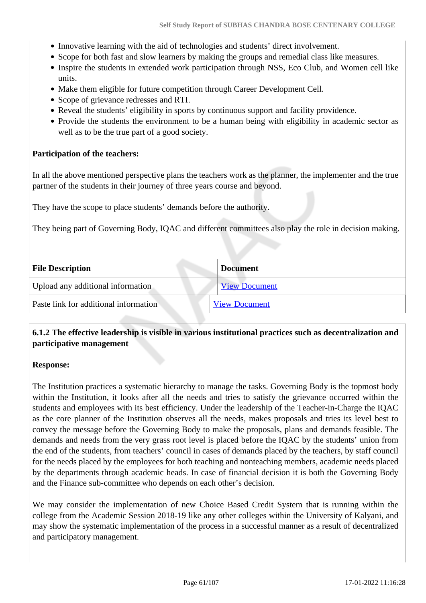- Innovative learning with the aid of technologies and students' direct involvement.
- Scope for both fast and slow learners by making the groups and remedial class like measures.
- Inspire the students in extended work participation through NSS, Eco Club, and Women cell like units.
- Make them eligible for future competition through Career Development Cell.
- Scope of grievance redresses and RTI.
- Reveal the students' eligibility in sports by continuous support and facility providence.
- Provide the students the environment to be a human being with eligibility in academic sector as well as to be the true part of a good society.

### **Participation of the teachers:**

In all the above mentioned perspective plans the teachers work as the planner, the implementer and the true partner of the students in their journey of three years course and beyond.

They have the scope to place students' demands before the authority.

They being part of Governing Body, IQAC and different committees also play the role in decision making.

| <b>File Description</b>               | <b>Document</b>      |
|---------------------------------------|----------------------|
| Upload any additional information     | <b>View Document</b> |
| Paste link for additional information | <b>View Document</b> |
|                                       |                      |

### **6.1.2 The effective leadership is visible in various institutional practices such as decentralization and participative management**

### **Response:**

The Institution practices a systematic hierarchy to manage the tasks. Governing Body is the topmost body within the Institution, it looks after all the needs and tries to satisfy the grievance occurred within the students and employees with its best efficiency. Under the leadership of the Teacher-in-Charge the IQAC as the core planner of the Institution observes all the needs, makes proposals and tries its level best to convey the message before the Governing Body to make the proposals, plans and demands feasible. The demands and needs from the very grass root level is placed before the IQAC by the students' union from the end of the students, from teachers' council in cases of demands placed by the teachers, by staff council for the needs placed by the employees for both teaching and nonteaching members, academic needs placed by the departments through academic heads. In case of financial decision it is both the Governing Body and the Finance sub-committee who depends on each other's decision.

We may consider the implementation of new Choice Based Credit System that is running within the college from the Academic Session 2018-19 like any other colleges within the University of Kalyani, and may show the systematic implementation of the process in a successful manner as a result of decentralized and participatory management.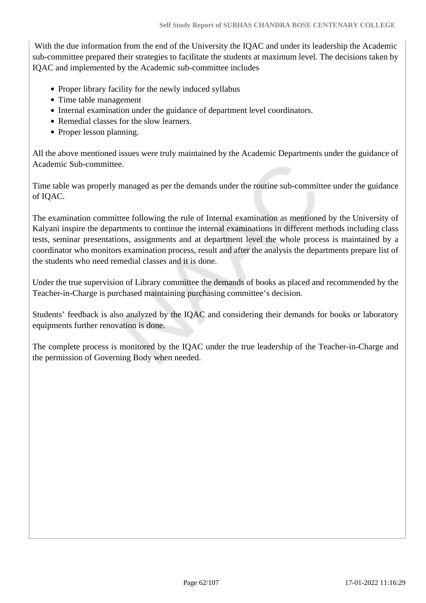With the due information from the end of the University the IQAC and under its leadership the Academic sub-committee prepared their strategies to facilitate the students at maximum level. The decisions taken by IQAC and implemented by the Academic sub-committee includes

- Proper library facility for the newly induced syllabus
- Time table management
- Internal examination under the guidance of department level coordinators.
- Remedial classes for the slow learners.
- Proper lesson planning.

All the above mentioned issues were truly maintained by the Academic Departments under the guidance of Academic Sub-committee.

Time table was properly managed as per the demands under the routine sub-committee under the guidance of IQAC.

The examination committee following the rule of Internal examination as mentioned by the University of Kalyani inspire the departments to continue the internal examinations in different methods including class tests, seminar presentations, assignments and at department level the whole process is maintained by a coordinator who monitors examination process, result and after the analysis the departments prepare list of the students who need remedial classes and it is done.

Under the true supervision of Library committee the demands of books as placed and recommended by the Teacher-in-Charge is purchased maintaining purchasing committee's decision.

Students' feedback is also analyzed by the IQAC and considering their demands for books or laboratory equipments further renovation is done.

The complete process is monitored by the IQAC under the true leadership of the Teacher-in-Charge and the permission of Governing Body when needed.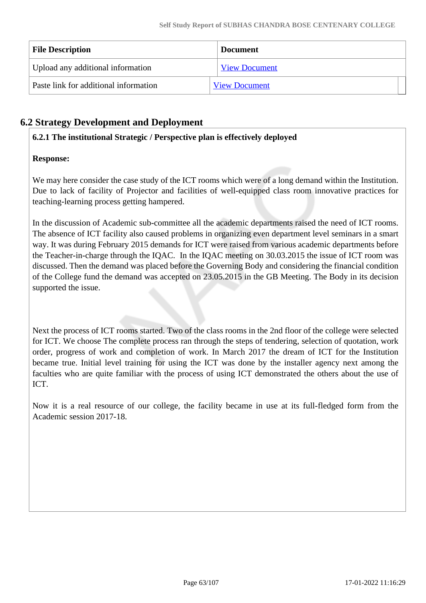| <b>File Description</b>               | <b>Document</b>      |
|---------------------------------------|----------------------|
| Upload any additional information     | <b>View Document</b> |
| Paste link for additional information | <b>View Document</b> |

# **6.2 Strategy Development and Deployment**

### **6.2.1 The institutional Strategic / Perspective plan is effectively deployed**

### **Response:**

We may here consider the case study of the ICT rooms which were of a long demand within the Institution. Due to lack of facility of Projector and facilities of well-equipped class room innovative practices for teaching-learning process getting hampered.

In the discussion of Academic sub-committee all the academic departments raised the need of ICT rooms. The absence of ICT facility also caused problems in organizing even department level seminars in a smart way. It was during February 2015 demands for ICT were raised from various academic departments before the Teacher-in-charge through the IQAC. In the IQAC meeting on 30.03.2015 the issue of ICT room was discussed. Then the demand was placed before the Governing Body and considering the financial condition of the College fund the demand was accepted on 23.05.2015 in the GB Meeting. The Body in its decision supported the issue.

Next the process of ICT rooms started. Two of the class rooms in the 2nd floor of the college were selected for ICT. We choose The complete process ran through the steps of tendering, selection of quotation, work order, progress of work and completion of work. In March 2017 the dream of ICT for the Institution became true. Initial level training for using the ICT was done by the installer agency next among the faculties who are quite familiar with the process of using ICT demonstrated the others about the use of ICT.

Now it is a real resource of our college, the facility became in use at its full-fledged form from the Academic session 2017-18.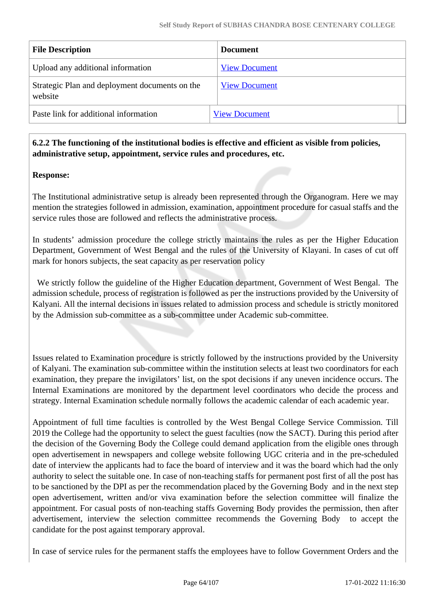| <b>File Description</b>                                   | <b>Document</b>      |
|-----------------------------------------------------------|----------------------|
| Upload any additional information                         | <b>View Document</b> |
| Strategic Plan and deployment documents on the<br>website | <b>View Document</b> |
| Paste link for additional information                     | <b>View Document</b> |

### **6.2.2 The functioning of the institutional bodies is effective and efficient as visible from policies, administrative setup, appointment, service rules and procedures, etc.**

### **Response:**

The Institutional administrative setup is already been represented through the Organogram. Here we may mention the strategies followed in admission, examination, appointment procedure for casual staffs and the service rules those are followed and reflects the administrative process.

In students' admission procedure the college strictly maintains the rules as per the Higher Education Department, Government of West Bengal and the rules of the University of Klayani. In cases of cut off mark for honors subjects, the seat capacity as per reservation policy

 We strictly follow the guideline of the Higher Education department, Government of West Bengal. The admission schedule, process of registration is followed as per the instructions provided by the University of Kalyani. All the internal decisions in issues related to admission process and schedule is strictly monitored by the Admission sub-committee as a sub-committee under Academic sub-committee.

Issues related to Examination procedure is strictly followed by the instructions provided by the University of Kalyani. The examination sub-committee within the institution selects at least two coordinators for each examination, they prepare the invigilators' list, on the spot decisions if any uneven incidence occurs. The Internal Examinations are monitored by the department level coordinators who decide the process and strategy. Internal Examination schedule normally follows the academic calendar of each academic year.

Appointment of full time faculties is controlled by the West Bengal College Service Commission. Till 2019 the College had the opportunity to select the guest faculties (now the SACT). During this period after the decision of the Governing Body the College could demand application from the eligible ones through open advertisement in newspapers and college website following UGC criteria and in the pre-scheduled date of interview the applicants had to face the board of interview and it was the board which had the only authority to select the suitable one. In case of non-teaching staffs for permanent post first of all the post has to be sanctioned by the DPI as per the recommendation placed by the Governing Body and in the next step open advertisement, written and/or viva examination before the selection committee will finalize the appointment. For casual posts of non-teaching staffs Governing Body provides the permission, then after advertisement, interview the selection committee recommends the Governing Body to accept the candidate for the post against temporary approval.

In case of service rules for the permanent staffs the employees have to follow Government Orders and the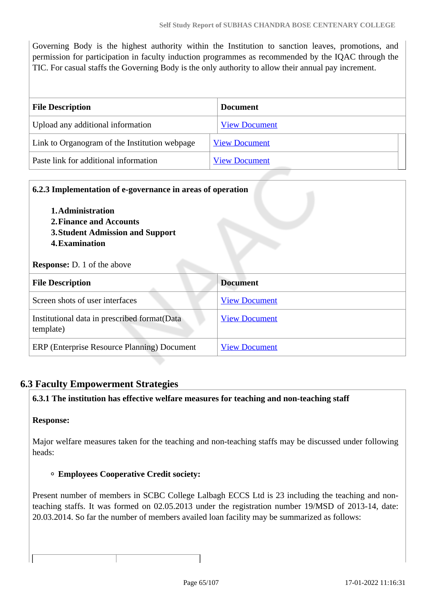Governing Body is the highest authority within the Institution to sanction leaves, promotions, and permission for participation in faculty induction programmes as recommended by the IQAC through the TIC. For casual staffs the Governing Body is the only authority to allow their annual pay increment.

| <b>File Description</b>                       | <b>Document</b>      |
|-----------------------------------------------|----------------------|
| Upload any additional information             | <b>View Document</b> |
| Link to Organogram of the Institution webpage | <b>View Document</b> |
| Paste link for additional information         | <b>View Document</b> |

| 6.2.3 Implementation of e-governance in areas of operation<br>1. Administration<br>2. Finance and Accounts<br><b>3. Student Admission and Support</b><br>4. Examination<br><b>Response:</b> D. 1 of the above |                      |  |
|---------------------------------------------------------------------------------------------------------------------------------------------------------------------------------------------------------------|----------------------|--|
| <b>File Description</b>                                                                                                                                                                                       | <b>Document</b>      |  |
| Screen shots of user interfaces                                                                                                                                                                               | <b>View Document</b> |  |
| Institutional data in prescribed format (Data<br>template)                                                                                                                                                    | <b>View Document</b> |  |
| ERP (Enterprise Resource Planning) Document                                                                                                                                                                   | <b>View Document</b> |  |

# **6.3 Faculty Empowerment Strategies**

### **6.3.1 The institution has effective welfare measures for teaching and non-teaching staff**

### **Response:**

Major welfare measures taken for the teaching and non-teaching staffs may be discussed under following heads:

### **Employees Cooperative Credit society:**

Present number of members in SCBC College Lalbagh ECCS Ltd is 23 including the teaching and nonteaching staffs. It was formed on 02.05.2013 under the registration number 19/MSD of 2013-14, date: 20.03.2014. So far the number of members availed loan facility may be summarized as follows: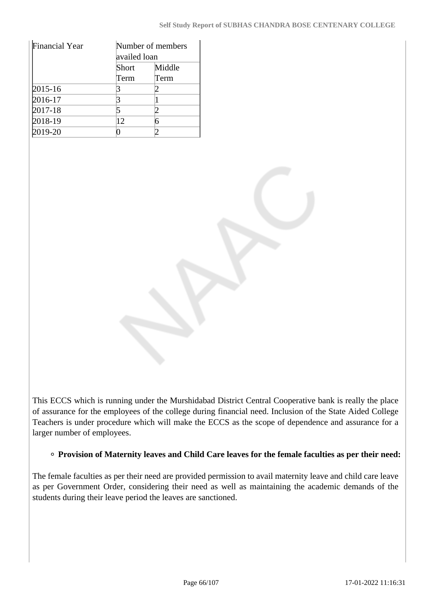| <b>Financial Year</b> | Number of members<br>availed loan |        |  |
|-----------------------|-----------------------------------|--------|--|
|                       | Short                             | Middle |  |
|                       | Term                              | Term   |  |
| $2015 - 16$           |                                   |        |  |
| 2016-17               |                                   |        |  |
| 2017-18               |                                   |        |  |
| 2018-19               | 12                                |        |  |
| 2019-20               |                                   |        |  |

This ECCS which is running under the Murshidabad District Central Cooperative bank is really the place of assurance for the employees of the college during financial need. Inclusion of the State Aided College Teachers is under procedure which will make the ECCS as the scope of dependence and assurance for a larger number of employees.

### **Provision of Maternity leaves and Child Care leaves for the female faculties as per their need:**

The female faculties as per their need are provided permission to avail maternity leave and child care leave as per Government Order, considering their need as well as maintaining the academic demands of the students during their leave period the leaves are sanctioned.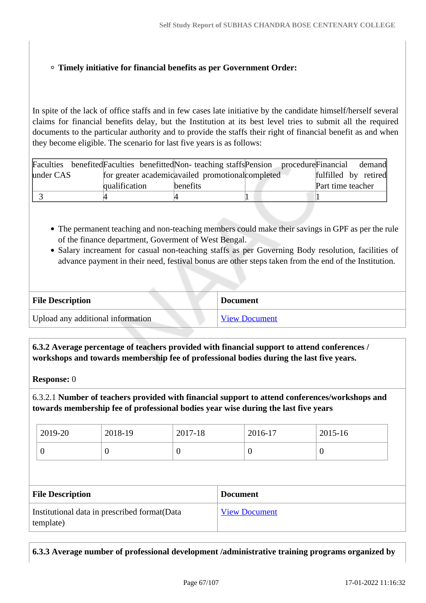### **Timely initiative for financial benefits as per Government Order:**

In spite of the lack of office staffs and in few cases late initiative by the candidate himself/herself several claims for financial benefits delay, but the Institution at its best level tries to submit all the required documents to the particular authority and to provide the staffs their right of financial benefit as and when they become eligible. The scenario for last five years is as follows:

| Faculties benefited Faculties benefitted Non-teaching staffs Pension procedure Financial |               |                                                    | demand               |
|------------------------------------------------------------------------------------------|---------------|----------------------------------------------------|----------------------|
| under CAS                                                                                |               | for greater academic availed promotional completed | fulfilled by retired |
|                                                                                          | qualification | benefits                                           | Part time teacher    |
|                                                                                          |               |                                                    |                      |

- The permanent teaching and non-teaching members could make their savings in GPF as per the rule of the finance department, Goverment of West Bengal.
- Salary increament for casual non-teaching staffs as per Governing Body resolution, facilities of advance payment in their need, festival bonus are other steps taken from the end of the Institution.

| <b>File Description</b>           | <b>Document</b>      |
|-----------------------------------|----------------------|
| Upload any additional information | <b>View Document</b> |

 **6.3.2 Average percentage of teachers provided with financial support to attend conferences / workshops and towards membership fee of professional bodies during the last five years.**

**Response:** 0

6.3.2.1 **Number of teachers provided with financial support to attend conferences/workshops and towards membership fee of professional bodies year wise during the last five years**

| 2019-20 | 2018-19 | 2017-18 | 2016-17 | 2015-16 |
|---------|---------|---------|---------|---------|
| ິ       | ν       | ◡       |         |         |

| <b>File Description</b>                                    | <b>Document</b>      |
|------------------------------------------------------------|----------------------|
| Institutional data in prescribed format (Data<br>template) | <b>View Document</b> |

**6.3.3 Average number of professional development /administrative training programs organized by**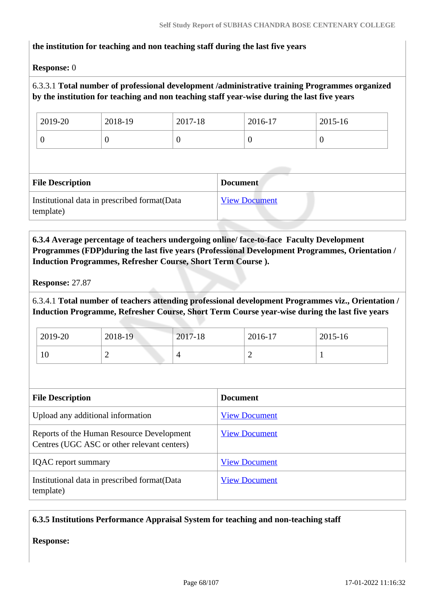#### **the institution for teaching and non teaching staff during the last five years**

#### **Response:** 0

### 6.3.3.1 **Total number of professional development /administrative training Programmes organized by the institution for teaching and non teaching staff year-wise during the last five years**

| 2019-20 | 2018-19 | 2017-18 | 2016-17 | 2015-16 |
|---------|---------|---------|---------|---------|
| ν       | υ       | ν       | υ       | v       |

| <b>File Description</b>                                    | <b>Document</b>      |
|------------------------------------------------------------|----------------------|
| Institutional data in prescribed format (Data<br>template) | <b>View Document</b> |

 **6.3.4 Average percentage of teachers undergoing online/ face-to-face Faculty Development Programmes (FDP)during the last five years (Professional Development Programmes, Orientation / Induction Programmes, Refresher Course, Short Term Course ).**

**Response:** 27.87

6.3.4.1 **Total number of teachers attending professional development Programmes viz., Orientation / Induction Programme, Refresher Course, Short Term Course year-wise during the last five years**

| 2019-20 | 2018-19 | 2017-18 | 2016-17 | 2015-16 |
|---------|---------|---------|---------|---------|
| 10      | -       | 4       | -       |         |

| <b>File Description</b>                                                                  | <b>Document</b>      |
|------------------------------------------------------------------------------------------|----------------------|
| Upload any additional information                                                        | <b>View Document</b> |
| Reports of the Human Resource Development<br>Centres (UGC ASC or other relevant centers) | <b>View Document</b> |
| <b>IQAC</b> report summary                                                               | <b>View Document</b> |
| Institutional data in prescribed format (Data<br>template)                               | <b>View Document</b> |

### **6.3.5 Institutions Performance Appraisal System for teaching and non-teaching staff**

**Response:**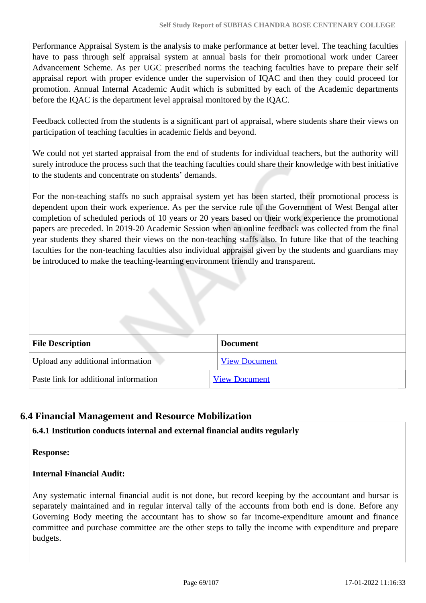Performance Appraisal System is the analysis to make performance at better level. The teaching faculties have to pass through self appraisal system at annual basis for their promotional work under Career Advancement Scheme. As per UGC prescribed norms the teaching faculties have to prepare their self appraisal report with proper evidence under the supervision of IQAC and then they could proceed for promotion. Annual Internal Academic Audit which is submitted by each of the Academic departments before the IQAC is the department level appraisal monitored by the IQAC.

Feedback collected from the students is a significant part of appraisal, where students share their views on participation of teaching faculties in academic fields and beyond.

We could not yet started appraisal from the end of students for individual teachers, but the authority will surely introduce the process such that the teaching faculties could share their knowledge with best initiative to the students and concentrate on students' demands.

For the non-teaching staffs no such appraisal system yet has been started, their promotional process is dependent upon their work experience. As per the service rule of the Government of West Bengal after completion of scheduled periods of 10 years or 20 years based on their work experience the promotional papers are preceded. In 2019-20 Academic Session when an online feedback was collected from the final year students they shared their views on the non-teaching staffs also. In future like that of the teaching faculties for the non-teaching faculties also individual appraisal given by the students and guardians may be introduced to make the teaching-learning environment friendly and transparent.

| <b>File Description</b>               | <b>Document</b>      |
|---------------------------------------|----------------------|
| Upload any additional information     | <b>View Document</b> |
| Paste link for additional information | <b>View Document</b> |

# **6.4 Financial Management and Resource Mobilization**

### **6.4.1 Institution conducts internal and external financial audits regularly**

**Response:** 

### **Internal Financial Audit:**

Any systematic internal financial audit is not done, but record keeping by the accountant and bursar is separately maintained and in regular interval tally of the accounts from both end is done. Before any Governing Body meeting the accountant has to show so far income-expenditure amount and finance committee and purchase committee are the other steps to tally the income with expenditure and prepare budgets.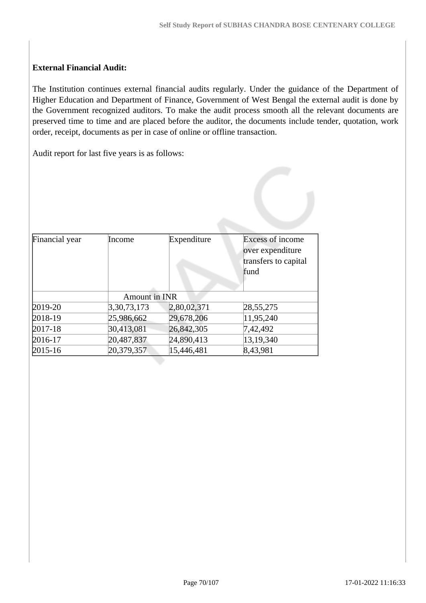### **External Financial Audit:**

The Institution continues external financial audits regularly. Under the guidance of the Department of Higher Education and Department of Finance, Government of West Bengal the external audit is done by the Government recognized auditors. To make the audit process smooth all the relevant documents are preserved time to time and are placed before the auditor, the documents include tender, quotation, work order, receipt, documents as per in case of online or offline transaction.

Audit report for last five years is as follows:

| Financial year | Income        | Expenditure | <b>Excess of income</b><br>over expenditure |
|----------------|---------------|-------------|---------------------------------------------|
|                |               |             | transfers to capital                        |
|                |               |             | fund                                        |
|                |               |             |                                             |
|                | Amount in INR |             |                                             |
| 2019-20        | 3,30,73,173   | 2,80,02,371 | 28, 55, 275                                 |
| 2018-19        | 25,986,662    | 29,678,206  | 11,95,240                                   |
| 2017-18        | 30,413,081    | 26,842,305  | 7,42,492                                    |
| 2016-17        | 20,487,837    | 24,890,413  | 13, 19, 340                                 |
| 2015-16        | 20,379,357    | 15,446,481  | 8,43,981                                    |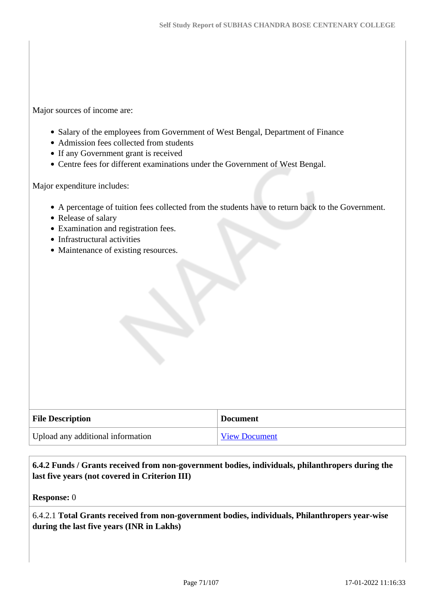Major sources of income are:

- Salary of the employees from Government of West Bengal, Department of Finance
- Admission fees collected from students
- If any Government grant is received
- Centre fees for different examinations under the Government of West Bengal.

Major expenditure includes:

- A percentage of tuition fees collected from the students have to return back to the Government.
- Release of salary
- Examination and registration fees.
- Infrastructural activities
- Maintenance of existing resources.

| <b>File Description</b>           | <b>Document</b>      |
|-----------------------------------|----------------------|
| Upload any additional information | <b>View Document</b> |

### **6.4.2 Funds / Grants received from non-government bodies, individuals, philanthropers during the last five years (not covered in Criterion III)**

**Response:** 0

6.4.2.1 **Total Grants received from non-government bodies, individuals, Philanthropers year-wise during the last five years (INR in Lakhs)**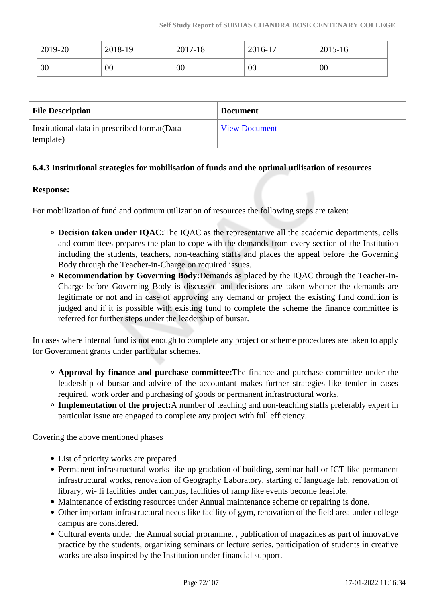|                                                            | 2019-20 | 2018-19  | 2017-18 |                      | 2016-17 | 2015-16 |  |
|------------------------------------------------------------|---------|----------|---------|----------------------|---------|---------|--|
|                                                            | 00      | 00<br>00 |         |                      | 00      | 00      |  |
|                                                            |         |          |         |                      |         |         |  |
| <b>File Description</b>                                    |         |          |         | <b>Document</b>      |         |         |  |
| Institutional data in prescribed format (Data<br>template) |         |          |         | <b>View Document</b> |         |         |  |

### **6.4.3 Institutional strategies for mobilisation of funds and the optimal utilisation of resources**

#### **Response:**

For mobilization of fund and optimum utilization of resources the following steps are taken:

- **Decision taken under IQAC:**The IQAC as the representative all the academic departments, cells and committees prepares the plan to cope with the demands from every section of the Institution including the students, teachers, non-teaching staffs and places the appeal before the Governing Body through the Teacher-in-Charge on required issues.
- **Recommendation by Governing Body:**Demands as placed by the IQAC through the Teacher-In-Charge before Governing Body is discussed and decisions are taken whether the demands are legitimate or not and in case of approving any demand or project the existing fund condition is judged and if it is possible with existing fund to complete the scheme the finance committee is referred for further steps under the leadership of bursar.

In cases where internal fund is not enough to complete any project or scheme procedures are taken to apply for Government grants under particular schemes.

- **Approval by finance and purchase committee:**The finance and purchase committee under the leadership of bursar and advice of the accountant makes further strategies like tender in cases required, work order and purchasing of goods or permanent infrastructural works.
- **Implementation of the project:**A number of teaching and non-teaching staffs preferably expert in particular issue are engaged to complete any project with full efficiency.

Covering the above mentioned phases

- List of priority works are prepared
- Permanent infrastructural works like up gradation of building, seminar hall or ICT like permanent infrastructural works, renovation of Geography Laboratory, starting of language lab, renovation of library, wi- fi facilities under campus, facilities of ramp like events become feasible.
- Maintenance of existing resources under Annual maintenance scheme or repairing is done.
- Other important infrastructural needs like facility of gym, renovation of the field area under college campus are considered.
- Cultural events under the Annual social proramme, , publication of magazines as part of innovative practice by the students, organizing seminars or lecture series, participation of students in creative works are also inspired by the Institution under financial support.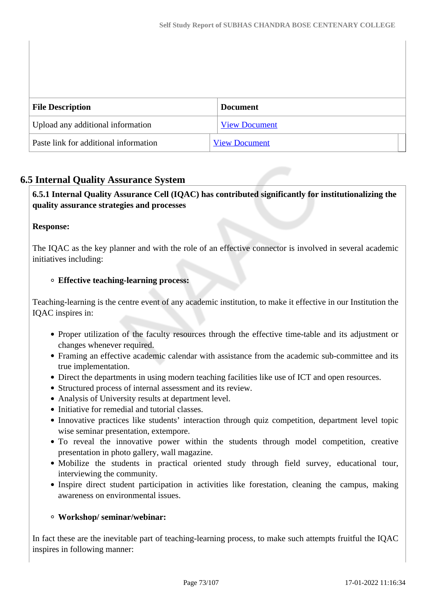| <b>File Description</b>               | <b>Document</b>      |
|---------------------------------------|----------------------|
| Upload any additional information     | <b>View Document</b> |
| Paste link for additional information | <b>View Document</b> |

## **6.5 Internal Quality Assurance System**

## **6.5.1 Internal Quality Assurance Cell (IQAC) has contributed significantly for institutionalizing the quality assurance strategies and processes**

## **Response:**

The IQAC as the key planner and with the role of an effective connector is involved in several academic initiatives including:

#### **Effective teaching-learning process:**

Teaching-learning is the centre event of any academic institution, to make it effective in our Institution the IQAC inspires in:

- Proper utilization of the faculty resources through the effective time-table and its adjustment or changes whenever required.
- Framing an effective academic calendar with assistance from the academic sub-committee and its true implementation.
- Direct the departments in using modern teaching facilities like use of ICT and open resources.
- Structured process of internal assessment and its review.
- Analysis of University results at department level.
- Initiative for remedial and tutorial classes.
- Innovative practices like students' interaction through quiz competition, department level topic wise seminar presentation, extempore.
- To reveal the innovative power within the students through model competition, creative presentation in photo gallery, wall magazine.
- Mobilize the students in practical oriented study through field survey, educational tour, interviewing the community.
- Inspire direct student participation in activities like forestation, cleaning the campus, making awareness on environmental issues.

#### **Workshop/ seminar/webinar:**

In fact these are the inevitable part of teaching-learning process, to make such attempts fruitful the IQAC inspires in following manner: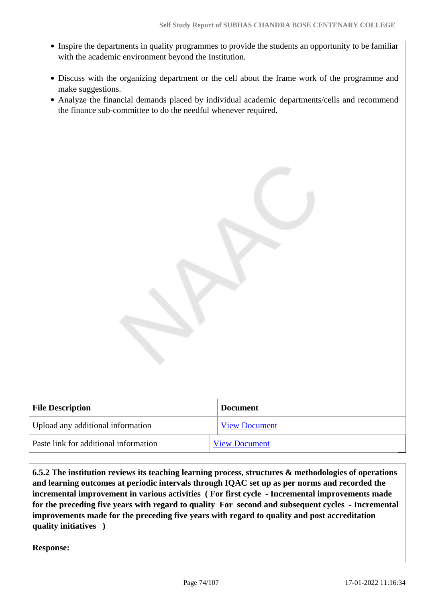- Inspire the departments in quality programmes to provide the students an opportunity to be familiar with the academic environment beyond the Institution.
- Discuss with the organizing department or the cell about the frame work of the programme and make suggestions.
- Analyze the financial demands placed by individual academic departments/cells and recommend the finance sub-committee to do the needful whenever required.

| <b>Document</b>      |
|----------------------|
| <b>View Document</b> |
| <b>View Document</b> |
|                      |

 **6.5.2 The institution reviews its teaching learning process, structures & methodologies of operations and learning outcomes at periodic intervals through IQAC set up as per norms and recorded the incremental improvement in various activities ( For first cycle - Incremental improvements made for the preceding five years with regard to quality For second and subsequent cycles - Incremental improvements made for the preceding five years with regard to quality and post accreditation quality initiatives )** 

**Response:**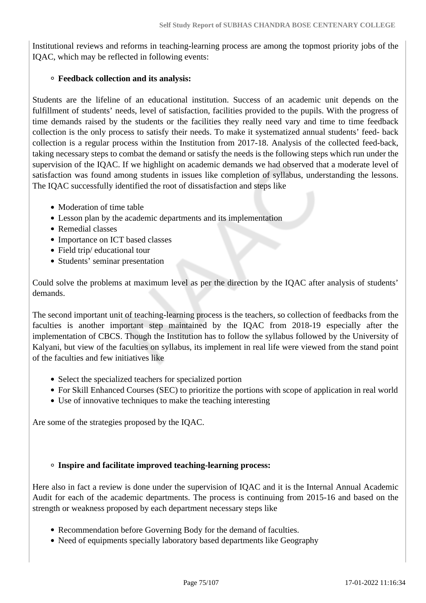Institutional reviews and reforms in teaching-learning process are among the topmost priority jobs of the IQAC, which may be reflected in following events:

## **Feedback collection and its analysis:**

Students are the lifeline of an educational institution. Success of an academic unit depends on the fulfillment of students' needs, level of satisfaction, facilities provided to the pupils. With the progress of time demands raised by the students or the facilities they really need vary and time to time feedback collection is the only process to satisfy their needs. To make it systematized annual students' feed- back collection is a regular process within the Institution from 2017-18. Analysis of the collected feed-back, taking necessary steps to combat the demand or satisfy the needs is the following steps which run under the supervision of the IQAC. If we highlight on academic demands we had observed that a moderate level of satisfaction was found among students in issues like completion of syllabus, understanding the lessons. The IQAC successfully identified the root of dissatisfaction and steps like

- Moderation of time table
- Lesson plan by the academic departments and its implementation
- Remedial classes
- Importance on ICT based classes
- Field trip/ educational tour
- Students' seminar presentation

Could solve the problems at maximum level as per the direction by the IQAC after analysis of students' demands.

The second important unit of teaching-learning process is the teachers, so collection of feedbacks from the faculties is another important step maintained by the IQAC from 2018-19 especially after the implementation of CBCS. Though the Institution has to follow the syllabus followed by the University of Kalyani, but view of the faculties on syllabus, its implement in real life were viewed from the stand point of the faculties and few initiatives like

- Select the specialized teachers for specialized portion
- For Skill Enhanced Courses (SEC) to prioritize the portions with scope of application in real world
- Use of innovative techniques to make the teaching interesting

Are some of the strategies proposed by the IQAC.

## **Inspire and facilitate improved teaching-learning process:**

Here also in fact a review is done under the supervision of IQAC and it is the Internal Annual Academic Audit for each of the academic departments. The process is continuing from 2015-16 and based on the strength or weakness proposed by each department necessary steps like

- Recommendation before Governing Body for the demand of faculties.
- Need of equipments specially laboratory based departments like Geography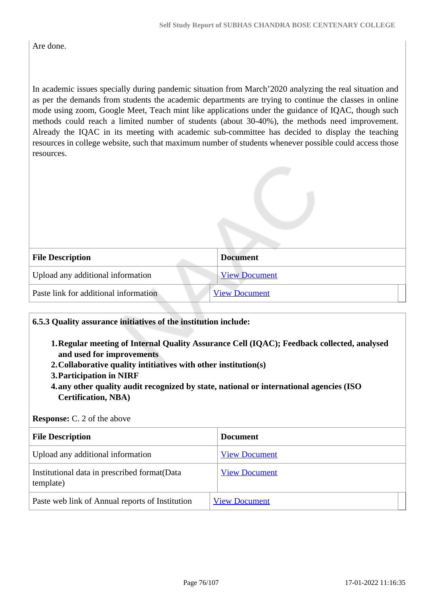Are done.

In academic issues specially during pandemic situation from March'2020 analyzing the real situation and as per the demands from students the academic departments are trying to continue the classes in online mode using zoom, Google Meet, Teach mint like applications under the guidance of IQAC, though such methods could reach a limited number of students (about 30-40%), the methods need improvement. Already the IQAC in its meeting with academic sub-committee has decided to display the teaching resources in college website, such that maximum number of students whenever possible could access those resources.

| <b>File Description</b>               | <b>Document</b>      |
|---------------------------------------|----------------------|
| Upload any additional information     | <b>View Document</b> |
| Paste link for additional information | <b>View Document</b> |

## **6.5.3 Quality assurance initiatives of the institution include:**

- **1.Regular meeting of Internal Quality Assurance Cell (IQAC); Feedback collected, analysed and used for improvements**
- **2.Collaborative quality intitiatives with other institution(s)**
- **3.Participation in NIRF**
- **4.any other quality audit recognized by state, national or international agencies (ISO Certification, NBA)**

#### **Response:** C. 2 of the above

| <b>File Description</b>                                    | <b>Document</b>      |
|------------------------------------------------------------|----------------------|
| Upload any additional information                          | <b>View Document</b> |
| Institutional data in prescribed format (Data<br>template) | <b>View Document</b> |
| Paste web link of Annual reports of Institution            | <b>View Document</b> |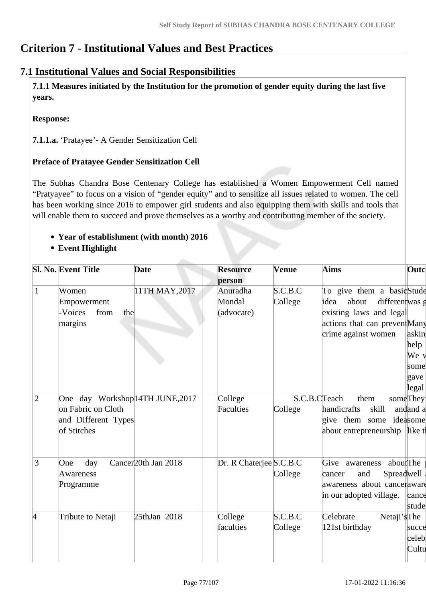# **Criterion 7 - Institutional Values and Best Practices**

## **7.1 Institutional Values and Social Responsibilities**

 **7.1.1 Measures initiated by the Institution for the promotion of gender equity during the last five years.**

## **Response:**

**7.1.1.a.** 'Pratayee'- A Gender Sensitization Cell

## **Preface of Pratayee Gender Sensitization Cell**

The Subhas Chandra Bose Centenary College has established a Women Empowerment Cell named "Pratyayee" to focus on a vision of "gender equity" and to sensitize all issues related to women. The cell has been working since 2016 to empower girl students and also equipping them with skills and tools that will enable them to succeed and prove themselves as a worthy and contributing member of the society.

## **Year of establishment (with month) 2016**

**Event Highlight**

|                | <b>Sl. No. Event Title</b>       | <b>Date</b>                     | <b>Resource</b><br>person | Venue   | Aims                            | Outcl              |
|----------------|----------------------------------|---------------------------------|---------------------------|---------|---------------------------------|--------------------|
| 1              | Women                            | 11TH MAY, 2017                  | Anuradha                  | S.C.B.C | To give them a basicStude       |                    |
|                | Empowerment                      |                                 | Mondal                    | College | about<br>differentwas g<br>idea |                    |
|                | from<br>-Voices<br>the           |                                 | (advocate)                |         | existing laws and legal         |                    |
|                | margins                          |                                 |                           |         | actions that can preventMany    |                    |
|                |                                  |                                 |                           |         | crime against women             | askin              |
|                |                                  |                                 |                           |         |                                 | help               |
|                |                                  |                                 |                           |         |                                 | We v               |
|                |                                  |                                 |                           |         |                                 | some               |
|                |                                  |                                 |                           |         |                                 | gave               |
|                |                                  |                                 |                           |         |                                 | legal              |
| $\overline{2}$ | One day Workshop 14TH JUNE, 2017 |                                 | College                   |         | S.C.B.CTeach<br>them            | someThey           |
|                | on Fabric on Cloth               |                                 | Faculties                 | College | handicrafts<br>skill            | andand a           |
|                | and Different Types              |                                 |                           |         | give them some ideasome         |                    |
|                | of Stitches                      |                                 |                           |         | about entrepreneurship  like tl |                    |
|                |                                  |                                 |                           |         |                                 |                    |
| 3              | day<br>One                       | Cancer <sub>20th</sub> Jan 2018 | Dr. R Chaterjee S.C.B.C   |         | aboutThe<br>Give<br>awareness   |                    |
|                | Awareness                        |                                 |                           | College | Spreadwell<br>and<br>cancer     |                    |
|                | Programme                        |                                 |                           |         | awareness about canceraware     |                    |
|                |                                  |                                 |                           |         | in our adopted village.         | $ c$ ance<br>stude |
| 4              | Tribute to Netaji                | 25thJan 2018                    | College                   | S.C.B.C | Celebrate<br>Netaji's The       |                    |
|                |                                  |                                 | faculties                 | College | 121st birthday                  | succe              |
|                |                                  |                                 |                           |         |                                 | celeb              |
|                |                                  |                                 |                           |         |                                 | Cultu              |
|                |                                  |                                 |                           |         |                                 |                    |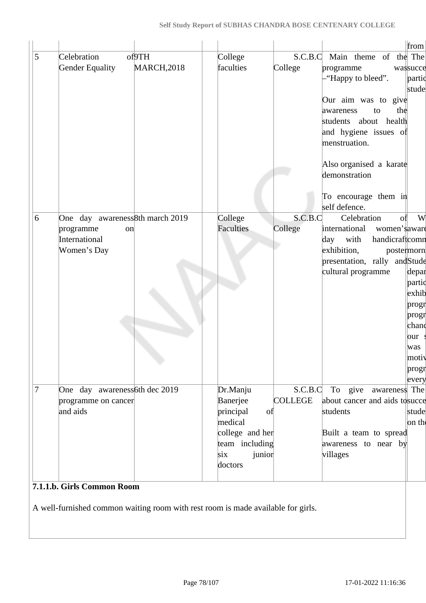|                |                                 |                                                                                  |                  |                |                                       | from     |
|----------------|---------------------------------|----------------------------------------------------------------------------------|------------------|----------------|---------------------------------------|----------|
| 5              | Celebration                     | of9TH                                                                            | College          | S.C.B.C        | Main theme of the The                 |          |
|                | Gender Equality                 | <b>MARCH, 2018</b>                                                               | faculties        | College        | programme                             | wassucce |
|                |                                 |                                                                                  |                  |                | "Happy to bleed".                     | partic   |
|                |                                 |                                                                                  |                  |                |                                       | stude    |
|                |                                 |                                                                                  |                  |                | Our aim was to give                   |          |
|                |                                 |                                                                                  |                  |                | the<br>awareness<br>to                |          |
|                |                                 |                                                                                  |                  |                | students about health                 |          |
|                |                                 |                                                                                  |                  |                | and hygiene issues of                 |          |
|                |                                 |                                                                                  |                  |                | menstruation.                         |          |
|                |                                 |                                                                                  |                  |                | Also organised a karate               |          |
|                |                                 |                                                                                  |                  |                | demonstration                         |          |
|                |                                 |                                                                                  |                  |                |                                       |          |
|                |                                 |                                                                                  |                  |                | To encourage them in<br>self defence. |          |
| 6              | One day awareness8th march 2019 |                                                                                  | College          | S.C.B.C        | Celebration<br>of                     | W        |
|                | programme<br>on                 |                                                                                  | <b>Faculties</b> | College        | international<br>women's aware        |          |
|                | International                   |                                                                                  |                  |                | handicraftcomn<br>with<br>day         |          |
|                | Women's Day                     |                                                                                  |                  |                | exhibition,<br>postermorn             |          |
|                |                                 |                                                                                  |                  |                | presentation, rally andStude          |          |
|                |                                 |                                                                                  |                  |                | cultural programme                    | depar    |
|                |                                 |                                                                                  |                  |                |                                       | partic   |
|                |                                 |                                                                                  |                  |                |                                       | exhib    |
|                |                                 |                                                                                  |                  |                |                                       | progr    |
|                |                                 |                                                                                  |                  |                |                                       | progr    |
|                |                                 |                                                                                  |                  |                |                                       | chand    |
|                |                                 |                                                                                  |                  |                |                                       | our      |
|                |                                 |                                                                                  |                  |                |                                       | was      |
|                |                                 |                                                                                  |                  |                |                                       | motiv    |
|                |                                 | ۰.,                                                                              |                  |                |                                       | progr    |
|                |                                 |                                                                                  |                  |                |                                       | every    |
| $\overline{7}$ | One day awareness 6th dec 2019  |                                                                                  | Dr.Manju         | S.C.B.C        | To give<br>awareness The              |          |
|                | programme on cancer             |                                                                                  | Banerjee         | <b>COLLEGE</b> | about cancer and aids tosucce         |          |
|                | and aids                        |                                                                                  | principal<br>of  |                | students                              | stude    |
|                |                                 |                                                                                  | medical          |                |                                       | on the   |
|                |                                 |                                                                                  | college and her  |                | Built a team to spread                |          |
|                |                                 |                                                                                  | team including   |                | awareness to near by                  |          |
|                |                                 |                                                                                  | six<br>junior    |                | villages                              |          |
|                |                                 |                                                                                  | doctors          |                |                                       |          |
|                | 7.1.1.b. Girls Common Room      |                                                                                  |                  |                |                                       |          |
|                |                                 |                                                                                  |                  |                |                                       |          |
|                |                                 | A well-furnished common waiting room with rest room is made available for girls. |                  |                |                                       |          |
|                |                                 |                                                                                  |                  |                |                                       |          |
|                |                                 |                                                                                  |                  |                |                                       |          |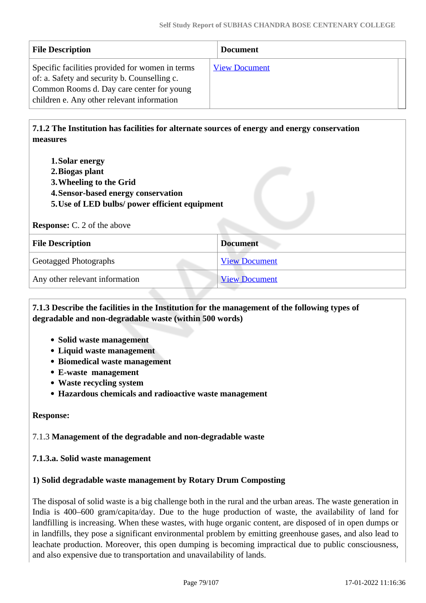| <b>File Description</b>                                                                                                                                                                    | <b>Document</b>      |  |
|--------------------------------------------------------------------------------------------------------------------------------------------------------------------------------------------|----------------------|--|
| Specific facilities provided for women in terms<br>of: a. Safety and security b. Counselling c.<br>Common Rooms d. Day care center for young<br>children e. Any other relevant information | <b>View Document</b> |  |

 **7.1.2 The Institution has facilities for alternate sources of energy and energy conservation measures** 

- **1.Solar energy**
- **2.Biogas plant**
- **3.Wheeling to the Grid**
- **4.Sensor-based energy conservation**
- **5.Use of LED bulbs/ power efficient equipment**

#### **Response:** C. 2 of the above

| <b>File Description</b>        | <b>Document</b>      |
|--------------------------------|----------------------|
| <b>Geotagged Photographs</b>   | <b>View Document</b> |
| Any other relevant information | <b>View Document</b> |

## **7.1.3 Describe the facilities in the Institution for the management of the following types of degradable and non-degradable waste (within 500 words)**

- **Solid waste management**
- **Liquid waste management**
- **Biomedical waste management**
- **E-waste management**
- **Waste recycling system**
- **Hazardous chemicals and radioactive waste management**

## **Response:**

## 7.1.3 **Management of the degradable and non-degradable waste**

## **7.1.3.a. Solid waste management**

## **1) Solid degradable waste management by Rotary Drum Composting**

The disposal of solid waste is a big challenge both in the rural and the urban areas. The waste generation in India is 400–600 gram/capita/day. Due to the huge production of waste, the availability of land for landfilling is increasing. When these wastes, with huge organic content, are disposed of in open dumps or in landfills, they pose a significant environmental problem by emitting greenhouse gases, and also lead to leachate production. Moreover, this open dumping is becoming impractical due to public consciousness, and also expensive due to transportation and unavailability of lands.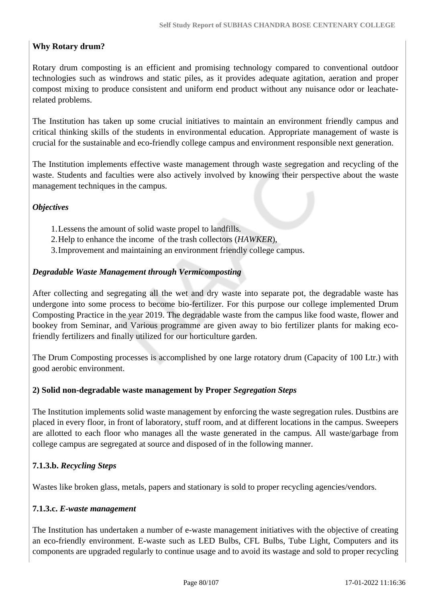## **Why Rotary drum?**

Rotary drum composting is an efficient and promising technology compared to conventional outdoor technologies such as windrows and static piles, as it provides adequate agitation, aeration and proper compost mixing to produce consistent and uniform end product without any nuisance odor or leachaterelated problems.

The Institution has taken up some crucial initiatives to maintain an environment friendly campus and critical thinking skills of the students in environmental education. Appropriate management of waste is crucial for the sustainable and eco-friendly college campus and environment responsible next generation.

The Institution implements effective waste management through waste segregation and recycling of the waste. Students and faculties were also actively involved by knowing their perspective about the waste management techniques in the campus.

## *Objectives*

- 1.Lessens the amount of solid waste propel to landfills.
- 2.Help to enhance the income of the trash collectors (*HAWKER*),
- 3.Improvement and maintaining an environment friendly college campus.

## *Degradable Waste Management through Vermicomposting*

After collecting and segregating all the wet and dry waste into separate pot, the degradable waste has undergone into some process to become bio-fertilizer. For this purpose our college implemented Drum Composting Practice in the year 2019. The degradable waste from the campus like food waste, flower and bookey from Seminar, and Various programme are given away to bio fertilizer plants for making ecofriendly fertilizers and finally utilized for our horticulture garden.

The Drum Composting processes is accomplished by one large rotatory drum (Capacity of 100 Ltr.) with good aerobic environment.

## **2) Solid non-degradable waste management by Proper** *Segregation Steps*

The Institution implements solid waste management by enforcing the waste segregation rules. Dustbins are placed in every floor, in front of laboratory, stuff room, and at different locations in the campus. Sweepers are allotted to each floor who manages all the waste generated in the campus. All waste/garbage from college campus are segregated at source and disposed of in the following manner.

## **7.1.3.b.** *Recycling Steps*

Wastes like broken glass, metals, papers and stationary is sold to proper recycling agencies/vendors.

## **7.1.3.c.** *E-waste management*

The Institution has undertaken a number of e-waste management initiatives with the objective of creating an eco-friendly environment. E-waste such as LED Bulbs, CFL Bulbs, Tube Light, Computers and its components are upgraded regularly to continue usage and to avoid its wastage and sold to proper recycling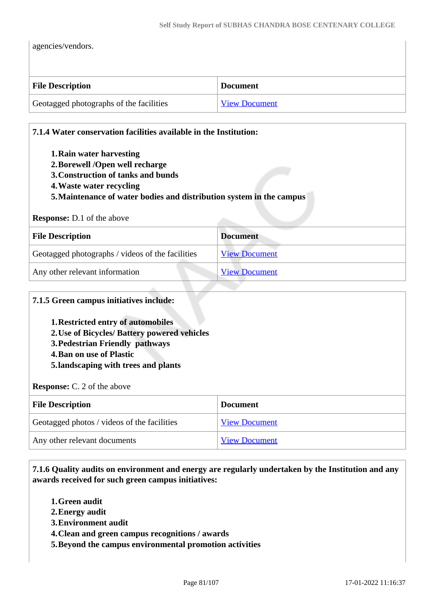agencies/vendors.

| <b>File Description</b>                 | <b>Document</b>      |
|-----------------------------------------|----------------------|
| Geotagged photographs of the facilities | <b>View Document</b> |

| 7.1.4 Water conservation facilities available in the Institution:                                                                                                                                     |                      |
|-------------------------------------------------------------------------------------------------------------------------------------------------------------------------------------------------------|----------------------|
| 1. Rain water harvesting<br>2. Borewell /Open well recharge<br>3. Construction of tanks and bunds<br>4. Waste water recycling<br>5. Maintenance of water bodies and distribution system in the campus |                      |
| <b>Response:</b> D.1 of the above                                                                                                                                                                     |                      |
|                                                                                                                                                                                                       |                      |
| <b>File Description</b>                                                                                                                                                                               | <b>Document</b>      |
| Geotagged photographs / videos of the facilities                                                                                                                                                      | <b>View Document</b> |

# **7.1.5 Green campus initiatives include: 1.Restricted entry of automobiles 2.Use of Bicycles/ Battery powered vehicles 3.Pedestrian Friendly pathways 4.Ban on use of Plastic 5.landscaping with trees and plants Response:** C. 2 of the above **File Description Document** Geotagged photos / videos of the facilities [View Document](https://assessmentonline.naac.gov.in/storage/app/hei/SSR/103261/7.1.5_1627225668_6549.pdf) Any other relevant documents [View Document](https://assessmentonline.naac.gov.in/storage/app/hei/SSR/103261/7.1.5_1627225684_6549.pdf)

 **7.1.6 Quality audits on environment and energy are regularly undertaken by the Institution and any awards received for such green campus initiatives:**

- **1.Green audit**
- **2.Energy audit**
- **3.Environment audit**
- **4.Clean and green campus recognitions / awards**
- **5.Beyond the campus environmental promotion activities**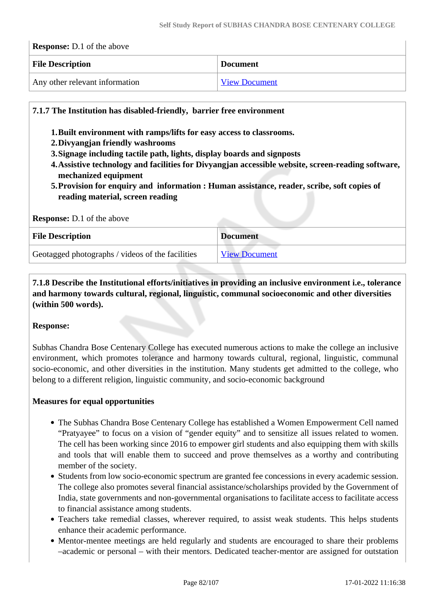| <b>Response:</b> D.1 of the above |                      |
|-----------------------------------|----------------------|
| <b>File Description</b>           | <b>Document</b>      |
| Any other relevant information    | <b>View Document</b> |

## **7.1.7 The Institution has disabled-friendly, barrier free environment**

- **1.Built environment with ramps/lifts for easy access to classrooms.**
- **2.Divyangjan friendly washrooms**
- **3.Signage including tactile path, lights, display boards and signposts**
- **4.Assistive technology and facilities for Divyangjan accessible website, screen-reading software, mechanized equipment**
- **5.Provision for enquiry and information : Human assistance, reader, scribe, soft copies of reading material, screen reading**

#### **Response:** D.1 of the above

| <b>File Description</b>                          | <b>Document</b>      |
|--------------------------------------------------|----------------------|
| Geotagged photographs / videos of the facilities | <b>View Document</b> |

 **7.1.8 Describe the Institutional efforts/initiatives in providing an inclusive environment i.e., tolerance and harmony towards cultural, regional, linguistic, communal socioeconomic and other diversities (within 500 words).**

## **Response:**

Subhas Chandra Bose Centenary College has executed numerous actions to make the college an inclusive environment, which promotes tolerance and harmony towards cultural, regional, linguistic, communal socio-economic, and other diversities in the institution. Many students get admitted to the college, who belong to a different religion, linguistic community, and socio-economic background

## **Measures for equal opportunities**

- The Subhas Chandra Bose Centenary College has established a Women Empowerment Cell named "Pratyayee" to focus on a vision of "gender equity" and to sensitize all issues related to women. The cell has been working since 2016 to empower girl students and also equipping them with skills and tools that will enable them to succeed and prove themselves as a worthy and contributing member of the society.
- Students from low socio-economic spectrum are granted fee concessions in every academic session. The college also promotes several financial assistance/scholarships provided by the Government of India, state governments and non-governmental organisations to facilitate access to facilitate access to financial assistance among students.
- Teachers take remedial classes, wherever required, to assist weak students. This helps students enhance their academic performance.
- Mentor-mentee meetings are held regularly and students are encouraged to share their problems –academic or personal – with their mentors. Dedicated teacher-mentor are assigned for outstation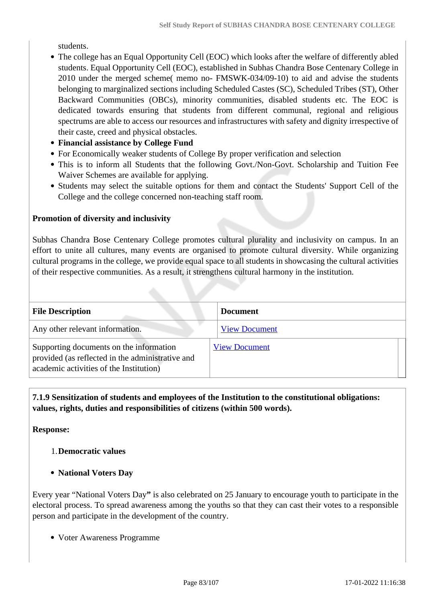students.

- The college has an Equal Opportunity Cell (EOC) which looks after the welfare of differently abled students. Equal Opportunity Cell (EOC), established in Subhas Chandra Bose Centenary College in 2010 under the merged scheme( memo no- FMSWK-034/09-10) to aid and advise the students belonging to marginalized sections including Scheduled Castes (SC), Scheduled Tribes (ST), Other Backward Communities (OBCs), minority communities, disabled students etc. The EOC is dedicated towards ensuring that students from different communal, regional and religious spectrums are able to access our resources and infrastructures with safety and dignity irrespective of their caste, creed and physical obstacles.
- **Financial assistance by College Fund**
- For Economically weaker students of College By proper verification and selection
- This is to inform all Students that the following Govt./Non-Govt. Scholarship and Tuition Fee Waiver Schemes are available for applying.
- Students may select the suitable options for them and contact the Students' Support Cell of the College and the college concerned non-teaching staff room.

## **Promotion of diversity and inclusivity**

Subhas Chandra Bose Centenary College promotes cultural plurality and inclusivity on campus. In an effort to unite all cultures, many events are organised to promote cultural diversity. While organizing cultural programs in the college, we provide equal space to all students in showcasing the cultural activities of their respective communities. As a result, it strengthens cultural harmony in the institution.

| <b>File Description</b>                                                                                                                | <b>Document</b>      |
|----------------------------------------------------------------------------------------------------------------------------------------|----------------------|
| Any other relevant information.                                                                                                        | <b>View Document</b> |
| Supporting documents on the information<br>provided (as reflected in the administrative and<br>academic activities of the Institution) | <b>View Document</b> |

 **7.1.9 Sensitization of students and employees of the Institution to the constitutional obligations: values, rights, duties and responsibilities of citizens (within 500 words).**

**Response:** 

## 1.**Democratic values**

**National Voters Day**

Every year "National Voters Day**"** is also celebrated on 25 January to encourage youth to participate in the electoral process. To spread awareness among the youths so that they can cast their votes to a responsible person and participate in the development of the country.

Voter Awareness Programme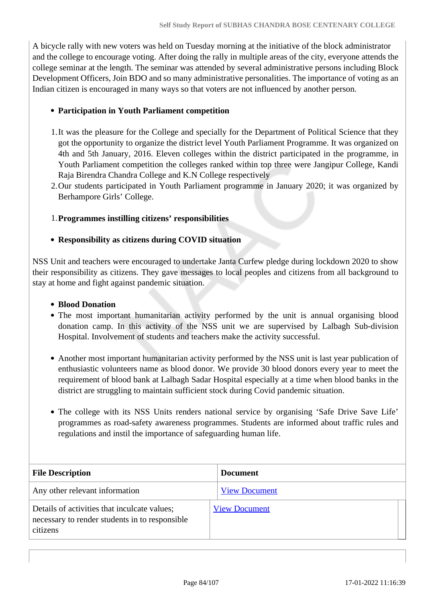A bicycle rally with new voters was held on Tuesday morning at the initiative of the block administrator and the college to encourage voting. After doing the rally in multiple areas of the city, everyone attends the college seminar at the length. The seminar was attended by several administrative persons including Block Development Officers, Join BDO and so many administrative personalities. The importance of voting as an Indian citizen is encouraged in many ways so that voters are not influenced by another person.

#### **Participation in Youth Parliament competition**

- 1.It was the pleasure for the College and specially for the Department of Political Science that they got the opportunity to organize the district level Youth Parliament Programme. It was organized on 4th and 5th January, 2016. Eleven colleges within the district participated in the programme, in Youth Parliament competition the colleges ranked within top three were Jangipur College, Kandi Raja Birendra Chandra College and K.N College respectively
- 2.Our students participated in Youth Parliament programme in January 2020; it was organized by Berhampore Girls' College.

#### 1.**Programmes instilling citizens' responsibilities**

#### **Responsibility as citizens during COVID situation**

NSS Unit and teachers were encouraged to undertake Janta Curfew pledge during lockdown 2020 to show their responsibility as citizens. They gave messages to local peoples and citizens from all background to stay at home and fight against pandemic situation.

#### **Blood Donation**

- The most important humanitarian activity performed by the unit is annual organising blood donation camp. In this activity of the NSS unit we are supervised by Lalbagh Sub-division Hospital. Involvement of students and teachers make the activity successful.
- Another most important humanitarian activity performed by the NSS unit is last year publication of enthusiastic volunteers name as blood donor. We provide 30 blood donors every year to meet the requirement of blood bank at Lalbagh Sadar Hospital especially at a time when blood banks in the district are struggling to maintain sufficient stock during Covid pandemic situation.
- The college with its NSS Units renders national service by organising 'Safe Drive Save Life' programmes as road-safety awareness programmes. Students are informed about traffic rules and regulations and instil the importance of safeguarding human life.

| <b>File Description</b>                                                                                    | <b>Document</b>      |
|------------------------------------------------------------------------------------------------------------|----------------------|
| Any other relevant information                                                                             | <b>View Document</b> |
| Details of activities that inculcate values;<br>necessary to render students in to responsible<br>citizens | <b>View Document</b> |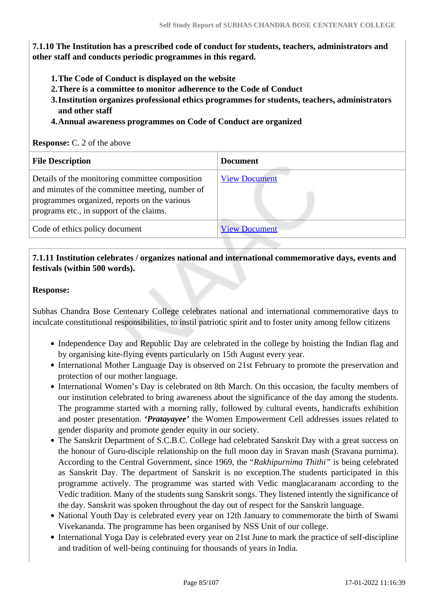**7.1.10 The Institution has a prescribed code of conduct for students, teachers, administrators and other staff and conducts periodic programmes in this regard.** 

- **1.The Code of Conduct is displayed on the website**
- **2.There is a committee to monitor adherence to the Code of Conduct**
- **3.Institution organizes professional ethics programmes for students, teachers, administrators and other staff**
- **4.Annual awareness programmes on Code of Conduct are organized**

#### **Response:** C. 2 of the above

| <b>File Description</b>                                                                                                                                                                        | <b>Document</b>      |
|------------------------------------------------------------------------------------------------------------------------------------------------------------------------------------------------|----------------------|
| Details of the monitoring committee composition<br>and minutes of the committee meeting, number of<br>programmes organized, reports on the various<br>programs etc., in support of the claims. | <b>View Document</b> |
| Code of ethics policy document                                                                                                                                                                 | <b>View Document</b> |

## **7.1.11 Institution celebrates / organizes national and international commemorative days, events and festivals (within 500 words).**

#### **Response:**

Subhas Chandra Bose Centenary College celebrates national and international commemorative days to inculcate constitutional responsibilities, to instil patriotic spirit and to foster unity among fellow citizens

- Independence Day and Republic Day are celebrated in the college by hoisting the Indian flag and by organising kite-flying events particularly on 15th August every year.
- International Mother Language Day is observed on 21st February to promote the preservation and protection of our mother language.
- International Women's Day is celebrated on 8th March. On this occasion, the faculty members of our institution celebrated to bring awareness about the significance of the day among the students. The programme started with a morning rally, followed by cultural events, handicrafts exhibition and poster presentation. *'Pratayayee'* the Women Empowerment Cell addresses issues related to gender disparity and promote gender equity in our society.
- The Sanskrit Department of S.C.B.C. College had celebrated Sanskrit Day with a great success on the honour of Guru-disciple relationship on the full moon day in Sravan mash (Sravana purnima). According to the Central Government, since 1969, the "*Rakhipurnima Thithi"* is being celebrated as Sanskrit Day. The department of Sanskrit is no exception.The students participated in this programme actively. The programme was started with Vedic manglacaranam according to the Vedic tradition. Many of the students sung Sanskrit songs. They listened intently the significance of the day. Sanskrit was spoken throughout the day out of respect for the Sanskrit language.
- National Youth Day is celebrated every year on 12th January to commemorate the birth of Swami Vivekananda. The programme has been organised by NSS Unit of our college.
- International Yoga Day is celebrated every year on 21st June to mark the practice of self-discipline and tradition of well-being continuing for thousands of years in India.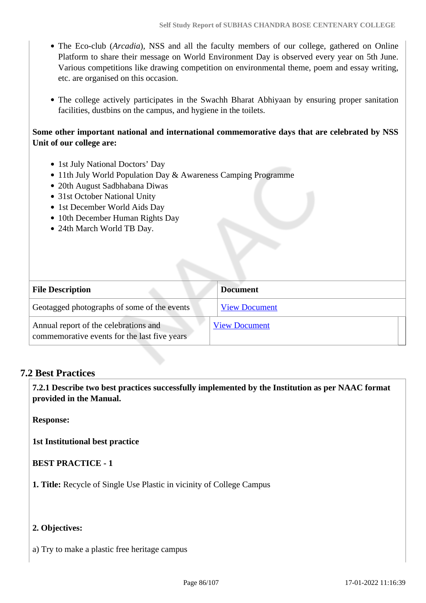- The Eco-club (*Arcadia*), NSS and all the faculty members of our college, gathered on Online Platform to share their message on World Environment Day is observed every year on 5th June. Various competitions like drawing competition on environmental theme, poem and essay writing, etc. are organised on this occasion.
- The college actively participates in the Swachh Bharat Abhiyaan by ensuring proper sanitation facilities, dustbins on the campus, and hygiene in the toilets.

## **Some other important national and international commemorative days that are celebrated by NSS Unit of our college are:**

- 1st July National Doctors' Day
- 11th July World Population Day & Awareness Camping Programme
- 20th August Sadbhabana Diwas
- 31st October National Unity
- 1st December World Aids Day
- 10th December Human Rights Day
- 24th March World TB Day.

| <b>File Description</b>                                                               | <b>Document</b>      |
|---------------------------------------------------------------------------------------|----------------------|
| Geotagged photographs of some of the events                                           | <b>View Document</b> |
| Annual report of the celebrations and<br>commemorative events for the last five years | <b>View Document</b> |

## **7.2 Best Practices**

 **7.2.1 Describe two best practices successfully implemented by the Institution as per NAAC format provided in the Manual.**

**Response:** 

**1st Institutional best practice**

## **BEST PRACTICE - 1**

**1. Title:** Recycle of Single Use Plastic in vicinity of College Campus

## **2. Objectives:**

a) Try to make a plastic free heritage campus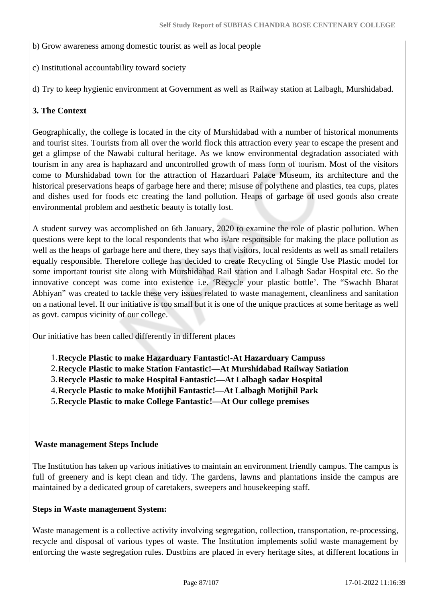- b) Grow awareness among domestic tourist as well as local people
- c) Institutional accountability toward society

d) Try to keep hygienic environment at Government as well as Railway station at Lalbagh, Murshidabad.

## **3. The Context**

Geographically, the college is located in the city of Murshidabad with a number of historical monuments and tourist sites. Tourists from all over the world flock this attraction every year to escape the present and get a glimpse of the Nawabi cultural heritage. As we know environmental degradation associated with tourism in any area is haphazard and uncontrolled growth of mass form of tourism. Most of the visitors come to Murshidabad town for the attraction of Hazarduari Palace Museum, its architecture and the historical preservations heaps of garbage here and there; misuse of polythene and plastics, tea cups, plates and dishes used for foods etc creating the land pollution. Heaps of garbage of used goods also create environmental problem and aesthetic beauty is totally lost.

A student survey was accomplished on 6th January, 2020 to examine the role of plastic pollution. When questions were kept to the local respondents that who is/are responsible for making the place pollution as well as the heaps of garbage here and there, they says that visitors, local residents as well as small retailers equally responsible. Therefore college has decided to create Recycling of Single Use Plastic model for some important tourist site along with Murshidabad Rail station and Lalbagh Sadar Hospital etc. So the innovative concept was come into existence i.e. 'Recycle your plastic bottle'. The "Swachh Bharat Abhiyan" was created to tackle these very issues related to waste management, cleanliness and sanitation on a national level. If our initiative is too small but it is one of the unique practices at some heritage as well as govt. campus vicinity of our college.

Our initiative has been called differently in different places

- 1.**Recycle Plastic to make Hazarduary Fantastic!-At Hazarduary Campuss**
- 2.**Recycle Plastic to make Station Fantastic!—At Murshidabad Railway Satiation**
- 3.**Recycle Plastic to make Hospital Fantastic!—At Lalbagh sadar Hospital**
- 4.**Recycle Plastic to make Motijhil Fantastic!—At Lalbagh Motijhil Park**

5.**Recycle Plastic to make College Fantastic!—At Our college premises**

## **Waste management Steps Include**

The Institution has taken up various initiatives to maintain an environment friendly campus. The campus is full of greenery and is kept clean and tidy. The gardens, lawns and plantations inside the campus are maintained by a dedicated group of caretakers, sweepers and housekeeping staff.

## **Steps in Waste management System:**

Waste management is a collective activity involving segregation, collection, transportation, re-processing, recycle and disposal of various types of waste. The Institution implements solid waste management by enforcing the waste segregation rules. Dustbins are placed in every heritage sites, at different locations in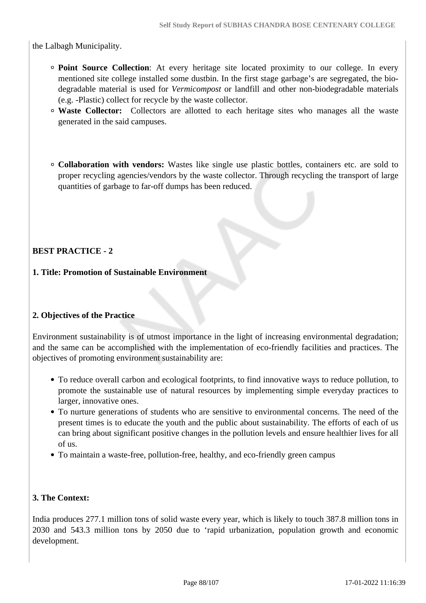the Lalbagh Municipality.

- **Point Source Collection**: At every heritage site located proximity to our college. In every mentioned site college installed some dustbin. In the first stage garbage's are segregated, the biodegradable material is used for *Vermicompost* or landfill and other non-biodegradable materials (e.g. -Plastic) collect for recycle by the waste collector.
- **Waste Collector:** Collectors are allotted to each heritage sites who manages all the waste generated in the said campuses.
- **Collaboration with vendors:** Wastes like single use plastic bottles, containers etc. are sold to proper recycling agencies/vendors by the waste collector. Through recycling the transport of large quantities of garbage to far-off dumps has been reduced.

## **BEST PRACTICE - 2**

## **1. Title: Promotion of Sustainable Environment**

## **2. Objectives of the Practice**

Environment sustainability is of utmost importance in the light of increasing environmental degradation; and the same can be accomplished with the implementation of eco-friendly facilities and practices. The objectives of promoting environment sustainability are:

- To reduce overall carbon and ecological footprints, to find innovative ways to reduce pollution, to promote the sustainable use of natural resources by implementing simple everyday practices to larger, innovative ones.
- To nurture generations of students who are sensitive to environmental concerns. The need of the present times is to educate the youth and the public about sustainability. The efforts of each of us can bring about significant positive changes in the pollution levels and ensure healthier lives for all of us.
- To maintain a waste-free, pollution-free, healthy, and eco-friendly green campus

## **3. The Context:**

India produces 277.1 million tons of solid waste every year, which is likely to touch 387.8 million tons in 2030 and 543.3 million tons by 2050 due to 'rapid urbanization, population growth and economic development.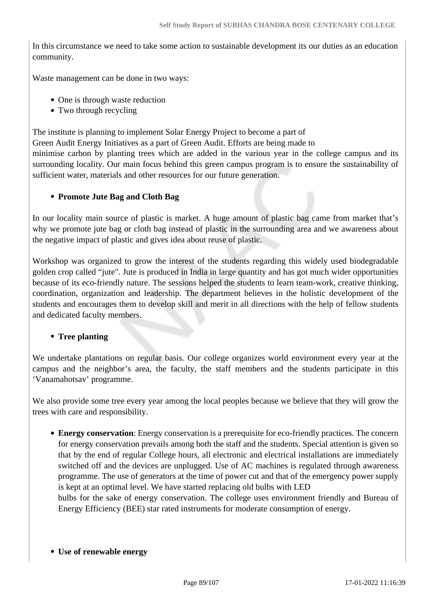In this circumstance we need to take some action to sustainable development its our duties as an education community.

Waste management can be done in two ways:

- One is through waste reduction
- Two through recycling

The institute is planning to implement Solar Energy Project to become a part of Green Audit Energy Initiatives as a part of Green Audit. Efforts are being made to minimise carbon by planting trees which are added in the various year in the college campus and its surrounding locality. Our main focus behind this green campus program is to ensure the sustainability of sufficient water, materials and other resources for our future generation.

## **Promote Jute Bag and Cloth Bag**

In our locality main source of plastic is market. A huge amount of plastic bag came from market that's why we promote jute bag or cloth bag instead of plastic in the surrounding area and we awareness about the negative impact of plastic and gives idea about reuse of plastic.

Workshop was organized to grow the interest of the students regarding this widely used biodegradable golden crop called "jute". Jute is produced in India in large quantity and has got much wider opportunities because of its eco-friendly nature. The sessions helped the students to learn team-work, creative thinking, coordination, organization and leadership. The department believes in the holistic development of the students and encourages them to develop skill and merit in all directions with the help of fellow students and dedicated faculty members.

## • Tree planting

We undertake plantations on regular basis. Our college organizes world environment every year at the campus and the neighbor's area, the faculty, the staff members and the students participate in this 'Vanamahotsav' programme.

We also provide some tree every year among the local peoples because we believe that they will grow the trees with care and responsibility.

**Energy conservation**: Energy conservation is a prerequisite for eco-friendly practices. The concern for energy conservation prevails among both the staff and the students. Special attention is given so that by the end of regular College hours, all electronic and electrical installations are immediately switched off and the devices are unplugged. Use of AC machines is regulated through awareness programme. The use of generators at the time of power cut and that of the emergency power supply is kept at an optimal level. We have started replacing old bulbs with LED bulbs for the sake of energy conservation. The college uses environment friendly and Bureau of

Energy Efficiency (BEE) star rated instruments for moderate consumption of energy.

**Use of renewable energy**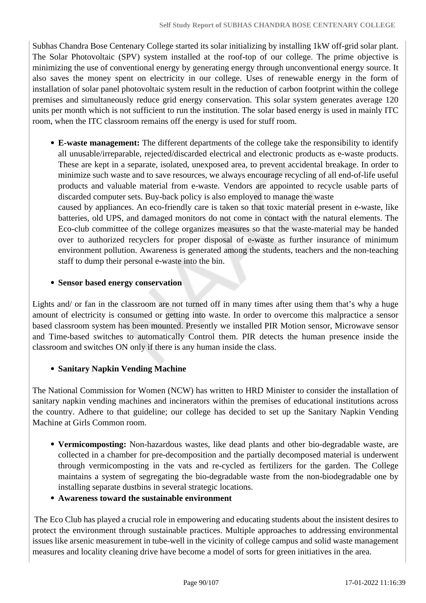Subhas Chandra Bose Centenary College started its solar initializing by installing 1kW off-grid solar plant. The Solar Photovoltaic (SPV) system installed at the roof-top of our college. The prime objective is minimizing the use of conventional energy by generating energy through unconventional energy source. It also saves the money spent on electricity in our college. Uses of renewable energy in the form of installation of solar panel photovoltaic system result in the reduction of carbon footprint within the college premises and simultaneously reduce grid energy conservation. This solar system generates average 120 units per month which is not sufficient to run the institution. The solar based energy is used in mainly ITC room, when the ITC classroom remains off the energy is used for stuff room.

**E-waste management:** The different departments of the college take the responsibility to identify all unusable/irreparable, rejected/discarded electrical and electronic products as e-waste products. These are kept in a separate, isolated, unexposed area, to prevent accidental breakage. In order to minimize such waste and to save resources, we always encourage recycling of all end-of-life useful products and valuable material from e-waste. Vendors are appointed to recycle usable parts of discarded computer sets. Buy-back policy is also employed to manage the waste

caused by appliances. An eco-friendly care is taken so that toxic material present in e-waste, like batteries, old UPS, and damaged monitors do not come in contact with the natural elements. The Eco-club committee of the college organizes measures so that the waste-material may be handed over to authorized recyclers for proper disposal of e-waste as further insurance of minimum environment pollution. Awareness is generated among the students, teachers and the non-teaching staff to dump their personal e-waste into the bin.

## **Sensor based energy conservation**

Lights and/ or fan in the classroom are not turned off in many times after using them that's why a huge amount of electricity is consumed or getting into waste. In order to overcome this malpractice a sensor based classroom system has been mounted. Presently we installed PIR Motion sensor, Microwave sensor and Time-based switches to automatically Control them. PIR detects the human presence inside the classroom and switches ON only if there is any human inside the class.

## **Sanitary Napkin Vending Machine**

The National Commission for Women (NCW) has written to HRD Minister to consider the installation of sanitary napkin vending machines and incinerators within the premises of educational institutions across the country. Adhere to that guideline; our college has decided to set up the Sanitary Napkin Vending Machine at Girls Common room.

- **Vermicomposting:** Non-hazardous wastes, like dead plants and other bio-degradable waste, are collected in a chamber for pre-decomposition and the partially decomposed material is underwent through vermicomposting in the vats and re-cycled as fertilizers for the garden. The College maintains a system of segregating the bio-degradable waste from the non-biodegradable one by installing separate dustbins in several strategic locations.
- **Awareness toward the sustainable environment**

 The Eco Club has played a crucial role in empowering and educating students about the insistent desires to protect the environment through sustainable practices. Multiple approaches to addressing environmental issues like arsenic measurement in tube-well in the vicinity of college campus and solid waste management measures and locality cleaning drive have become a model of sorts for green initiatives in the area.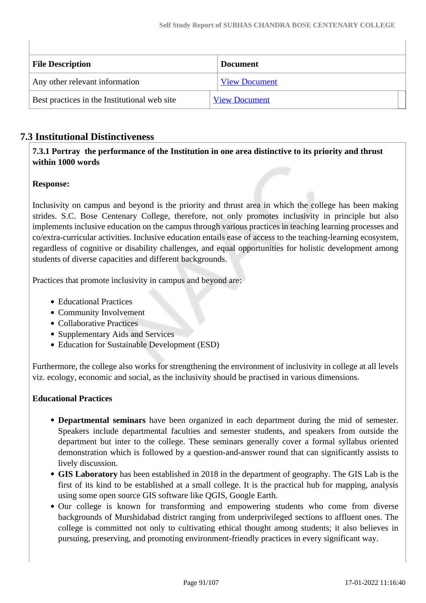| <b>File Description</b>                      | <b>Document</b>      |  |  |  |
|----------------------------------------------|----------------------|--|--|--|
| Any other relevant information               | <b>View Document</b> |  |  |  |
| Best practices in the Institutional web site | <b>View Document</b> |  |  |  |

## **7.3 Institutional Distinctiveness**

 **7.3.1 Portray the performance of the Institution in one area distinctive to its priority and thrust within 1000 words**

## **Response:**

Inclusivity on campus and beyond is the priority and thrust area in which the college has been making strides. S.C. Bose Centenary College, therefore, not only promotes inclusivity in principle but also implements inclusive education on the campus through various practices in teaching learning processes and co/extra-curricular activities. Inclusive education entails ease of access to the teaching-learning ecosystem, regardless of cognitive or disability challenges, and equal opportunities for holistic development among students of diverse capacities and different backgrounds.

Practices that promote inclusivity in campus and beyond are:

- Educational Practices
- Community Involvement
- Collaborative Practices
- Supplementary Aids and Services
- Education for Sustainable Development (ESD)

Furthermore, the college also works for strengthening the environment of inclusivity in college at all levels viz. ecology, economic and social, as the inclusivity should be practised in various dimensions.

## **Educational Practices**

- **Departmental seminars** have been organized in each department during the mid of semester. Speakers include departmental faculties and semester students, and speakers from outside the department but inter to the college. These seminars generally cover a formal syllabus oriented demonstration which is followed by a question-and-answer round that can significantly assists to lively discussion.
- **GIS Laboratory** has been established in 2018 in the department of geography. The GIS Lab is the first of its kind to be established at a small college. It is the practical hub for mapping, analysis using some open source GIS software like QGIS, Google Earth.
- Our college is known for transforming and empowering students who come from diverse backgrounds of Murshidabad district ranging from underprivileged sections to affluent ones. The college is committed not only to cultivating ethical thought among students; it also believes in pursuing, preserving, and promoting environment-friendly practices in every significant way.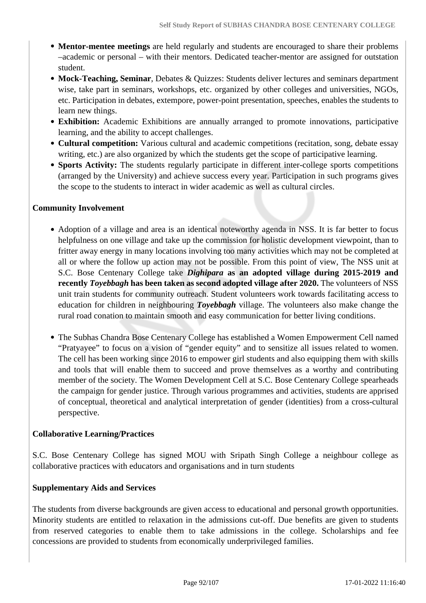- **Mentor-mentee meetings** are held regularly and students are encouraged to share their problems –academic or personal – with their mentors. Dedicated teacher-mentor are assigned for outstation student.
- **Mock-Teaching, Seminar**, Debates & Quizzes: Students deliver lectures and seminars department wise, take part in seminars, workshops, etc. organized by other colleges and universities, NGOs, etc. Participation in debates, extempore, power-point presentation, speeches, enables the students to learn new things.
- **Exhibition:** Academic Exhibitions are annually arranged to promote innovations, participative learning, and the ability to accept challenges.
- **Cultural competition:** Various cultural and academic competitions (recitation, song, debate essay writing, etc.) are also organized by which the students get the scope of participative learning.
- **Sports Activity:** The students regularly participate in different inter-college sports competitions (arranged by the University) and achieve success every year. Participation in such programs gives the scope to the students to interact in wider academic as well as cultural circles.

## **Community Involvement**

- Adoption of a village and area is an identical noteworthy agenda in NSS. It is far better to focus helpfulness on one village and take up the commission for holistic development viewpoint, than to fritter away energy in many locations involving too many activities which may not be completed at all or where the follow up action may not be possible. From this point of view, The NSS unit at S.C. Bose Centenary College take *Dighipara* **as an adopted village during 2015-2019 and recently** *Toyebbagh* **has been taken as second adopted village after 2020.** The volunteers of NSS unit train students for community outreach. Student volunteers work towards facilitating access to education for children in neighbouring *Toyebbagh* village. The volunteers also make change the rural road conation to maintain smooth and easy communication for better living conditions.
- The Subhas Chandra Bose Centenary College has established a Women Empowerment Cell named "Pratyayee" to focus on a vision of "gender equity" and to sensitize all issues related to women. The cell has been working since 2016 to empower girl students and also equipping them with skills and tools that will enable them to succeed and prove themselves as a worthy and contributing member of the society. The Women Development Cell at S.C. Bose Centenary College spearheads the campaign for gender justice. Through various programmes and activities, students are apprised of conceptual, theoretical and analytical interpretation of gender (identities) from a cross-cultural perspective.

## **Collaborative Learning/Practices**

S.C. Bose Centenary College has signed MOU with Sripath Singh College a neighbour college as collaborative practices with educators and organisations and in turn students

## **Supplementary Aids and Services**

The students from diverse backgrounds are given access to educational and personal growth opportunities. Minority students are entitled to relaxation in the admissions cut-off. Due benefits are given to students from reserved categories to enable them to take admissions in the college. Scholarships and fee concessions are provided to students from economically underprivileged families.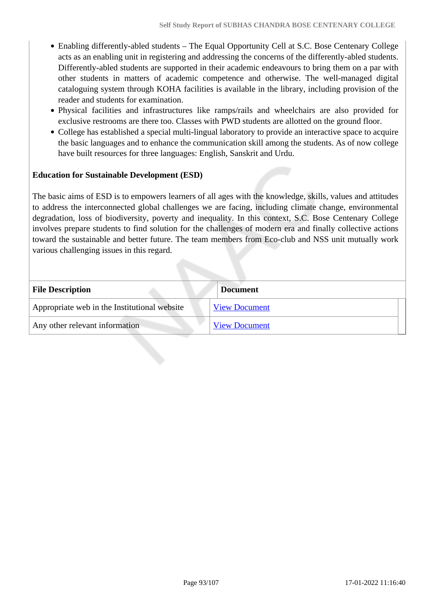- Enabling differently-abled students The Equal Opportunity Cell at S.C. Bose Centenary College acts as an enabling unit in registering and addressing the concerns of the differently-abled students. Differently-abled students are supported in their academic endeavours to bring them on a par with other students in matters of academic competence and otherwise. The well-managed digital cataloguing system through KOHA facilities is available in the library, including provision of the reader and students for examination.
- Physical facilities and infrastructures like ramps/rails and wheelchairs are also provided for exclusive restrooms are there too. Classes with PWD students are allotted on the ground floor.
- College has established a special multi-lingual laboratory to provide an interactive space to acquire the basic languages and to enhance the communication skill among the students. As of now college have built resources for three languages: English, Sanskrit and Urdu.

## **Education for Sustainable Development (ESD)**

The basic aims of ESD is to empowers learners of all ages with the knowledge, skills, values and attitudes to address the interconnected global challenges we are facing, including climate change, environmental degradation, loss of biodiversity, poverty and inequality. In this context, S.C. Bose Centenary College involves prepare students to find solution for the challenges of modern era and finally collective actions toward the sustainable and better future. The team members from Eco-club and NSS unit mutually work various challenging issues in this regard.

| <b>File Description</b>                      | <b>Document</b>      |
|----------------------------------------------|----------------------|
| Appropriate web in the Institutional website | <b>View Document</b> |
| Any other relevant information               | <b>View Document</b> |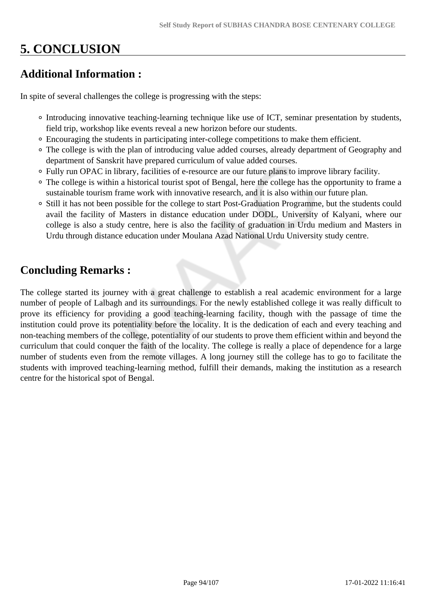# **5. CONCLUSION**

## **Additional Information :**

In spite of several challenges the college is progressing with the steps:

- Introducing innovative teaching-learning technique like use of ICT, seminar presentation by students, field trip, workshop like events reveal a new horizon before our students.
- Encouraging the students in participating inter-college competitions to make them efficient.
- The college is with the plan of introducing value added courses, already department of Geography and department of Sanskrit have prepared curriculum of value added courses.
- Fully run OPAC in library, facilities of e-resource are our future plans to improve library facility.
- The college is within a historical tourist spot of Bengal, here the college has the opportunity to frame a sustainable tourism frame work with innovative research, and it is also within our future plan.
- <sup>o</sup> Still it has not been possible for the college to start Post-Graduation Programme, but the students could avail the facility of Masters in distance education under DODL, University of Kalyani, where our college is also a study centre, here is also the facility of graduation in Urdu medium and Masters in Urdu through distance education under Moulana Azad National Urdu University study centre.

# **Concluding Remarks :**

The college started its journey with a great challenge to establish a real academic environment for a large number of people of Lalbagh and its surroundings. For the newly established college it was really difficult to prove its efficiency for providing a good teaching-learning facility, though with the passage of time the institution could prove its potentiality before the locality. It is the dedication of each and every teaching and non-teaching members of the college, potentiality of our students to prove them efficient within and beyond the curriculum that could conquer the faith of the locality. The college is really a place of dependence for a large number of students even from the remote villages. A long journey still the college has to go to facilitate the students with improved teaching-learning method, fulfill their demands, making the institution as a research centre for the historical spot of Bengal.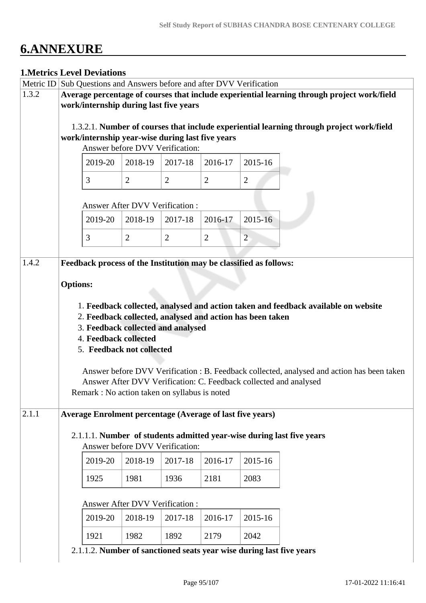# **6.ANNEXURE**

# **1.Metrics Level Deviations** Metric ID Sub Questions and Answers before and after DVV Verification 1.3.2 **Average percentage of courses that include experiential learning through project work/field work/internship during last five years** 1.3.2.1. **Number of courses that include experiential learning through project work/field work/internship year-wise during last five years** Answer before DVV Verification: 2019-20 2018-19 2017-18 2016-17 2015-16  $3 \mid 2 \mid 2 \mid 2 \mid 2 \mid 2$  Answer After DVV Verification : 2019-20 2018-19 2017-18 2016-17 2015-16  $3$  2 2 2 2 2 1.4.2 **Feedback process of the Institution may be classified as follows: Options:** 1. **Feedback collected, analysed and action taken and feedback available on website** 2. **Feedback collected, analysed and action has been taken** 3. **Feedback collected and analysed** 4. **Feedback collected** 5. **Feedback not collected** Answer before DVV Verification : B. Feedback collected, analysed and action has been taken Answer After DVV Verification: C. Feedback collected and analysed Remark : No action taken on syllabus is noted 2.1.1 **Average Enrolment percentage (Average of last five years)** 2.1.1.1. **Number of students admitted year-wise during last five years** Answer before DVV Verification: 2019-20 2018-19 2017-18 2016-17 2015-16 1925 1981 1936 2181 2083 Answer After DVV Verification : 2019-20 2018-19 2017-18 2016-17 2015-16 1921 1982 1892 2179 2042 2.1.1.2. **Number of sanctioned seats year wise during last five years**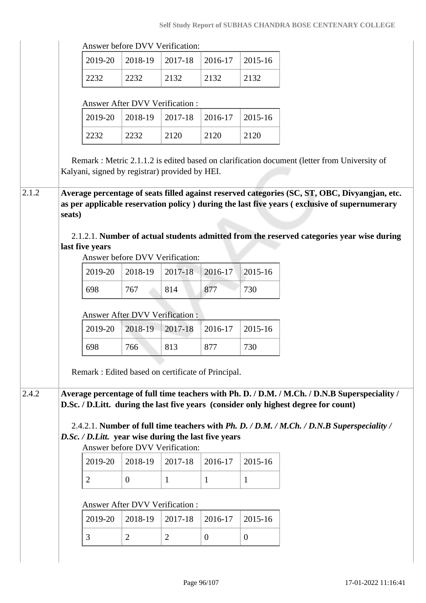|       |        | Answer before DVV Verification:                                                                                                                                                                                                                                                                                                                  |                                            |              |              |              |
|-------|--------|--------------------------------------------------------------------------------------------------------------------------------------------------------------------------------------------------------------------------------------------------------------------------------------------------------------------------------------------------|--------------------------------------------|--------------|--------------|--------------|
|       |        | 2019-20                                                                                                                                                                                                                                                                                                                                          | 2018-19                                    | 2017-18      | 2016-17      | 2015-16      |
|       |        | 2232                                                                                                                                                                                                                                                                                                                                             | 2232                                       | 2132         | 2132         | 2132         |
|       |        |                                                                                                                                                                                                                                                                                                                                                  | <b>Answer After DVV Verification:</b>      |              |              |              |
|       |        | 2019-20                                                                                                                                                                                                                                                                                                                                          | 2018-19                                    | 2017-18      | 2016-17      | 2015-16      |
|       |        | 2232                                                                                                                                                                                                                                                                                                                                             | 2232                                       | 2120         | 2120         | 2120         |
| 2.1.2 |        | Remark : Metric 2.1.1.2 is edited based on clarification document (letter from University of<br>Kalyani, signed by registrar) provided by HEI.<br>Average percentage of seats filled against reserved categories (SC, ST, OBC, Divyangjan, etc.<br>as per applicable reservation policy ) during the last five years (exclusive of supernumerary |                                            |              |              |              |
|       | seats) |                                                                                                                                                                                                                                                                                                                                                  |                                            |              |              |              |
|       |        | 2.1.2.1. Number of actual students admitted from the reserved categories year wise during                                                                                                                                                                                                                                                        |                                            |              |              |              |
|       |        | last five years                                                                                                                                                                                                                                                                                                                                  |                                            |              |              |              |
|       |        | 2019-20                                                                                                                                                                                                                                                                                                                                          | Answer before DVV Verification:<br>2018-19 | 2017-18      | 2016-17      | 2015-16      |
|       |        | 698                                                                                                                                                                                                                                                                                                                                              | 767                                        | 814          | 877          | 730          |
|       |        |                                                                                                                                                                                                                                                                                                                                                  |                                            |              |              |              |
|       |        |                                                                                                                                                                                                                                                                                                                                                  | <b>Answer After DVV Verification:</b>      |              |              |              |
|       |        | 2019-20                                                                                                                                                                                                                                                                                                                                          | 2018-19                                    | 2017-18      | 2016-17      | 2015-16      |
|       |        | 698                                                                                                                                                                                                                                                                                                                                              | 766                                        | 813          | 877          | 730          |
|       |        | Remark : Edited based on certificate of Principal.                                                                                                                                                                                                                                                                                               |                                            |              |              |              |
|       |        |                                                                                                                                                                                                                                                                                                                                                  |                                            |              |              |              |
|       |        |                                                                                                                                                                                                                                                                                                                                                  |                                            |              |              |              |
|       |        | Average percentage of full time teachers with Ph. D. / D.M. / M.Ch. / D.N.B Superspeciality /<br>D.Sc. / D.Litt. during the last five years (consider only highest degree for count)                                                                                                                                                             |                                            |              |              |              |
|       |        | 2.4.2.1. Number of full time teachers with Ph. D. / D.M. / M.Ch. / D.N.B Superspeciality /                                                                                                                                                                                                                                                       |                                            |              |              |              |
|       |        | D.Sc. / D.Litt. year wise during the last five years                                                                                                                                                                                                                                                                                             |                                            |              |              |              |
|       |        | 2019-20                                                                                                                                                                                                                                                                                                                                          | Answer before DVV Verification:<br>2018-19 | 2017-18      | 2016-17      | 2015-16      |
|       |        |                                                                                                                                                                                                                                                                                                                                                  |                                            |              |              |              |
|       |        | $\overline{2}$                                                                                                                                                                                                                                                                                                                                   | $\overline{0}$                             | $\mathbf{1}$ | $\mathbf{1}$ | $\mathbf{1}$ |
| 2.4.2 |        |                                                                                                                                                                                                                                                                                                                                                  | <b>Answer After DVV Verification:</b>      |              |              |              |
|       |        | 2019-20                                                                                                                                                                                                                                                                                                                                          | 2018-19                                    | 2017-18      | 2016-17      | 2015-16      |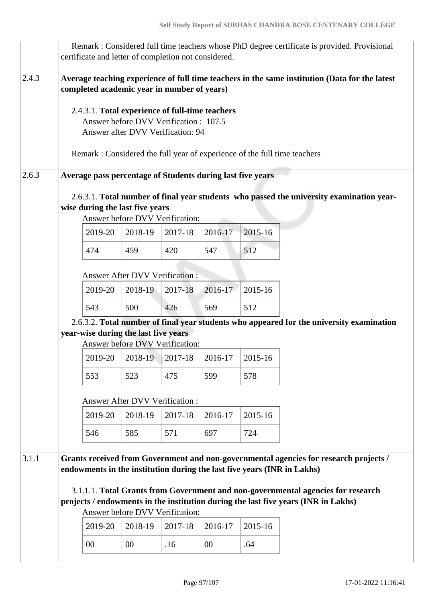|       | certificate and letter of completion not considered.                                                                                                                        |                                                                             |         |         |         | Remark : Considered full time teachers whose PhD degree certificate is provided. Provisional                                                                                                                                                                    |
|-------|-----------------------------------------------------------------------------------------------------------------------------------------------------------------------------|-----------------------------------------------------------------------------|---------|---------|---------|-----------------------------------------------------------------------------------------------------------------------------------------------------------------------------------------------------------------------------------------------------------------|
| 2.4.3 | completed academic year in number of years)<br>2.4.3.1. Total experience of full-time teachers<br>Remark : Considered the full year of experience of the full time teachers | Answer before DVV Verification : 107.5<br>Answer after DVV Verification: 94 |         |         |         | Average teaching experience of full time teachers in the same institution (Data for the latest                                                                                                                                                                  |
| 2.6.3 | Average pass percentage of Students during last five years<br>wise during the last five years                                                                               | Answer before DVV Verification:                                             |         |         |         | 2.6.3.1. Total number of final year students who passed the university examination year-                                                                                                                                                                        |
|       | 2019-20                                                                                                                                                                     | 2018-19                                                                     | 2017-18 | 2016-17 | 2015-16 |                                                                                                                                                                                                                                                                 |
|       | 474                                                                                                                                                                         | 459                                                                         | 420     | 547     | 512     |                                                                                                                                                                                                                                                                 |
|       |                                                                                                                                                                             | <b>Answer After DVV Verification:</b>                                       |         |         |         |                                                                                                                                                                                                                                                                 |
|       | 2019-20                                                                                                                                                                     | 2018-19                                                                     | 2017-18 | 2016-17 | 2015-16 |                                                                                                                                                                                                                                                                 |
|       | 543                                                                                                                                                                         | 500                                                                         | 426     | 569     | 512     |                                                                                                                                                                                                                                                                 |
|       | year-wise during the last five years                                                                                                                                        | Answer before DVV Verification:                                             |         |         |         | 2.6.3.2. Total number of final year students who appeared for the university examination                                                                                                                                                                        |
|       | 2019-20                                                                                                                                                                     | 2018-19                                                                     | 2017-18 | 2016-17 | 2015-16 |                                                                                                                                                                                                                                                                 |
|       | 553                                                                                                                                                                         | 523                                                                         | 475     | 599     | 578     |                                                                                                                                                                                                                                                                 |
|       |                                                                                                                                                                             | <b>Answer After DVV Verification:</b>                                       |         |         |         |                                                                                                                                                                                                                                                                 |
|       | 2019-20                                                                                                                                                                     | 2018-19                                                                     | 2017-18 | 2016-17 | 2015-16 |                                                                                                                                                                                                                                                                 |
|       | 546                                                                                                                                                                         | 585                                                                         | 571     | 697     | 724     |                                                                                                                                                                                                                                                                 |
| 3.1.1 | endowments in the institution during the last five years (INR in Lakhs)                                                                                                     | Answer before DVV Verification:                                             |         |         |         | Grants received from Government and non-governmental agencies for research projects /<br>3.1.1.1. Total Grants from Government and non-governmental agencies for research<br>projects / endowments in the institution during the last five years (INR in Lakhs) |
|       | 2019-20                                                                                                                                                                     | 2018-19                                                                     | 2017-18 | 2016-17 | 2015-16 |                                                                                                                                                                                                                                                                 |
|       | $00\,$                                                                                                                                                                      | 00                                                                          | .16     | 00      | .64     |                                                                                                                                                                                                                                                                 |
|       |                                                                                                                                                                             |                                                                             |         |         |         |                                                                                                                                                                                                                                                                 |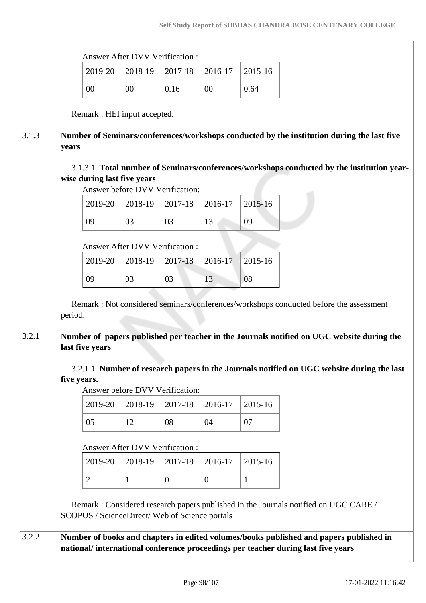$\overline{1}$ 

|       |             |                                                                                                                                                                            |                                | <b>Answer After DVV Verification:</b> |                  |              |
|-------|-------------|----------------------------------------------------------------------------------------------------------------------------------------------------------------------------|--------------------------------|---------------------------------------|------------------|--------------|
|       |             | 2019-20                                                                                                                                                                    | 2018-19                        | 2017-18                               | 2016-17          | 2015-16      |
|       |             | $00\,$                                                                                                                                                                     | $00\,$                         | 0.16                                  | 00               | 0.64         |
|       |             | Remark : HEI input accepted.                                                                                                                                               |                                |                                       |                  |              |
| 3.1.3 | years       | Number of Seminars/conferences/workshops conducted by the institution during the last five                                                                                 |                                |                                       |                  |              |
|       |             | 3.1.3.1. Total number of Seminars/conferences/workshops conducted by the institution year-<br>wise during last five years                                                  |                                | Answer before DVV Verification:       |                  |              |
|       |             | 2019-20                                                                                                                                                                    | 2018-19                        | 2017-18                               | 2016-17          | 2015-16      |
|       |             | 09                                                                                                                                                                         | 03                             | 03                                    | 13               | 09           |
|       |             |                                                                                                                                                                            | Answer After DVV Verification: |                                       |                  |              |
|       |             | 2019-20                                                                                                                                                                    | 2018-19                        | 2017-18                               | 2016-17          | 2015-16      |
|       |             | 09                                                                                                                                                                         | 03                             | 03                                    | 13               | 08           |
| 3.2.1 | period.     | Number of papers published per teacher in the Journals notified on UGC website during the<br>last five years                                                               |                                |                                       |                  |              |
|       | five years. | 3.2.1.1. Number of research papers in the Journals notified on UGC website during the last                                                                                 |                                | Answer before DVV Verification:       |                  |              |
|       |             | 2019-20                                                                                                                                                                    | 2018-19                        | 2017-18                               | 2016-17          | 2015-16      |
|       |             | 05                                                                                                                                                                         | 12                             | 08                                    | 04               | 07           |
|       |             |                                                                                                                                                                            |                                | <b>Answer After DVV Verification:</b> |                  |              |
|       |             | 2019-20                                                                                                                                                                    | 2018-19                        | 2017-18                               | 2016-17          | 2015-16      |
|       |             | $\overline{2}$                                                                                                                                                             | $\mathbf{1}$                   | $\mathbf{0}$                          | $\boldsymbol{0}$ | $\mathbf{1}$ |
|       |             | Remark: Considered research papers published in the Journals notified on UGC CARE /<br>SCOPUS / ScienceDirect/ Web of Science portals                                      |                                |                                       |                  |              |
| 3.2.2 |             | Number of books and chapters in edited volumes/books published and papers published in<br>national/international conference proceedings per teacher during last five years |                                |                                       |                  |              |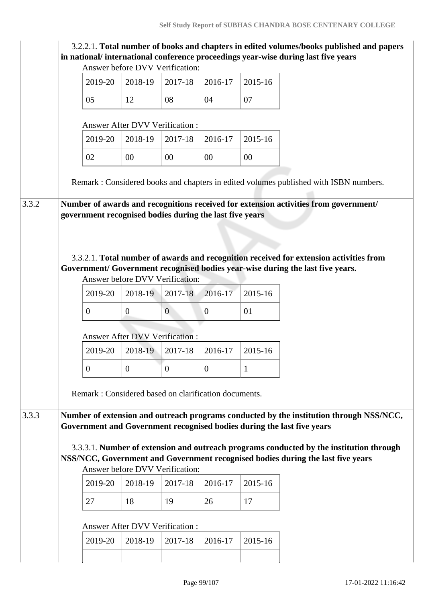|                                                                                                                                                                          | 3.2.2.1. Total number of books and chapters in edited volumes/books published and papers |
|--------------------------------------------------------------------------------------------------------------------------------------------------------------------------|------------------------------------------------------------------------------------------|
| in national/international conference proceedings year-wise during last five years<br>Answer before DVV Verification:                                                     |                                                                                          |
| 2019-20<br>2018-19<br>2017-18<br>2016-17<br>2015-16                                                                                                                      |                                                                                          |
| 05<br>08<br>12<br>04<br>07                                                                                                                                               |                                                                                          |
| <b>Answer After DVV Verification:</b>                                                                                                                                    |                                                                                          |
| 2015-16<br>2019-20<br>2018-19<br>2017-18<br>2016-17                                                                                                                      |                                                                                          |
| 00<br>00<br>02<br>00<br>00                                                                                                                                               |                                                                                          |
| Remark: Considered books and chapters in edited volumes published with ISBN numbers.                                                                                     |                                                                                          |
| Number of awards and recognitions received for extension activities from government/<br>3.3.2                                                                            |                                                                                          |
| government recognised bodies during the last five years                                                                                                                  |                                                                                          |
|                                                                                                                                                                          |                                                                                          |
|                                                                                                                                                                          |                                                                                          |
| 3.3.2.1. Total number of awards and recognition received for extension activities from<br>Government/ Government recognised bodies year-wise during the last five years. |                                                                                          |
| Answer before DVV Verification:                                                                                                                                          |                                                                                          |
| 2016-17<br>2015-16<br>2019-20<br>2018-19<br>2017-18                                                                                                                      |                                                                                          |
| $\boldsymbol{0}$<br>$\overline{0}$<br>$\mathbf{0}$<br>$\overline{0}$<br>01                                                                                               |                                                                                          |
| <b>Answer After DVV Verification:</b>                                                                                                                                    |                                                                                          |
| 2019-20<br>2018-19<br>2017-18<br>2016-17<br>2015-16                                                                                                                      |                                                                                          |
|                                                                                                                                                                          |                                                                                          |
| $\overline{0}$<br>$\boldsymbol{0}$<br>$\overline{0}$<br>$\theta$<br>1                                                                                                    |                                                                                          |
|                                                                                                                                                                          |                                                                                          |
| Remark: Considered based on clarification documents.                                                                                                                     |                                                                                          |
| 3.3.3<br>Number of extension and outreach programs conducted by the institution through NSS/NCC,                                                                         |                                                                                          |
| Government and Government recognised bodies during the last five years                                                                                                   |                                                                                          |
| 3.3.3.1. Number of extension and outreach programs conducted by the institution through                                                                                  |                                                                                          |
| NSS/NCC, Government and Government recognised bodies during the last five years                                                                                          |                                                                                          |
| Answer before DVV Verification:<br>2018-19<br>2019-20<br>2017-18<br>2016-17<br>2015-16                                                                                   |                                                                                          |
| 27<br>18<br>19<br>26<br>17                                                                                                                                               |                                                                                          |
|                                                                                                                                                                          |                                                                                          |
| <b>Answer After DVV Verification:</b><br>2018-19<br>2015-16<br>2019-20<br>2017-18<br>2016-17                                                                             |                                                                                          |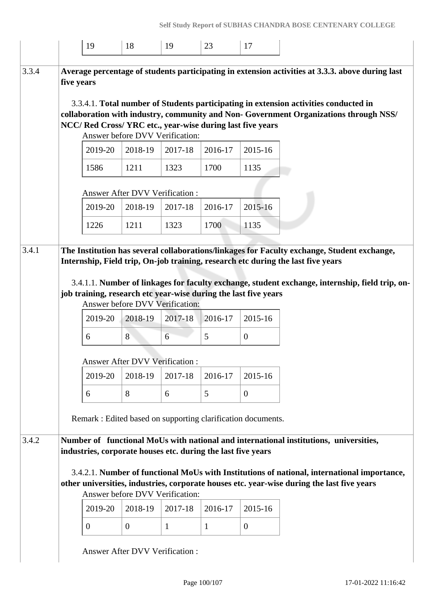|       |            | 19             | 18                                    | 19                                                           | 23      | 17                                                              |                                                                                                                                                                               |
|-------|------------|----------------|---------------------------------------|--------------------------------------------------------------|---------|-----------------------------------------------------------------|-------------------------------------------------------------------------------------------------------------------------------------------------------------------------------|
| 3.3.4 | five years |                |                                       |                                                              |         |                                                                 | Average percentage of students participating in extension activities at 3.3.3. above during last                                                                              |
|       |            |                |                                       | Answer before DVV Verification:                              |         | NCC/ Red Cross/ YRC etc., year-wise during last five years      | 3.3.4.1. Total number of Students participating in extension activities conducted in<br>collaboration with industry, community and Non- Government Organizations through NSS/ |
|       |            | 2019-20        | 2018-19                               | 2017-18                                                      | 2016-17 | 2015-16                                                         |                                                                                                                                                                               |
|       |            | 1586           | 1211                                  | 1323                                                         | 1700    | 1135                                                            |                                                                                                                                                                               |
|       |            |                | Answer After DVV Verification:        |                                                              |         |                                                                 |                                                                                                                                                                               |
|       |            | 2019-20        | 2018-19                               | 2017-18                                                      | 2016-17 | 2015-16                                                         |                                                                                                                                                                               |
|       |            | 1226           | 1211                                  | 1323                                                         | 1700    | 1135                                                            |                                                                                                                                                                               |
| 3.4.1 |            |                |                                       |                                                              |         |                                                                 | The Institution has several collaborations/linkages for Faculty exchange, Student exchange,                                                                                   |
|       |            |                |                                       |                                                              |         |                                                                 | Internship, Field trip, On-job training, research etc during the last five years                                                                                              |
|       |            |                |                                       |                                                              |         |                                                                 | 3.4.1.1. Number of linkages for faculty exchange, student exchange, internship, field trip, on-                                                                               |
|       |            |                |                                       | Answer before DVV Verification:                              |         | job training, research etc year-wise during the last five years |                                                                                                                                                                               |
|       |            | 2019-20        | 2018-19                               | 2017-18                                                      | 2016-17 | 2015-16                                                         |                                                                                                                                                                               |
|       |            | 6              | 8                                     | 6                                                            | 5       | $\mathbf{0}$                                                    |                                                                                                                                                                               |
|       |            |                | <b>Answer After DVV Verification:</b> |                                                              |         |                                                                 |                                                                                                                                                                               |
|       |            | 2019-20        | 2018-19                               | 2017-18                                                      | 2016-17 | 2015-16                                                         |                                                                                                                                                                               |
|       |            | 6              | 8                                     | 6                                                            | 5       | $\overline{0}$                                                  |                                                                                                                                                                               |
|       |            |                |                                       |                                                              |         | Remark : Edited based on supporting clarification documents.    |                                                                                                                                                                               |
|       |            |                |                                       |                                                              |         |                                                                 |                                                                                                                                                                               |
| 3.4.2 |            |                |                                       | industries, corporate houses etc. during the last five years |         |                                                                 | Number of functional MoUs with national and international institutions, universities,                                                                                         |
|       |            |                |                                       |                                                              |         |                                                                 | 3.4.2.1. Number of functional MoUs with Institutions of national, international importance,                                                                                   |
|       |            |                |                                       | Answer before DVV Verification:                              |         |                                                                 | other universities, industries, corporate houses etc. year-wise during the last five years                                                                                    |
|       |            | 2019-20        | 2018-19                               | 2017-18                                                      | 2016-17 | 2015-16                                                         |                                                                                                                                                                               |
|       |            | $\overline{0}$ | $\overline{0}$                        | $\mathbf{1}$                                                 | 1       | $\overline{0}$                                                  |                                                                                                                                                                               |
|       |            |                | <b>Answer After DVV Verification:</b> |                                                              |         |                                                                 |                                                                                                                                                                               |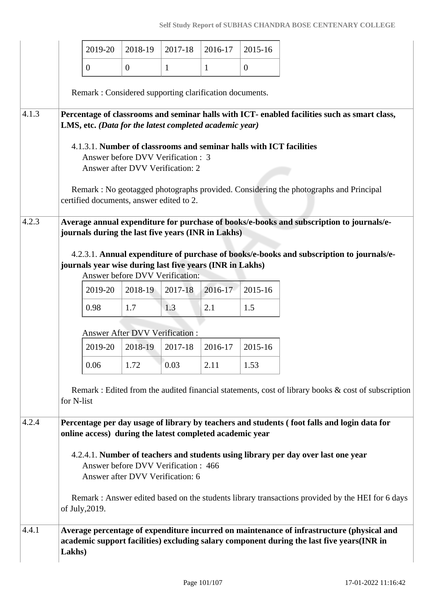|       |            | 2019-20                                  | 2018-19                                                                  | 2017-18      | 2016-17                                                  | 2015-16                                                             |                                                                                                                                                                                        |
|-------|------------|------------------------------------------|--------------------------------------------------------------------------|--------------|----------------------------------------------------------|---------------------------------------------------------------------|----------------------------------------------------------------------------------------------------------------------------------------------------------------------------------------|
|       |            | $\overline{0}$                           | $\mathbf{0}$                                                             | $\mathbf{1}$ | $\mathbf{1}$                                             | $\mathbf{0}$                                                        |                                                                                                                                                                                        |
|       |            |                                          |                                                                          |              | Remark: Considered supporting clarification documents.   |                                                                     |                                                                                                                                                                                        |
| 4.1.3 |            |                                          |                                                                          |              | LMS, etc. (Data for the latest completed academic year)  |                                                                     | Percentage of classrooms and seminar halls with ICT- enabled facilities such as smart class,                                                                                           |
|       |            |                                          | Answer before DVV Verification : 3<br>Answer after DVV Verification: 2   |              |                                                          | 4.1.3.1. Number of classrooms and seminar halls with ICT facilities |                                                                                                                                                                                        |
|       |            | certified documents, answer edited to 2. |                                                                          |              |                                                          |                                                                     | Remark: No geotagged photographs provided. Considering the photographs and Principal                                                                                                   |
| 4.2.3 |            |                                          |                                                                          |              |                                                          |                                                                     | Average annual expenditure for purchase of books/e-books and subscription to journals/e-                                                                                               |
|       |            |                                          |                                                                          |              | journals during the last five years (INR in Lakhs)       |                                                                     |                                                                                                                                                                                        |
|       |            |                                          |                                                                          |              |                                                          |                                                                     | 4.2.3.1. Annual expenditure of purchase of books/e-books and subscription to journals/e-                                                                                               |
|       |            |                                          | Answer before DVV Verification:                                          |              | journals year wise during last five years (INR in Lakhs) |                                                                     |                                                                                                                                                                                        |
|       |            | 2019-20                                  | 2018-19                                                                  | 2017-18      | 2016-17                                                  | 2015-16                                                             |                                                                                                                                                                                        |
|       |            | 0.98                                     | 1.7                                                                      | 1.3          | 2.1                                                      | 1.5                                                                 |                                                                                                                                                                                        |
|       |            |                                          | Answer After DVV Verification:                                           |              |                                                          |                                                                     |                                                                                                                                                                                        |
|       |            | 2019-20                                  | 2018-19                                                                  | 2017-18      | 2016-17                                                  | 2015-16                                                             |                                                                                                                                                                                        |
|       |            | 0.06                                     | 1.72                                                                     | 0.03         | 2.11                                                     | 1.53                                                                |                                                                                                                                                                                        |
|       | for N-list |                                          |                                                                          |              |                                                          |                                                                     | Remark : Edited from the audited financial statements, cost of library books $\&$ cost of subscription                                                                                 |
| 4.2.4 |            |                                          |                                                                          |              | online access) during the latest completed academic year |                                                                     | Percentage per day usage of library by teachers and students (foot falls and login data for                                                                                            |
|       |            |                                          | Answer before DVV Verification : 466<br>Answer after DVV Verification: 6 |              |                                                          |                                                                     | 4.2.4.1. Number of teachers and students using library per day over last one year                                                                                                      |
|       |            | of July, 2019.                           |                                                                          |              |                                                          |                                                                     | Remark: Answer edited based on the students library transactions provided by the HEI for 6 days                                                                                        |
| 4.4.1 |            |                                          |                                                                          |              |                                                          |                                                                     | Average percentage of expenditure incurred on maintenance of infrastructure (physical and<br>academic support facilities) excluding salary component during the last five years(INR in |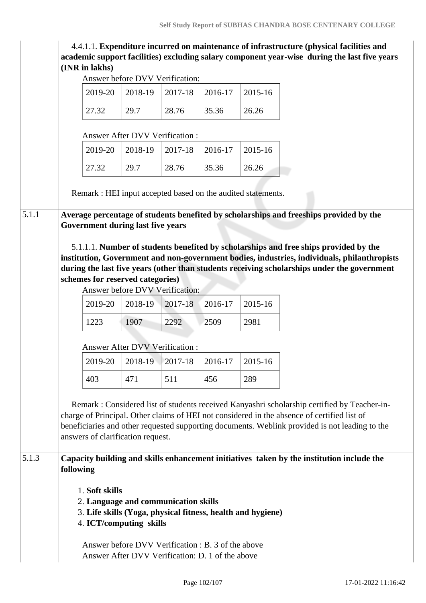4.4.1.1. **Expenditure incurred on maintenance of infrastructure (physical facilities and academic support facilities) excluding salary component year-wise during the last five years (INR in lakhs)**

Answer before DVV Verification:

| Allswer before DVV v erification:                                                                                                                                                                                                                                                                                                 |                                 |         |                                                                                           |         |
|-----------------------------------------------------------------------------------------------------------------------------------------------------------------------------------------------------------------------------------------------------------------------------------------------------------------------------------|---------------------------------|---------|-------------------------------------------------------------------------------------------|---------|
| 2019-20                                                                                                                                                                                                                                                                                                                           | 2018-19                         | 2017-18 | 2016-17                                                                                   | 2015-16 |
| 27.32                                                                                                                                                                                                                                                                                                                             | 29.7                            | 28.76   | 35.36                                                                                     | 26.26   |
|                                                                                                                                                                                                                                                                                                                                   | Answer After DVV Verification : |         |                                                                                           |         |
| 2019-20                                                                                                                                                                                                                                                                                                                           | 2018-19                         | 2017-18 | 2016-17                                                                                   | 2015-16 |
| 27.32                                                                                                                                                                                                                                                                                                                             | 29.7                            | 28.76   | 35.36                                                                                     | 26.26   |
| Remark : HEI input accepted based on the audited statements.                                                                                                                                                                                                                                                                      |                                 |         |                                                                                           |         |
| Average percentage of students benefited by scholarships and freeships provided by the                                                                                                                                                                                                                                            |                                 |         |                                                                                           |         |
| <b>Government during last five years</b>                                                                                                                                                                                                                                                                                          |                                 |         |                                                                                           |         |
| institution, Government and non-government bodies, industries, individuals, philanthropists<br>during the last five years (other than students receiving scholarships under the government<br>schemes for reserved categories)                                                                                                    | Answer before DVV Verification: |         |                                                                                           |         |
| 2019-20                                                                                                                                                                                                                                                                                                                           | 2018-19                         | 2017-18 | 2016-17                                                                                   | 2015-16 |
| 1223                                                                                                                                                                                                                                                                                                                              | 1907                            | 2292    | 2509                                                                                      | 2981    |
|                                                                                                                                                                                                                                                                                                                                   | Answer After DVV Verification : |         |                                                                                           |         |
| 2019-20                                                                                                                                                                                                                                                                                                                           | 2018-19                         | 2017-18 | 2016-17                                                                                   | 2015-16 |
| 403                                                                                                                                                                                                                                                                                                                               | 471                             | 511     | 456                                                                                       | 289     |
| Remark: Considered list of students received Kanyashri scholarship certified by Teacher-in-<br>charge of Principal. Other claims of HEI not considered in the absence of certified list of<br>beneficiaries and other requested supporting documents. Weblink provided is not leading to the<br>answers of clarification request. |                                 |         |                                                                                           |         |
|                                                                                                                                                                                                                                                                                                                                   |                                 |         | Capacity building and skills enhancement initiatives taken by the institution include the |         |
| following                                                                                                                                                                                                                                                                                                                         |                                 |         |                                                                                           |         |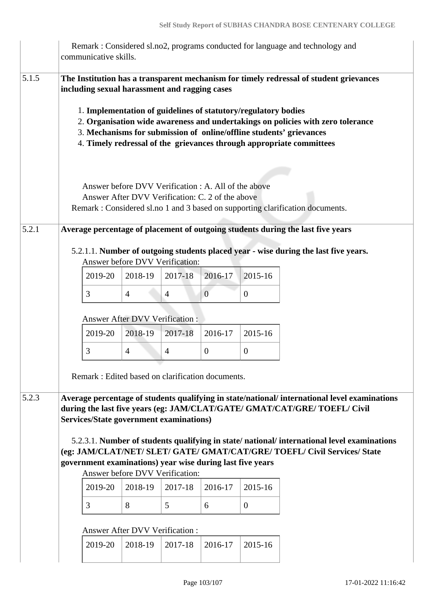|       | communicative skills.                                                                                           |                                                                                                          |                |                |                  | Remark: Considered sl.no2, programs conducted for language and technology and                                                                                                                                                                                                                                                                                                                              |
|-------|-----------------------------------------------------------------------------------------------------------------|----------------------------------------------------------------------------------------------------------|----------------|----------------|------------------|------------------------------------------------------------------------------------------------------------------------------------------------------------------------------------------------------------------------------------------------------------------------------------------------------------------------------------------------------------------------------------------------------------|
| 5.1.5 | including sexual harassment and ragging cases<br>1. Implementation of guidelines of statutory/regulatory bodies | Answer before DVV Verification : A. All of the above<br>Answer After DVV Verification: C. 2 of the above |                |                |                  | The Institution has a transparent mechanism for timely redressal of student grievances<br>2. Organisation wide awareness and undertakings on policies with zero tolerance<br>3. Mechanisms for submission of online/offline students' grievances<br>4. Timely redressal of the grievances through appropriate committees<br>Remark : Considered sl.no 1 and 3 based on supporting clarification documents. |
| 5.2.1 |                                                                                                                 | Answer before DVV Verification:                                                                          |                |                |                  | Average percentage of placement of outgoing students during the last five years<br>5.2.1.1. Number of outgoing students placed year - wise during the last five years.                                                                                                                                                                                                                                     |
|       | 2019-20                                                                                                         | 2018-19                                                                                                  | 2017-18        | 2016-17        | 2015-16          |                                                                                                                                                                                                                                                                                                                                                                                                            |
|       | 3                                                                                                               | $\overline{4}$                                                                                           | $\overline{4}$ | $\overline{0}$ | $\mathbf{0}$     |                                                                                                                                                                                                                                                                                                                                                                                                            |
|       |                                                                                                                 | <b>Answer After DVV Verification:</b>                                                                    |                |                |                  |                                                                                                                                                                                                                                                                                                                                                                                                            |
|       | 2019-20                                                                                                         | 2018-19                                                                                                  | 2017-18        | 2016-17        | 2015-16          |                                                                                                                                                                                                                                                                                                                                                                                                            |
|       | 3                                                                                                               | $\overline{4}$                                                                                           | $\overline{4}$ | $\overline{0}$ | $\boldsymbol{0}$ |                                                                                                                                                                                                                                                                                                                                                                                                            |
|       | Remark: Edited based on clarification documents.                                                                |                                                                                                          |                |                |                  |                                                                                                                                                                                                                                                                                                                                                                                                            |
| 5.2.3 | <b>Services/State government examinations)</b>                                                                  |                                                                                                          |                |                |                  | Average percentage of students qualifying in state/national/ international level examinations<br>during the last five years (eg: JAM/CLAT/GATE/ GMAT/CAT/GRE/ TOEFL/ Civil<br>5.2.3.1. Number of students qualifying in state/national/international level examinations                                                                                                                                    |
|       | government examinations) year wise during last five years                                                       |                                                                                                          |                |                |                  | (eg: JAM/CLAT/NET/ SLET/ GATE/ GMAT/CAT/GRE/ TOEFL/ Civil Services/ State                                                                                                                                                                                                                                                                                                                                  |
|       |                                                                                                                 | Answer before DVV Verification:                                                                          |                |                |                  |                                                                                                                                                                                                                                                                                                                                                                                                            |
|       | 2019-20                                                                                                         | 2018-19                                                                                                  | 2017-18        | 2016-17        | 2015-16          |                                                                                                                                                                                                                                                                                                                                                                                                            |
|       | 3                                                                                                               | 8                                                                                                        | 5              | 6              | $\overline{0}$   |                                                                                                                                                                                                                                                                                                                                                                                                            |
|       |                                                                                                                 | <b>Answer After DVV Verification:</b>                                                                    |                |                |                  |                                                                                                                                                                                                                                                                                                                                                                                                            |
|       | 2019-20                                                                                                         | 2018-19                                                                                                  | 2017-18        | 2016-17        | 2015-16          |                                                                                                                                                                                                                                                                                                                                                                                                            |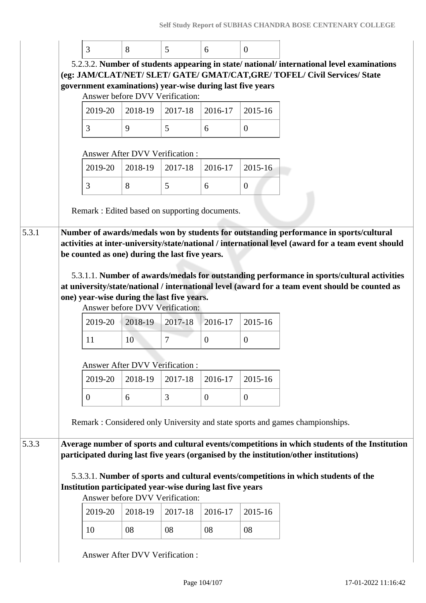| 3                | 8                                                                                            | 5       | 6              | $\Omega$                                                                                        |  |  |
|------------------|----------------------------------------------------------------------------------------------|---------|----------------|-------------------------------------------------------------------------------------------------|--|--|
|                  |                                                                                              |         |                | 5.2.3.2. Number of students appearing in state/national/international level examinations        |  |  |
|                  |                                                                                              |         |                | (eg: JAM/CLAT/NET/ SLET/ GATE/ GMAT/CAT, GRE/ TOFEL/ Civil Services/ State                      |  |  |
|                  | government examinations) year-wise during last five years                                    |         |                |                                                                                                 |  |  |
|                  | Answer before DVV Verification:                                                              |         |                |                                                                                                 |  |  |
| 2019-20          | 2018-19                                                                                      | 2017-18 | 2016-17        | 2015-16                                                                                         |  |  |
| 3                | 9                                                                                            | 5       | 6              | $\overline{0}$                                                                                  |  |  |
|                  | <b>Answer After DVV Verification:</b>                                                        |         |                |                                                                                                 |  |  |
| 2019-20          | 2018-19                                                                                      | 2017-18 | 2016-17        | 2015-16                                                                                         |  |  |
| 3                | 8                                                                                            | 5       | 6              | $\overline{0}$                                                                                  |  |  |
|                  | Remark : Edited based on supporting documents.                                               |         |                |                                                                                                 |  |  |
|                  |                                                                                              |         |                |                                                                                                 |  |  |
|                  |                                                                                              |         |                | Number of awards/medals won by students for outstanding performance in sports/cultural          |  |  |
|                  |                                                                                              |         |                | 5.3.1.1. Number of awards/medals for outstanding performance in sports/cultural activities      |  |  |
|                  |                                                                                              |         |                | at university/state/national / international level (award for a team event should be counted as |  |  |
|                  | one) year-wise during the last five years.                                                   |         |                |                                                                                                 |  |  |
|                  | Answer before DVV Verification:                                                              |         |                |                                                                                                 |  |  |
| 2019-20          | 2018-19                                                                                      | 2017-18 | 2016-17        | 2015-16                                                                                         |  |  |
| 11               | 10                                                                                           | 7       | $\overline{0}$ | $\overline{0}$                                                                                  |  |  |
|                  |                                                                                              |         |                |                                                                                                 |  |  |
|                  | <b>Answer After DVV Verification:</b>                                                        |         |                |                                                                                                 |  |  |
| 2019-20          | 2018-19                                                                                      | 2017-18 | 2016-17        | 2015-16                                                                                         |  |  |
| $\boldsymbol{0}$ | 6                                                                                            | 3       | $\overline{0}$ | $\overline{0}$                                                                                  |  |  |
|                  |                                                                                              |         |                |                                                                                                 |  |  |
|                  |                                                                                              |         |                | Remark: Considered only University and state sports and games championships.                    |  |  |
|                  |                                                                                              |         |                | Average number of sports and cultural events/competitions in which students of the Institution  |  |  |
|                  |                                                                                              |         |                | participated during last five years (organised by the institution/other institutions)           |  |  |
|                  |                                                                                              |         |                |                                                                                                 |  |  |
|                  |                                                                                              |         |                | 5.3.3.1. Number of sports and cultural events/competitions in which students of the             |  |  |
|                  | Institution participated year-wise during last five years<br>Answer before DVV Verification: |         |                |                                                                                                 |  |  |
| 2019-20          | 2018-19                                                                                      | 2017-18 | 2016-17        | 2015-16                                                                                         |  |  |
| 10               | 08                                                                                           | 08      | 08             | 08                                                                                              |  |  |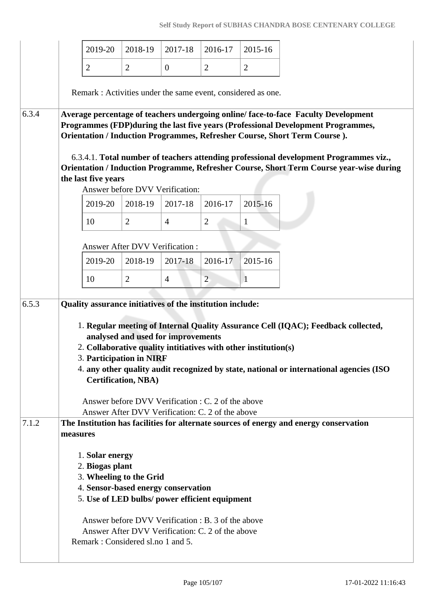| 2019-20                                                                                                                                                                                                                                                                                                                                  | 2018-19                                                                                                | 2017-18        | 2016-17        | 2015-16 |
|------------------------------------------------------------------------------------------------------------------------------------------------------------------------------------------------------------------------------------------------------------------------------------------------------------------------------------------|--------------------------------------------------------------------------------------------------------|----------------|----------------|---------|
| $\overline{2}$                                                                                                                                                                                                                                                                                                                           | $\overline{2}$                                                                                         | $\overline{0}$ | $\overline{2}$ | 2       |
| Remark: Activities under the same event, considered as one.                                                                                                                                                                                                                                                                              |                                                                                                        |                |                |         |
| Average percentage of teachers undergoing online/face-to-face Faculty Development<br>Programmes (FDP) during the last five years (Professional Development Programmes,<br>Orientation / Induction Programmes, Refresher Course, Short Term Course).                                                                                      |                                                                                                        |                |                |         |
| 6.3.4.1. Total number of teachers attending professional development Programmes viz.,<br>Orientation / Induction Programme, Refresher Course, Short Term Course year-wise during<br>the last five years                                                                                                                                  |                                                                                                        |                |                |         |
|                                                                                                                                                                                                                                                                                                                                          | Answer before DVV Verification:                                                                        |                |                |         |
| 2019-20                                                                                                                                                                                                                                                                                                                                  | 2018-19                                                                                                | 2017-18        | 2016-17        | 2015-16 |
| 10                                                                                                                                                                                                                                                                                                                                       | $\overline{2}$                                                                                         | $\overline{4}$ | $\overline{2}$ | 1       |
|                                                                                                                                                                                                                                                                                                                                          | <b>Answer After DVV Verification:</b>                                                                  |                |                |         |
| 2019-20                                                                                                                                                                                                                                                                                                                                  | 2018-19                                                                                                | 2017-18        | 2016-17        | 2015-16 |
| 10                                                                                                                                                                                                                                                                                                                                       | $\overline{2}$                                                                                         | $\overline{4}$ | $\overline{2}$ | 1       |
|                                                                                                                                                                                                                                                                                                                                          |                                                                                                        |                |                |         |
| Quality assurance initiatives of the institution include:<br>1. Regular meeting of Internal Quality Assurance Cell (IQAC); Feedback collected,<br>2. Collaborative quality intitiatives with other institution(s)<br>3. Participation in NIRF<br>4. any other quality audit recognized by state, national or international agencies (ISO | analysed and used for improvements<br><b>Certification, NBA)</b>                                       |                |                |         |
|                                                                                                                                                                                                                                                                                                                                          | Answer before DVV Verification : C. 2 of the above<br>Answer After DVV Verification: C. 2 of the above |                |                |         |
| The Institution has facilities for alternate sources of energy and energy conservation<br>measures                                                                                                                                                                                                                                       |                                                                                                        |                |                |         |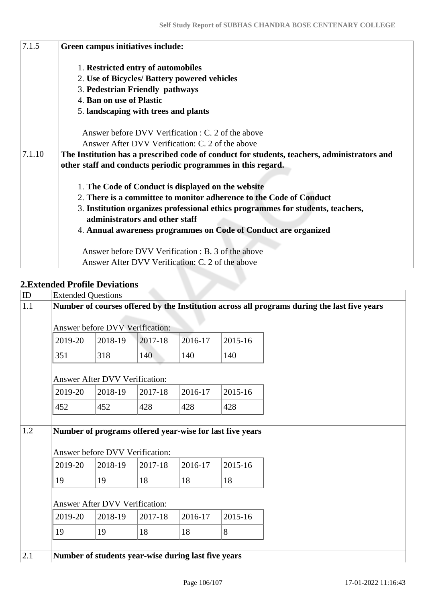| 7.1.5  | Green campus initiatives include:                                                                                 |
|--------|-------------------------------------------------------------------------------------------------------------------|
|        | 1. Restricted entry of automobiles                                                                                |
|        | 2. Use of Bicycles/ Battery powered vehicles                                                                      |
|        | 3. Pedestrian Friendly pathways                                                                                   |
|        | 4. Ban on use of Plastic                                                                                          |
|        | 5. landscaping with trees and plants                                                                              |
|        | Answer before DVV Verification : C. 2 of the above                                                                |
|        | Answer After DVV Verification: C. 2 of the above                                                                  |
| 7.1.10 | The Institution has a prescribed code of conduct for students, teachers, administrators and                       |
|        | other staff and conducts periodic programmes in this regard.                                                      |
|        | 1. The Code of Conduct is displayed on the website                                                                |
|        | 2. There is a committee to monitor adherence to the Code of Conduct                                               |
|        | 3. Institution organizes professional ethics programmes for students, teachers,<br>administrators and other staff |
|        | 4. Annual awareness programmes on Code of Conduct are organized                                                   |
|        | Answer before DVV Verification : B. 3 of the above                                                                |
|        | Answer After DVV Verification: C. 2 of the above                                                                  |

## **2.Extended Profile Deviations**

| ID  | <b>Extended Questions</b> |                                        |         |                                                     |                                                          |                                                                                             |
|-----|---------------------------|----------------------------------------|---------|-----------------------------------------------------|----------------------------------------------------------|---------------------------------------------------------------------------------------------|
| 1.1 |                           |                                        |         |                                                     |                                                          | Number of courses offered by the Institution across all programs during the last five years |
|     |                           | <b>Answer before DVV Verification:</b> |         |                                                     |                                                          |                                                                                             |
|     | 2019-20                   | 2018-19                                | 2017-18 | 2016-17                                             | 2015-16                                                  |                                                                                             |
|     | 351                       | 318                                    | 140     | 140                                                 | 140                                                      |                                                                                             |
|     |                           | <b>Answer After DVV Verification:</b>  |         |                                                     |                                                          |                                                                                             |
|     | 2019-20                   | 2018-19                                | 2017-18 | 2016-17                                             | 2015-16                                                  |                                                                                             |
|     | 452                       | 452                                    | 428     | 428                                                 | 428                                                      |                                                                                             |
|     |                           |                                        |         |                                                     |                                                          |                                                                                             |
| 1.2 |                           |                                        |         |                                                     | Number of programs offered year-wise for last five years |                                                                                             |
|     |                           | <b>Answer before DVV Verification:</b> |         |                                                     |                                                          |                                                                                             |
|     | 2019-20                   | 2018-19                                | 2017-18 | 2016-17                                             | 2015-16                                                  |                                                                                             |
|     | 19                        | 19                                     | 18      | 18                                                  | 18                                                       |                                                                                             |
|     |                           | <b>Answer After DVV Verification:</b>  |         |                                                     |                                                          |                                                                                             |
|     | 2019-20                   | 2018-19                                | 2017-18 | 2016-17                                             | 2015-16                                                  |                                                                                             |
|     | 19                        | 19                                     | 18      | 18                                                  | 8                                                        |                                                                                             |
|     |                           |                                        |         |                                                     |                                                          |                                                                                             |
| 2.1 |                           |                                        |         | Number of students year-wise during last five years |                                                          |                                                                                             |